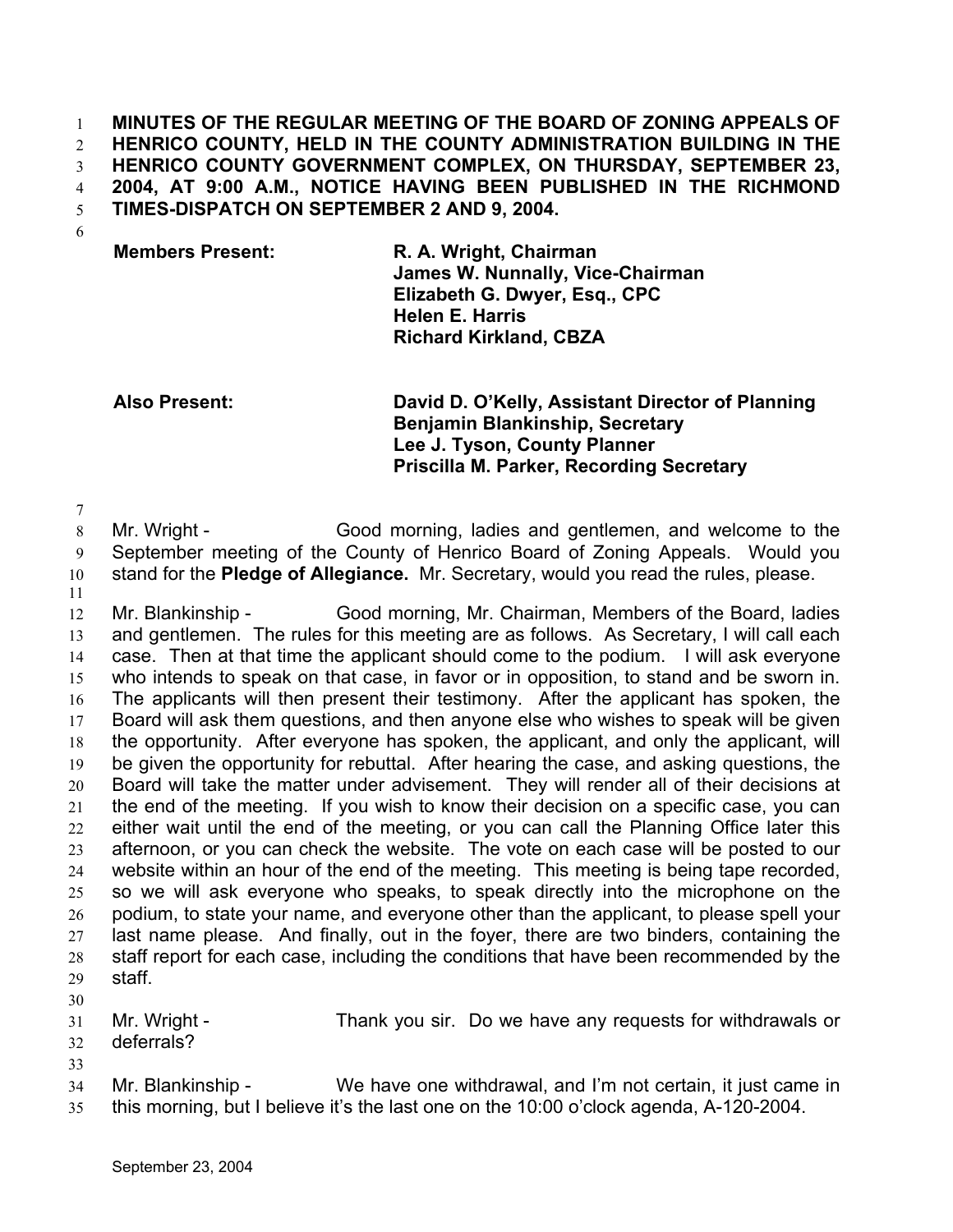**MINUTES OF THE REGULAR MEETING OF THE BOARD OF ZONING APPEALS OF HENRICO COUNTY, HELD IN THE COUNTY ADMINISTRATION BUILDING IN THE HENRICO COUNTY GOVERNMENT COMPLEX, ON THURSDAY, SEPTEMBER 23, 2004, AT 9:00 A.M., NOTICE HAVING BEEN PUBLISHED IN THE RICHMOND TIMES-DISPATCH ON SEPTEMBER 2 AND 9, 2004.**  1 2 3 4 5

6

7

**Members Present: R. A. Wright, Chairman James W. Nunnally, Vice-Chairman Elizabeth G. Dwyer, Esq., CPC Helen E. Harris Richard Kirkland, CBZA** 

**Also Present: David D. O'Kelly, Assistant Director of Planning Benjamin Blankinship, Secretary Lee J. Tyson, County Planner Priscilla M. Parker, Recording Secretary**

8 9 10 11 Mr. Wright - Good morning, ladies and gentlemen, and welcome to the September meeting of the County of Henrico Board of Zoning Appeals. Would you stand for the **Pledge of Allegiance.** Mr. Secretary, would you read the rules, please.

12 13 14 15 16 17 18 19 20 21 22 23 24 25 26 27 28 29 Mr. Blankinship - Good morning, Mr. Chairman, Members of the Board, ladies and gentlemen. The rules for this meeting are as follows. As Secretary, I will call each case. Then at that time the applicant should come to the podium. I will ask everyone who intends to speak on that case, in favor or in opposition, to stand and be sworn in. The applicants will then present their testimony. After the applicant has spoken, the Board will ask them questions, and then anyone else who wishes to speak will be given the opportunity. After everyone has spoken, the applicant, and only the applicant, will be given the opportunity for rebuttal. After hearing the case, and asking questions, the Board will take the matter under advisement. They will render all of their decisions at the end of the meeting. If you wish to know their decision on a specific case, you can either wait until the end of the meeting, or you can call the Planning Office later this afternoon, or you can check the website. The vote on each case will be posted to our website within an hour of the end of the meeting. This meeting is being tape recorded, so we will ask everyone who speaks, to speak directly into the microphone on the podium, to state your name, and everyone other than the applicant, to please spell your last name please. And finally, out in the foyer, there are two binders, containing the staff report for each case, including the conditions that have been recommended by the staff.

- 31 32 Mr. Wright - Thank you sir. Do we have any requests for withdrawals or deferrals?
- 33

30

34 35 Mr. Blankinship - We have one withdrawal, and I'm not certain, it just came in this morning, but I believe it's the last one on the 10:00 o'clock agenda, A-120-2004.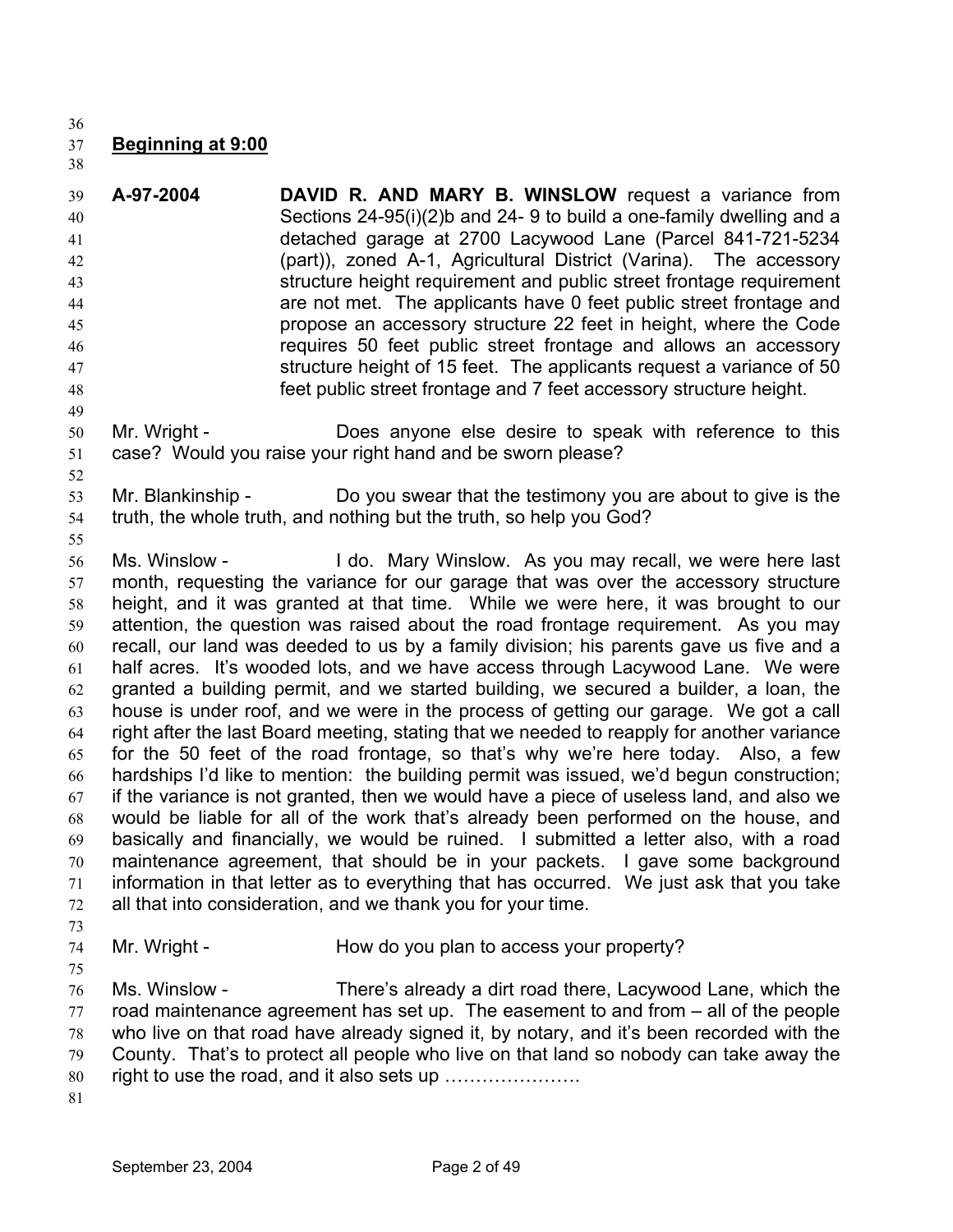36

## 37 **Beginning at 9:00**

38

39 40 41 42 43 44 45 46 47 48 **A-97-2004 DAVID R. AND MARY B. WINSLOW** request a variance from Sections 24-95(i)(2)b and 24- 9 to build a one-family dwelling and a detached garage at 2700 Lacywood Lane (Parcel 841-721-5234 (part)), zoned A-1, Agricultural District (Varina). The accessory structure height requirement and public street frontage requirement are not met. The applicants have 0 feet public street frontage and propose an accessory structure 22 feet in height, where the Code requires 50 feet public street frontage and allows an accessory structure height of 15 feet. The applicants request a variance of 50 feet public street frontage and 7 feet accessory structure height.

- 50 51 Mr. Wright - **Does anyone else desire to speak with reference to this** case? Would you raise your right hand and be sworn please?
- 52

49

- 53 54 Mr. Blankinship - Do you swear that the testimony you are about to give is the truth, the whole truth, and nothing but the truth, so help you God?
- 55

56 57 58 59 60 61 62 63 64 65 66 67 68 69 70 71 72 Ms. Winslow - I do. Mary Winslow. As you may recall, we were here last month, requesting the variance for our garage that was over the accessory structure height, and it was granted at that time. While we were here, it was brought to our attention, the question was raised about the road frontage requirement. As you may recall, our land was deeded to us by a family division; his parents gave us five and a half acres. It's wooded lots, and we have access through Lacywood Lane. We were granted a building permit, and we started building, we secured a builder, a loan, the house is under roof, and we were in the process of getting our garage. We got a call right after the last Board meeting, stating that we needed to reapply for another variance for the 50 feet of the road frontage, so that's why we're here today. Also, a few hardships I'd like to mention: the building permit was issued, we'd begun construction; if the variance is not granted, then we would have a piece of useless land, and also we would be liable for all of the work that's already been performed on the house, and basically and financially, we would be ruined. I submitted a letter also, with a road maintenance agreement, that should be in your packets. I gave some background information in that letter as to everything that has occurred. We just ask that you take all that into consideration, and we thank you for your time.

73

75

74

Mr. Wright - How do you plan to access your property?

76 77 78 79 80 Ms. Winslow - There's already a dirt road there, Lacywood Lane, which the road maintenance agreement has set up. The easement to and from – all of the people who live on that road have already signed it, by notary, and it's been recorded with the County. That's to protect all people who live on that land so nobody can take away the right to use the road, and it also sets up ………………….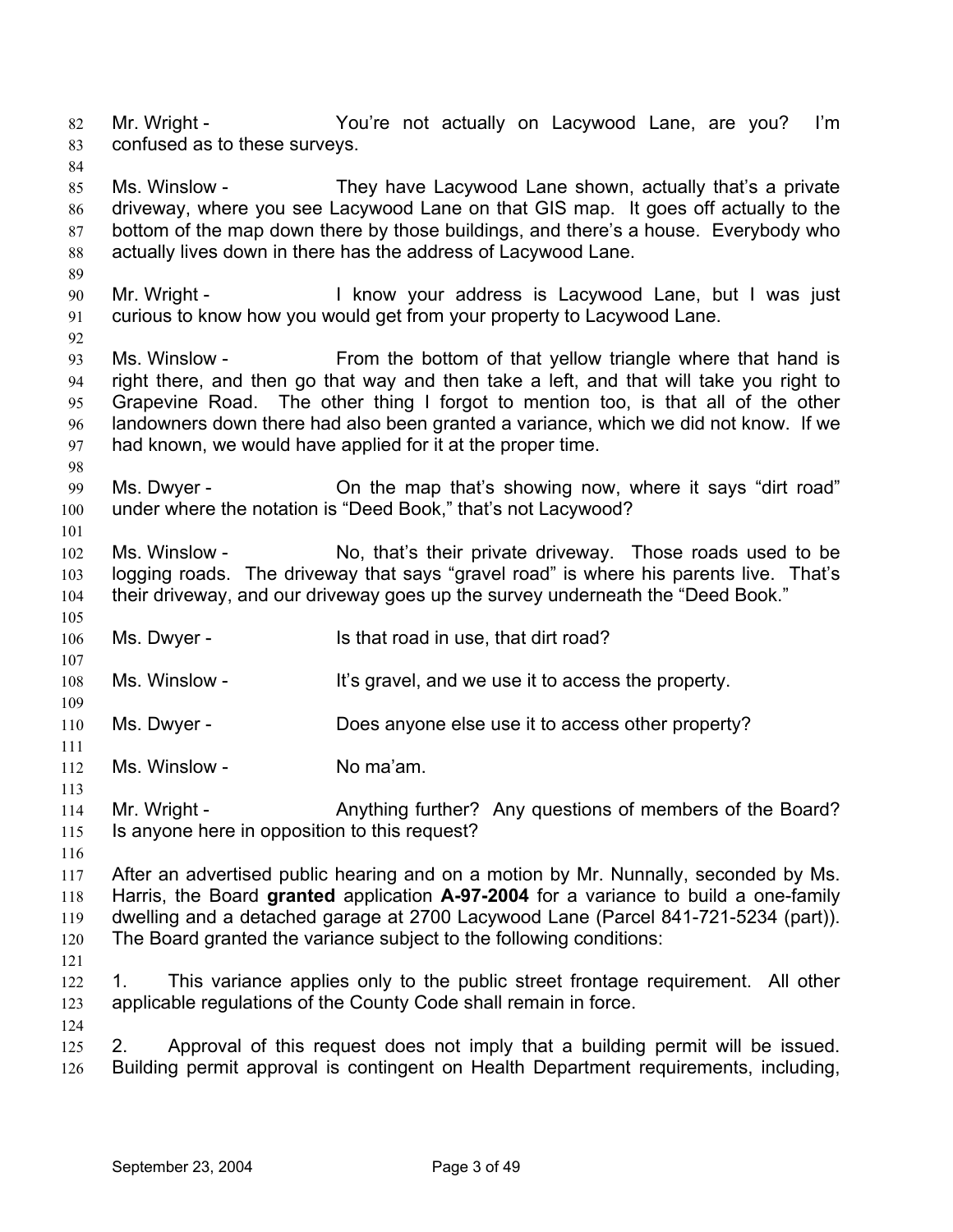Mr. Wright - The You're not actually on Lacywood Lane, are you? I'm confused as to these surveys. 82 83 84 85 86 Ms. Winslow - They have Lacywood Lane shown, actually that's a private driveway, where you see Lacywood Lane on that GIS map. It goes off actually to the

87 88 89 bottom of the map down there by those buildings, and there's a house. Everybody who actually lives down in there has the address of Lacywood Lane.

90 91 Mr. Wright - The Muslim Collection of the Muslim I was first in the Muslim I was first in the Muslim I was first curious to know how you would get from your property to Lacywood Lane.

93 94 95 96 97 Ms. Winslow - From the bottom of that yellow triangle where that hand is right there, and then go that way and then take a left, and that will take you right to Grapevine Road. The other thing I forgot to mention too, is that all of the other landowners down there had also been granted a variance, which we did not know. If we had known, we would have applied for it at the proper time.

99 100 Ms. Dwyer - **On the map that's showing now, where it says "dirt road"** under where the notation is "Deed Book," that's not Lacywood?

102 103 104 Ms. Winslow - No, that's their private driveway. Those roads used to be logging roads. The driveway that says "gravel road" is where his parents live. That's their driveway, and our driveway goes up the survey underneath the "Deed Book."

106 Ms. Dwyer - Is that road in use, that dirt road?

108 Ms. Winslow - It's gravel, and we use it to access the property.

- 110 Ms. Dwyer - Does anyone else use it to access other property?
- 112 Ms. Winslow - No ma'am.

114 115 Mr. Wright - Anything further? Any questions of members of the Board? Is anyone here in opposition to this request?

116

92

98

101

105

107

109

111

113

117 118 119 120 After an advertised public hearing and on a motion by Mr. Nunnally, seconded by Ms. Harris, the Board **granted** application **A-97-2004** for a variance to build a one-family dwelling and a detached garage at 2700 Lacywood Lane (Parcel 841-721-5234 (part)). The Board granted the variance subject to the following conditions:

121

124

122 123 1. This variance applies only to the public street frontage requirement. All other applicable regulations of the County Code shall remain in force.

125 126 2. Approval of this request does not imply that a building permit will be issued. Building permit approval is contingent on Health Department requirements, including,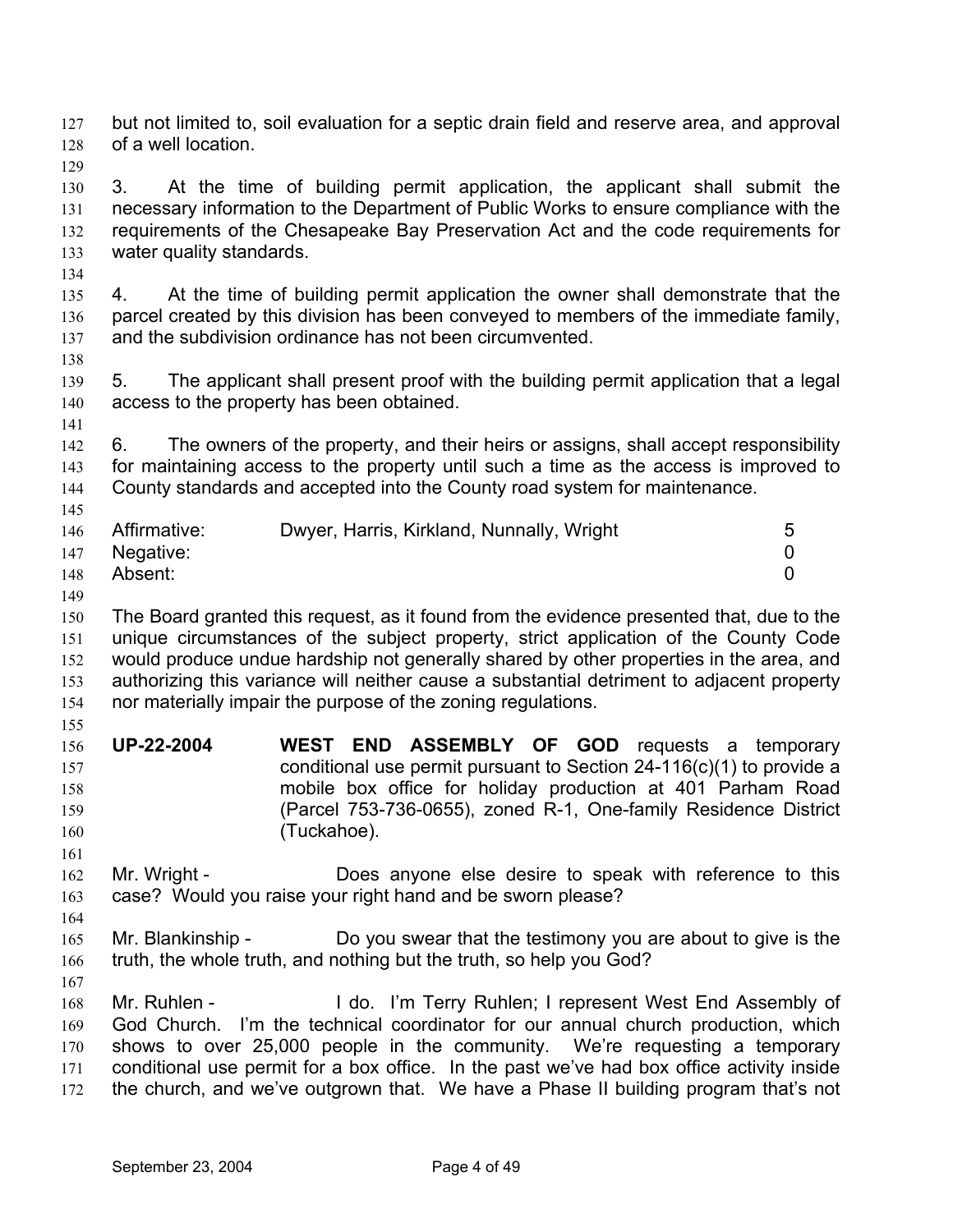but not limited to, soil evaluation for a septic drain field and reserve area, and approval of a well location. 127 128

129

130 131 132 133 3. At the time of building permit application, the applicant shall submit the necessary information to the Department of Public Works to ensure compliance with the requirements of the Chesapeake Bay Preservation Act and the code requirements for water quality standards.

- 134 135 136 137 4. At the time of building permit application the owner shall demonstrate that the parcel created by this division has been conveyed to members of the immediate family, and the subdivision ordinance has not been circumvented.
- 139 140 5. The applicant shall present proof with the building permit application that a legal access to the property has been obtained.
- 141

145

138

142 143 144 6. The owners of the property, and their heirs or assigns, shall accept responsibility for maintaining access to the property until such a time as the access is improved to County standards and accepted into the County road system for maintenance.

|     | 146 Affirmative: | Dwyer, Harris, Kirkland, Nunnally, Wright |  |
|-----|------------------|-------------------------------------------|--|
| 147 | Negative:        |                                           |  |
| 148 | Absent:          |                                           |  |

149

150 151 152 153 154 The Board granted this request, as it found from the evidence presented that, due to the unique circumstances of the subject property, strict application of the County Code would produce undue hardship not generally shared by other properties in the area, and authorizing this variance will neither cause a substantial detriment to adjacent property nor materially impair the purpose of the zoning regulations.

- 155
- 156 157 158 159 160 **UP-22-2004 WEST END ASSEMBLY OF GOD** requests a temporary conditional use permit pursuant to Section 24-116(c)(1) to provide a mobile box office for holiday production at 401 Parham Road (Parcel 753-736-0655), zoned R-1, One-family Residence District (Tuckahoe).
- 162 163 Mr. Wright - Does anyone else desire to speak with reference to this case? Would you raise your right hand and be sworn please?
- 165 166 Mr. Blankinship - Do you swear that the testimony you are about to give is the truth, the whole truth, and nothing but the truth, so help you God?
- 167

161

164

168 169 170 171 172 Mr. Ruhlen - I do. I'm Terry Ruhlen; I represent West End Assembly of God Church. I'm the technical coordinator for our annual church production, which shows to over 25,000 people in the community. We're requesting a temporary conditional use permit for a box office. In the past we've had box office activity inside the church, and we've outgrown that. We have a Phase II building program that's not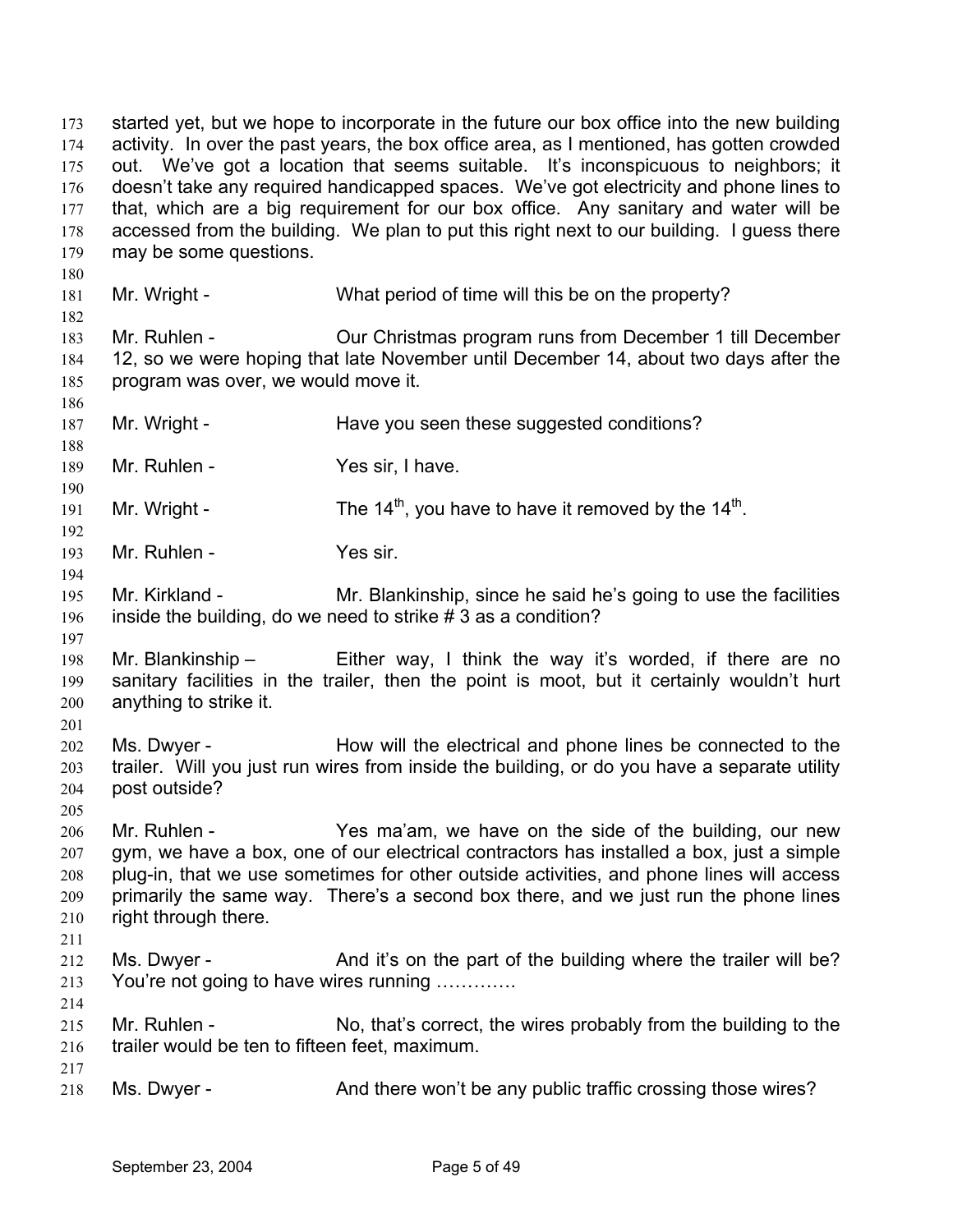started yet, but we hope to incorporate in the future our box office into the new building activity. In over the past years, the box office area, as I mentioned, has gotten crowded out. We've got a location that seems suitable. It's inconspicuous to neighbors; it doesn't take any required handicapped spaces. We've got electricity and phone lines to that, which are a big requirement for our box office. Any sanitary and water will be accessed from the building. We plan to put this right next to our building. I guess there may be some questions. 173 174 175 176 177 178 179 180 181 182 183 184 185 186 187 188 189 190 191 192 193 194 195 196 197 198 199 200 201 202 203 204 205 206 207 208 209 210 211 212 213 214 215 216 217 218 Mr. Wright - What period of time will this be on the property? Mr. Ruhlen - Our Christmas program runs from December 1 till December 12, so we were hoping that late November until December 14, about two days after the program was over, we would move it. Mr. Wright - Have you seen these suggested conditions? Mr. Ruhlen - Yes sir, I have. Mr. Wright - The  $14<sup>th</sup>$ , you have to have it removed by the  $14<sup>th</sup>$ . Mr. Ruhlen - Yes sir. Mr. Kirkland - Mr. Blankinship, since he said he's going to use the facilities inside the building, do we need to strike # 3 as a condition? Mr. Blankinship – Either way, I think the way it's worded, if there are no sanitary facilities in the trailer, then the point is moot, but it certainly wouldn't hurt anything to strike it. Ms. Dwyer - How will the electrical and phone lines be connected to the trailer. Will you just run wires from inside the building, or do you have a separate utility post outside? Mr. Ruhlen - Yes ma'am, we have on the side of the building, our new gym, we have a box, one of our electrical contractors has installed a box, just a simple plug-in, that we use sometimes for other outside activities, and phone lines will access primarily the same way. There's a second box there, and we just run the phone lines right through there. Ms. Dwyer - And it's on the part of the building where the trailer will be? You're not going to have wires running ............ Mr. Ruhlen - No, that's correct, the wires probably from the building to the trailer would be ten to fifteen feet, maximum. Ms. Dwyer - **And there won't be any public traffic crossing those wires?**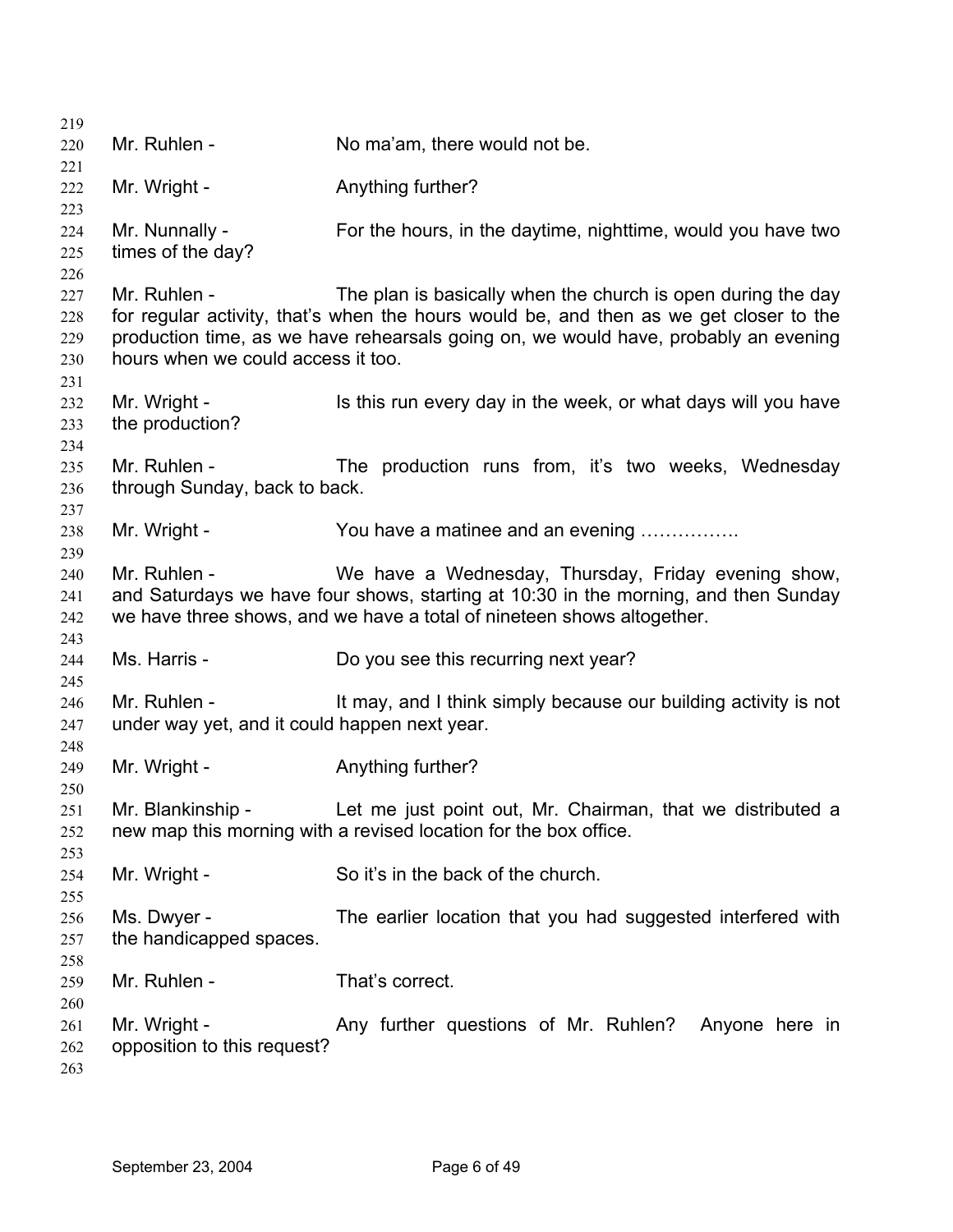| 219                      |                                                               |                                                                                                                                                                                                                                               |
|--------------------------|---------------------------------------------------------------|-----------------------------------------------------------------------------------------------------------------------------------------------------------------------------------------------------------------------------------------------|
| 220                      | Mr. Ruhlen -                                                  | No ma'am, there would not be.                                                                                                                                                                                                                 |
| 221                      |                                                               |                                                                                                                                                                                                                                               |
| 222<br>223               | Mr. Wright -                                                  | Anything further?                                                                                                                                                                                                                             |
| 224<br>225<br>226        | Mr. Nunnally -<br>times of the day?                           | For the hours, in the daytime, nighttime, would you have two                                                                                                                                                                                  |
| 227<br>228<br>229<br>230 | Mr. Ruhlen -<br>hours when we could access it too.            | The plan is basically when the church is open during the day<br>for regular activity, that's when the hours would be, and then as we get closer to the<br>production time, as we have rehearsals going on, we would have, probably an evening |
| 231<br>232<br>233<br>234 | Mr. Wright -<br>the production?                               | Is this run every day in the week, or what days will you have                                                                                                                                                                                 |
| 235<br>236<br>237        | Mr. Ruhlen -<br>through Sunday, back to back.                 | The production runs from, it's two weeks, Wednesday                                                                                                                                                                                           |
| 238<br>239               | Mr. Wright -                                                  | You have a matinee and an evening                                                                                                                                                                                                             |
| 240<br>241<br>242<br>243 | Mr. Ruhlen -                                                  | We have a Wednesday, Thursday, Friday evening show,<br>and Saturdays we have four shows, starting at 10:30 in the morning, and then Sunday<br>we have three shows, and we have a total of nineteen shows altogether.                          |
| 244<br>245               | Ms. Harris -                                                  | Do you see this recurring next year?                                                                                                                                                                                                          |
| 246<br>247               | Mr. Ruhlen -<br>under way yet, and it could happen next year. | It may, and I think simply because our building activity is not                                                                                                                                                                               |
| 248<br>249<br>250        | Mr. Wright -                                                  | Anything further?                                                                                                                                                                                                                             |
| 251<br>252<br>253        | Mr. Blankinship -                                             | Let me just point out, Mr. Chairman, that we distributed a<br>new map this morning with a revised location for the box office.                                                                                                                |
| 254<br>255               | Mr. Wright -                                                  | So it's in the back of the church.                                                                                                                                                                                                            |
| 256<br>257<br>258        | Ms. Dwyer -<br>the handicapped spaces.                        | The earlier location that you had suggested interfered with                                                                                                                                                                                   |
| 259<br>260               | Mr. Ruhlen -                                                  | That's correct.                                                                                                                                                                                                                               |
| 261<br>262<br>263        | Mr. Wright -<br>opposition to this request?                   | Any further questions of Mr. Ruhlen? Anyone here in                                                                                                                                                                                           |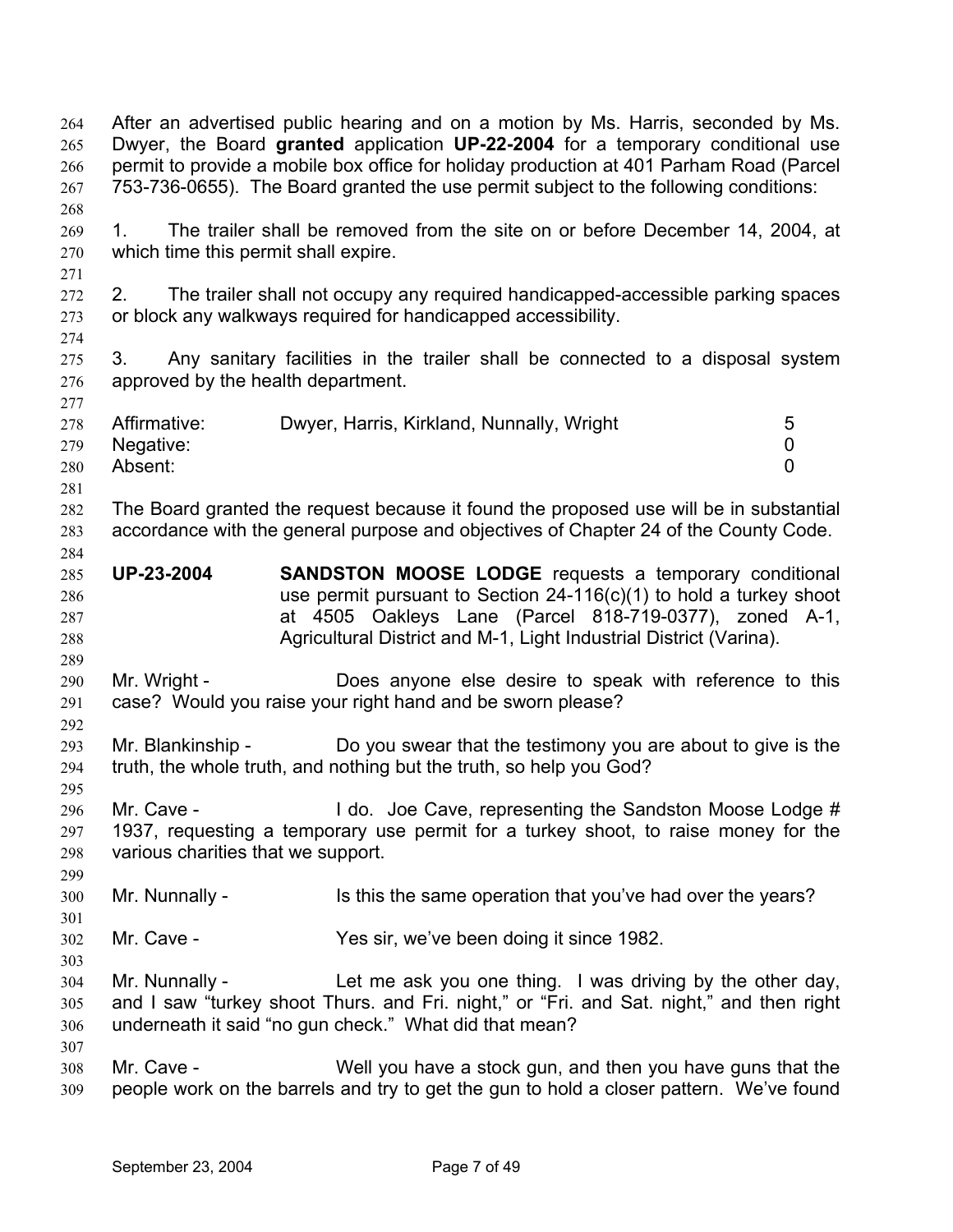After an advertised public hearing and on a motion by Ms. Harris, seconded by Ms. Dwyer, the Board **granted** application **UP-22-2004** for a temporary conditional use permit to provide a mobile box office for holiday production at 401 Parham Road (Parcel 753-736-0655). The Board granted the use permit subject to the following conditions: 264 265 266 267 268 269 270 271 272 273 274 275 276 277 278 279 280 281 282 283 284 285 286 287 288 289 290 291 292 293 294 295 296 297 298 299 300 301 302 303 304 305 306 307 308 309 1. The trailer shall be removed from the site on or before December 14, 2004, at which time this permit shall expire. 2. The trailer shall not occupy any required handicapped-accessible parking spaces or block any walkways required for handicapped accessibility. 3. Any sanitary facilities in the trailer shall be connected to a disposal system approved by the health department. Affirmative: Dwyer, Harris, Kirkland, Nunnally, Wright 5 Negative: 0 Absent: 0 The Board granted the request because it found the proposed use will be in substantial accordance with the general purpose and objectives of Chapter 24 of the County Code. **UP-23-2004 SANDSTON MOOSE LODGE** requests a temporary conditional use permit pursuant to Section 24-116(c)(1) to hold a turkey shoot at 4505 Oakleys Lane (Parcel 818-719-0377), zoned A-1, Agricultural District and M-1, Light Industrial District (Varina). Mr. Wright - **Does anyone else desire to speak with reference to this** case? Would you raise your right hand and be sworn please? Mr. Blankinship - Do you swear that the testimony you are about to give is the truth, the whole truth, and nothing but the truth, so help you God? Mr. Cave - The Music Cave, representing the Sandston Moose Lodge # 1937, requesting a temporary use permit for a turkey shoot, to raise money for the various charities that we support. Mr. Nunnally - Is this the same operation that you've had over the years? Mr. Cave - Yes sir, we've been doing it since 1982. Mr. Nunnally - Let me ask you one thing. I was driving by the other day, and I saw "turkey shoot Thurs. and Fri. night," or "Fri. and Sat. night," and then right underneath it said "no gun check." What did that mean? Mr. Cave - Well you have a stock gun, and then you have guns that the people work on the barrels and try to get the gun to hold a closer pattern. We've found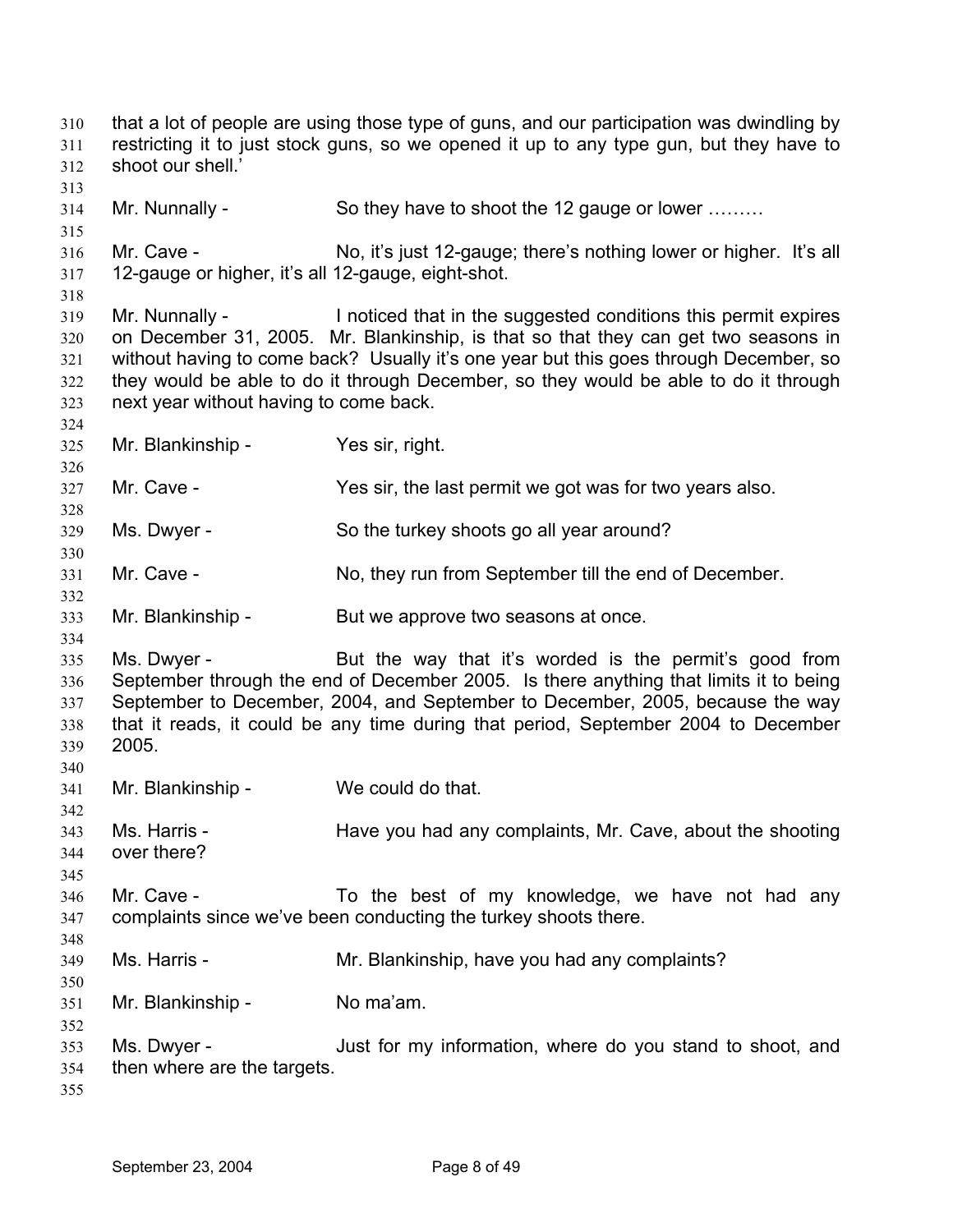that a lot of people are using those type of guns, and our participation was dwindling by restricting it to just stock guns, so we opened it up to any type gun, but they have to shoot our shell.' 310 311 312 313 314 315 316 317 318 319 320 321 322 323 324 325 326 327 328 329 330 331 332 333 334 335 336 337 338 339 340 341 342 343 344 345 346 347 348 349 350 351 352 353 354 355 Mr. Nunnally - So they have to shoot the 12 gauge or lower ……… Mr. Cave - No, it's just 12-gauge; there's nothing lower or higher. It's all 12-gauge or higher, it's all 12-gauge, eight-shot. Mr. Nunnally - Inoticed that in the suggested conditions this permit expires on December 31, 2005. Mr. Blankinship, is that so that they can get two seasons in without having to come back? Usually it's one year but this goes through December, so they would be able to do it through December, so they would be able to do it through next year without having to come back. Mr. Blankinship - Yes sir, right. Mr. Cave - The Yes sir, the last permit we got was for two years also. Ms. Dwyer - So the turkey shoots go all year around? Mr. Cave - No, they run from September till the end of December. Mr. Blankinship - But we approve two seasons at once. Ms. Dwyer - But the way that it's worded is the permit's good from September through the end of December 2005. Is there anything that limits it to being September to December, 2004, and September to December, 2005, because the way that it reads, it could be any time during that period, September 2004 to December 2005. Mr. Blankinship - We could do that. Ms. Harris - Have you had any complaints, Mr. Cave, about the shooting over there? Mr. Cave - To the best of my knowledge, we have not had any complaints since we've been conducting the turkey shoots there. Ms. Harris - The Mr. Blankinship, have you had any complaints? Mr. Blankinship - No ma'am. Ms. Dwyer - Just for my information, where do you stand to shoot, and then where are the targets.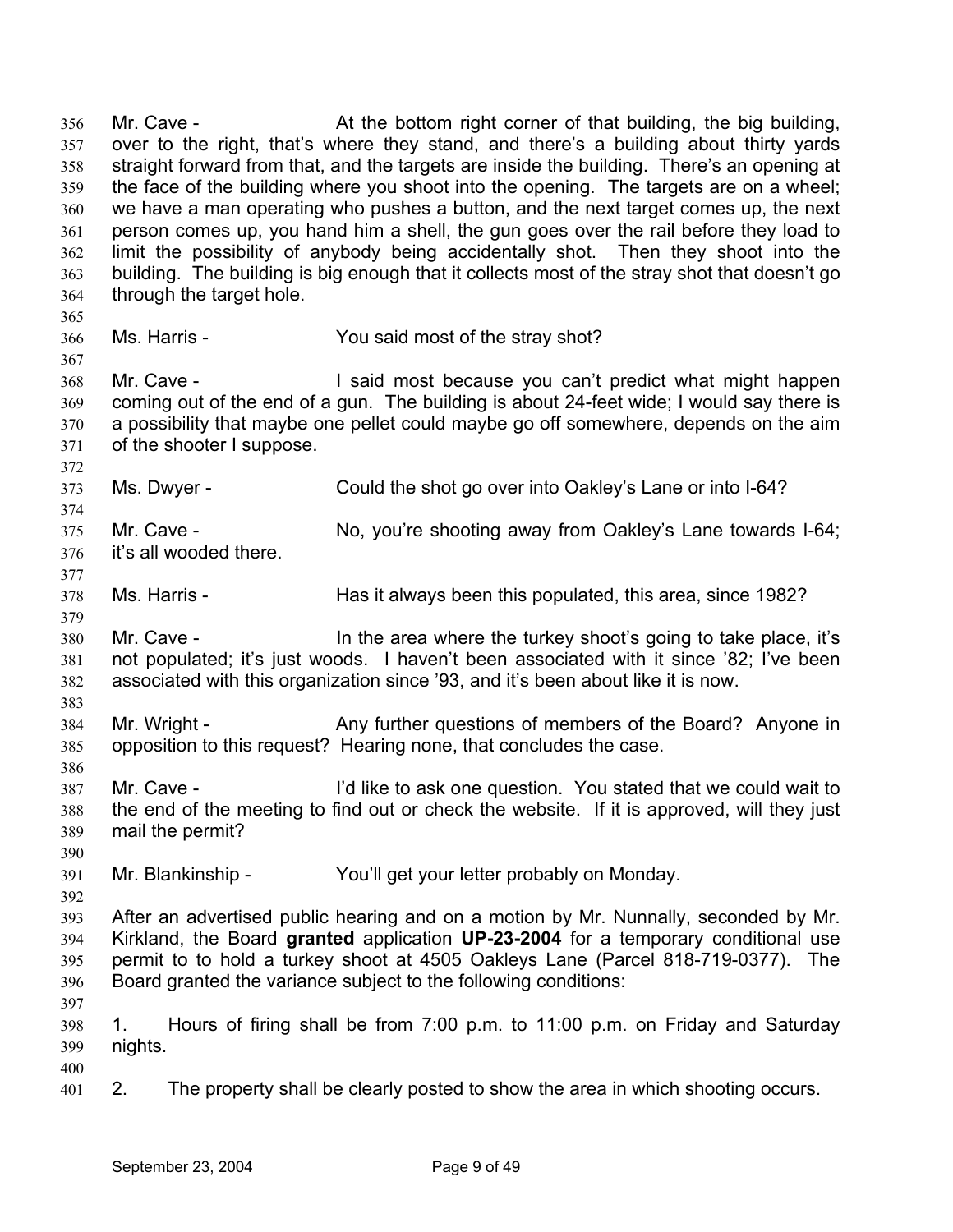Mr. Cave - **At the bottom right corner of that building, the big building,** over to the right, that's where they stand, and there's a building about thirty yards straight forward from that, and the targets are inside the building. There's an opening at the face of the building where you shoot into the opening. The targets are on a wheel; we have a man operating who pushes a button, and the next target comes up, the next person comes up, you hand him a shell, the gun goes over the rail before they load to limit the possibility of anybody being accidentally shot. Then they shoot into the building. The building is big enough that it collects most of the stray shot that doesn't go through the target hole. 356 357 358 359 360 361 362 363 364 365 366 367 368 369 370 371 372 373 374 375 376 377 378 379 380 381 382 383 384 385 386 387 388 389 390 391 392 393 394 395 396 397 398 399 400 401 Ms. Harris - The Stray Shot? You said most of the stray shot? Mr. Cave - **I** said most because you can't predict what might happen coming out of the end of a gun. The building is about 24-feet wide; I would say there is a possibility that maybe one pellet could maybe go off somewhere, depends on the aim of the shooter I suppose. Ms. Dwyer - Could the shot go over into Oakley's Lane or into I-64? Mr. Cave - No, you're shooting away from Oakley's Lane towards I-64; it's all wooded there. Ms. Harris - **Has it always been this populated, this area, since 1982?** Mr. Cave - In the area where the turkey shoot's going to take place, it's not populated; it's just woods. I haven't been associated with it since '82; I've been associated with this organization since '93, and it's been about like it is now. Mr. Wright - Any further questions of members of the Board? Anyone in opposition to this request? Hearing none, that concludes the case. Mr. Cave - I'd like to ask one question. You stated that we could wait to the end of the meeting to find out or check the website. If it is approved, will they just mail the permit? Mr. Blankinship - You'll get your letter probably on Monday. After an advertised public hearing and on a motion by Mr. Nunnally, seconded by Mr. Kirkland, the Board **granted** application **UP-23-2004** for a temporary conditional use permit to to hold a turkey shoot at 4505 Oakleys Lane (Parcel 818-719-0377). The Board granted the variance subject to the following conditions: 1. Hours of firing shall be from 7:00 p.m. to 11:00 p.m. on Friday and Saturday nights. 2. The property shall be clearly posted to show the area in which shooting occurs.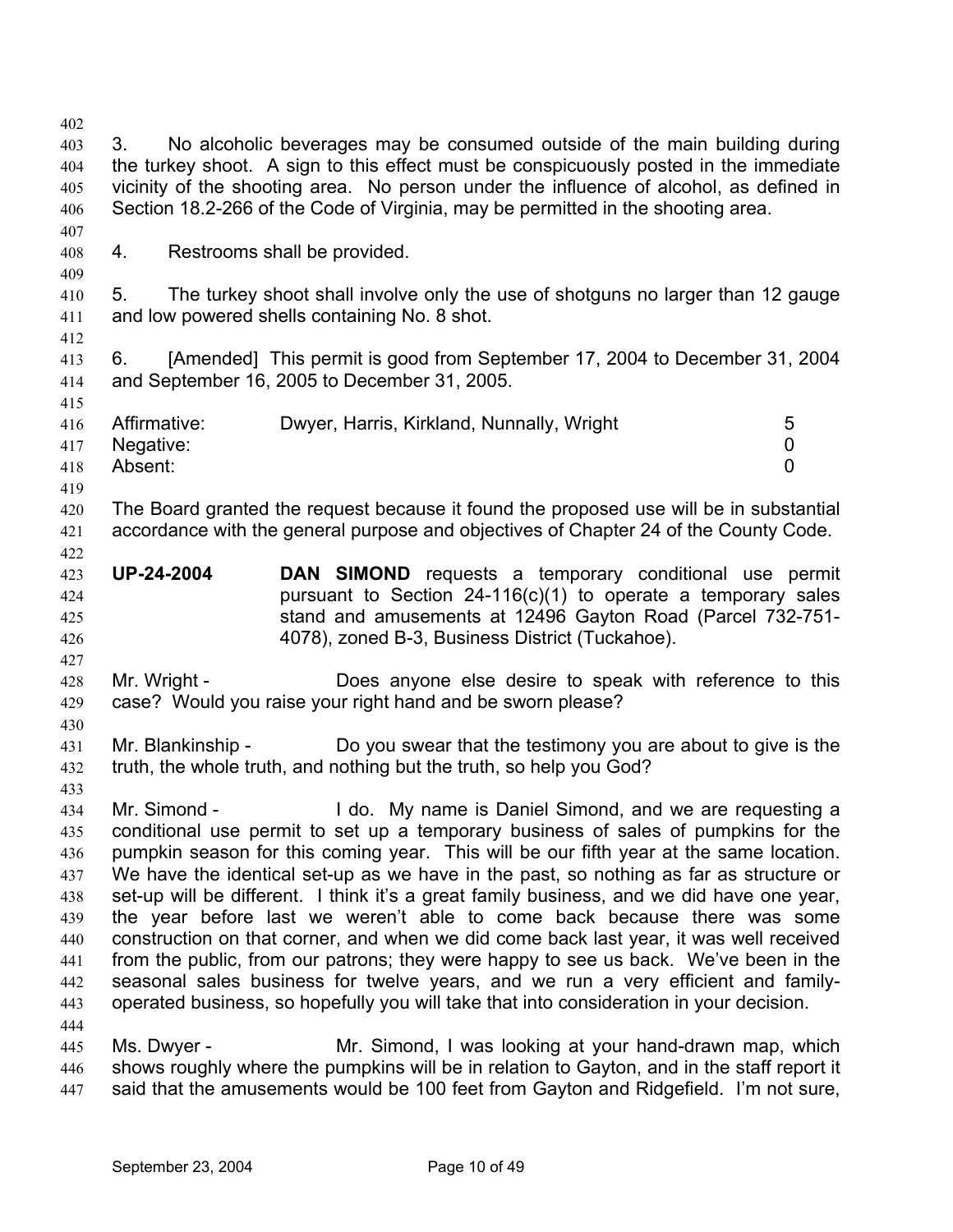| 402 |                                                                                        |                                                                                            |                |  |  |
|-----|----------------------------------------------------------------------------------------|--------------------------------------------------------------------------------------------|----------------|--|--|
| 403 | No alcoholic beverages may be consumed outside of the main building during<br>3.       |                                                                                            |                |  |  |
| 404 | the turkey shoot. A sign to this effect must be conspicuously posted in the immediate  |                                                                                            |                |  |  |
| 405 | vicinity of the shooting area. No person under the influence of alcohol, as defined in |                                                                                            |                |  |  |
| 406 | Section 18.2-266 of the Code of Virginia, may be permitted in the shooting area.       |                                                                                            |                |  |  |
| 407 |                                                                                        |                                                                                            |                |  |  |
| 408 | 4.                                                                                     | Restrooms shall be provided.                                                               |                |  |  |
| 409 |                                                                                        |                                                                                            |                |  |  |
|     | 5.                                                                                     | The turkey shoot shall involve only the use of shotguns no larger than 12 gauge            |                |  |  |
| 410 |                                                                                        |                                                                                            |                |  |  |
| 411 |                                                                                        | and low powered shells containing No. 8 shot.                                              |                |  |  |
| 412 |                                                                                        |                                                                                            |                |  |  |
| 413 | 6.                                                                                     | [Amended] This permit is good from September 17, 2004 to December 31, 2004                 |                |  |  |
| 414 |                                                                                        | and September 16, 2005 to December 31, 2005.                                               |                |  |  |
| 415 |                                                                                        |                                                                                            |                |  |  |
| 416 | Affirmative:                                                                           | Dwyer, Harris, Kirkland, Nunnally, Wright                                                  | 5              |  |  |
| 417 | Negative:                                                                              |                                                                                            | 0              |  |  |
| 418 | Absent:                                                                                |                                                                                            | $\overline{0}$ |  |  |
| 419 |                                                                                        |                                                                                            |                |  |  |
| 420 |                                                                                        | The Board granted the request because it found the proposed use will be in substantial     |                |  |  |
| 421 |                                                                                        | accordance with the general purpose and objectives of Chapter 24 of the County Code.       |                |  |  |
| 422 |                                                                                        |                                                                                            |                |  |  |
| 423 | <b>UP-24-2004</b>                                                                      | DAN SIMOND requests a temporary conditional use permit                                     |                |  |  |
| 424 |                                                                                        | pursuant to Section $24-116(c)(1)$ to operate a temporary sales                            |                |  |  |
| 425 |                                                                                        | stand and amusements at 12496 Gayton Road (Parcel 732-751-                                 |                |  |  |
| 426 |                                                                                        | 4078), zoned B-3, Business District (Tuckahoe).                                            |                |  |  |
| 427 |                                                                                        |                                                                                            |                |  |  |
| 428 | Mr. Wright -                                                                           | Does anyone else desire to speak with reference to this                                    |                |  |  |
| 429 |                                                                                        | case? Would you raise your right hand and be sworn please?                                 |                |  |  |
| 430 |                                                                                        |                                                                                            |                |  |  |
| 431 | Mr. Blankinship -                                                                      | Do you swear that the testimony you are about to give is the                               |                |  |  |
| 432 |                                                                                        | truth, the whole truth, and nothing but the truth, so help you God?                        |                |  |  |
| 433 |                                                                                        |                                                                                            |                |  |  |
| 434 |                                                                                        | Mr. Simond - I do. My name is Daniel Simond, and we are requesting a                       |                |  |  |
| 435 |                                                                                        | conditional use permit to set up a temporary business of sales of pumpkins for the         |                |  |  |
| 436 |                                                                                        | pumpkin season for this coming year. This will be our fifth year at the same location.     |                |  |  |
| 437 |                                                                                        | We have the identical set-up as we have in the past, so nothing as far as structure or     |                |  |  |
| 438 |                                                                                        | set-up will be different. I think it's a great family business, and we did have one year,  |                |  |  |
| 439 |                                                                                        | the year before last we weren't able to come back because there was some                   |                |  |  |
| 440 |                                                                                        | construction on that corner, and when we did come back last year, it was well received     |                |  |  |
| 441 |                                                                                        | from the public, from our patrons; they were happy to see us back. We've been in the       |                |  |  |
| 442 |                                                                                        | seasonal sales business for twelve years, and we run a very efficient and family-          |                |  |  |
| 443 |                                                                                        | operated business, so hopefully you will take that into consideration in your decision.    |                |  |  |
| 444 |                                                                                        |                                                                                            |                |  |  |
| 445 | Ms. Dwyer -                                                                            | Mr. Simond, I was looking at your hand-drawn map, which                                    |                |  |  |
| 446 |                                                                                        | shows roughly where the pumpkins will be in relation to Gayton, and in the staff report it |                |  |  |
| 447 |                                                                                        | said that the amusements would be 100 feet from Gayton and Ridgefield. I'm not sure,       |                |  |  |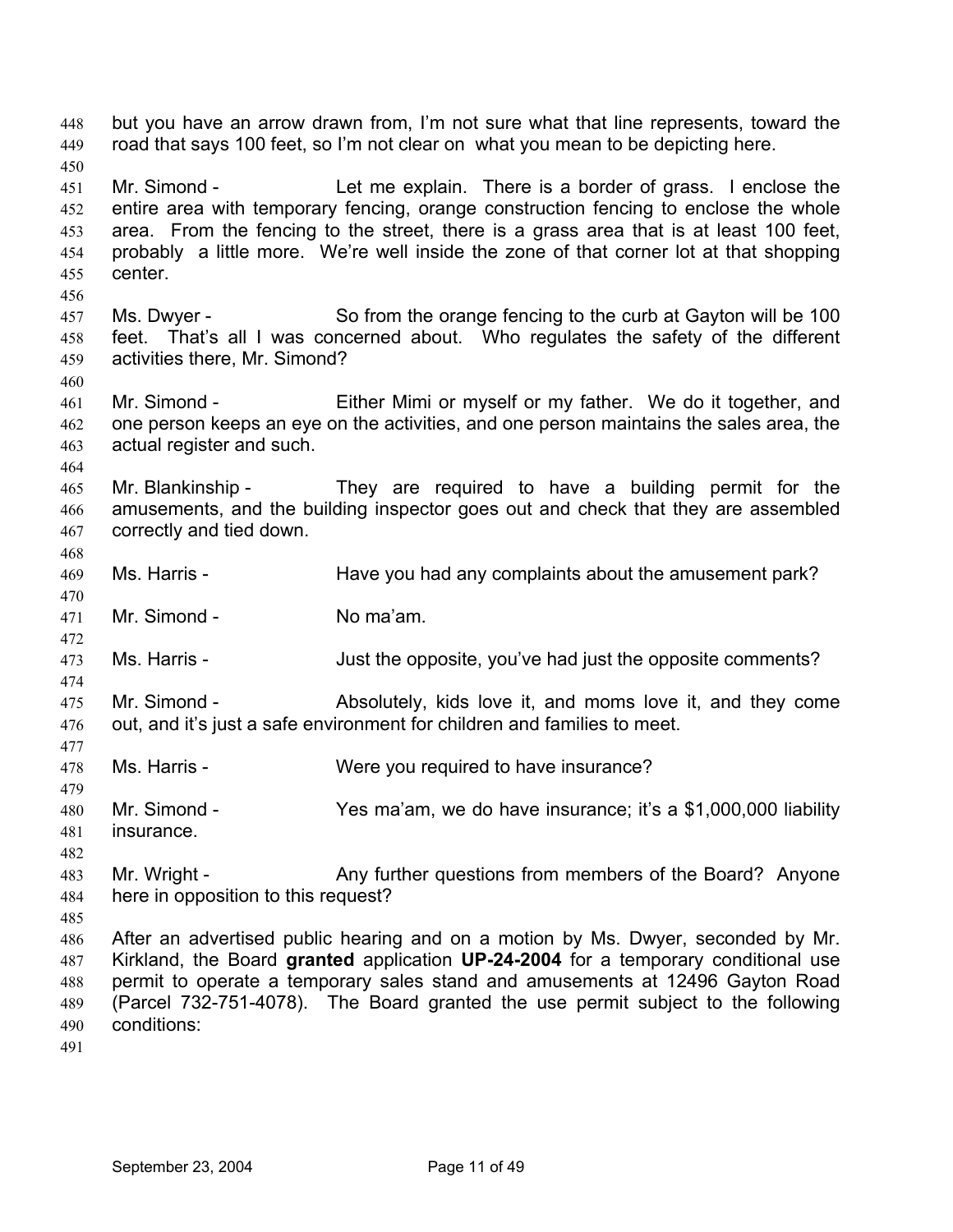but you have an arrow drawn from, I'm not sure what that line represents, toward the road that says 100 feet, so I'm not clear on what you mean to be depicting here. 448 449 450 451 452 453 454 455 456 457 458 459 460 461 462 463 464 465 466 467 468 469 470 471 472 473 474 475 476 477 478 479 480 481 482 483 484 485 486 487 488 489 490 491 Mr. Simond - Let me explain. There is a border of grass. I enclose the entire area with temporary fencing, orange construction fencing to enclose the whole area. From the fencing to the street, there is a grass area that is at least 100 feet, probably a little more. We're well inside the zone of that corner lot at that shopping center. Ms. Dwyer - So from the orange fencing to the curb at Gayton will be 100 feet. That's all I was concerned about. Who regulates the safety of the different activities there, Mr. Simond? Mr. Simond - Either Mimi or myself or my father. We do it together, and one person keeps an eye on the activities, and one person maintains the sales area, the actual register and such. Mr. Blankinship - They are required to have a building permit for the amusements, and the building inspector goes out and check that they are assembled correctly and tied down. Ms. Harris - Have you had any complaints about the amusement park? Mr. Simond - No ma'am. Ms. Harris - Just the opposite, you've had just the opposite comments? Mr. Simond - Absolutely, kids love it, and moms love it, and they come out, and it's just a safe environment for children and families to meet. Ms. Harris - Were you required to have insurance? Mr. Simond - Yes ma'am, we do have insurance; it's a \$1,000,000 liability insurance. Mr. Wright - **Any further questions from members of the Board?** Anyone here in opposition to this request? After an advertised public hearing and on a motion by Ms. Dwyer, seconded by Mr. Kirkland, the Board **granted** application **UP-24-2004** for a temporary conditional use permit to operate a temporary sales stand and amusements at 12496 Gayton Road (Parcel 732-751-4078). The Board granted the use permit subject to the following conditions: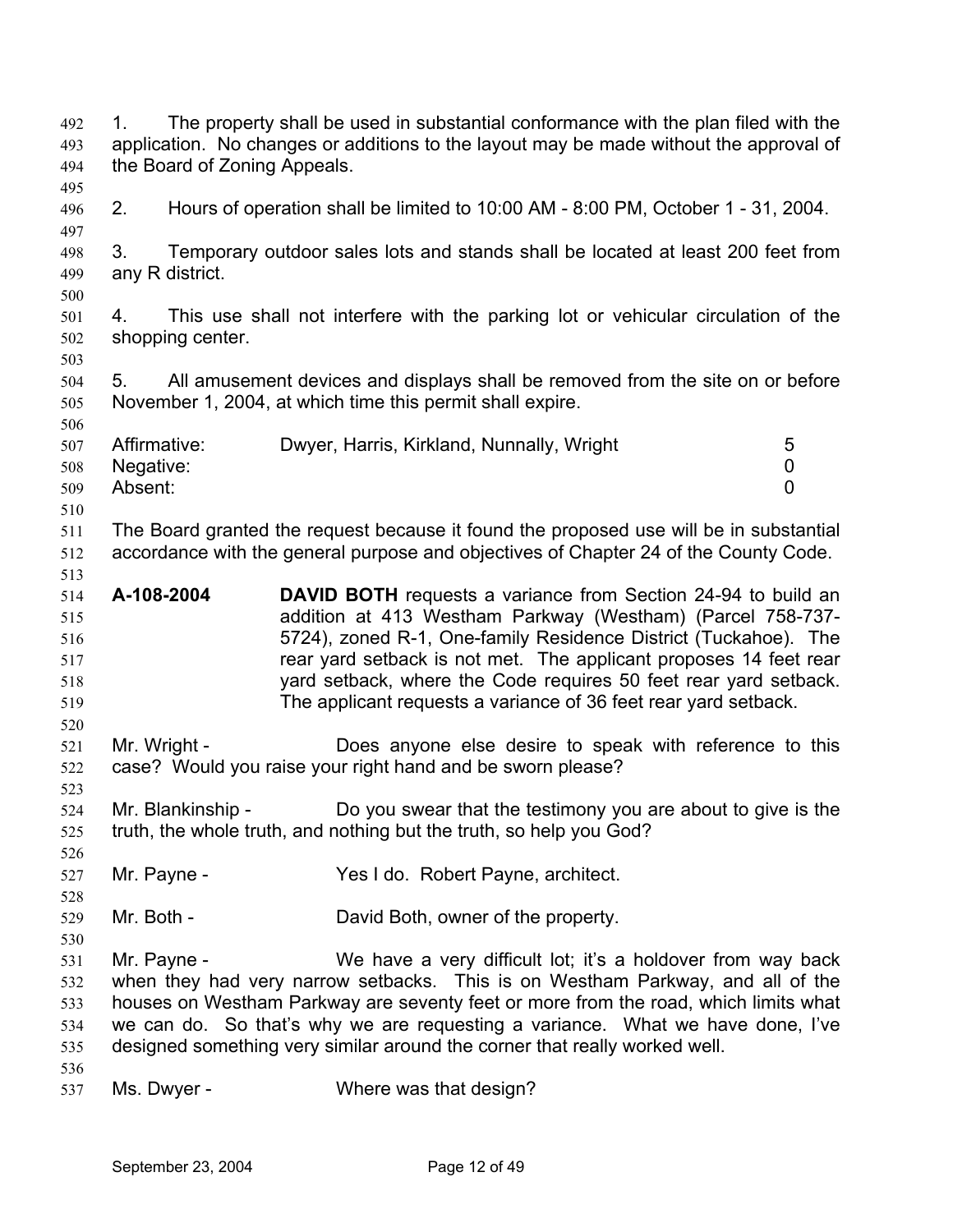| 492<br>493<br>494<br>495                      | The property shall be used in substantial conformance with the plan filed with the<br>1.<br>application. No changes or additions to the layout may be made without the approval of<br>the Board of Zoning Appeals. |                                                                                                                                                                                                                                                                                                                                                                                                                   |                          |  |
|-----------------------------------------------|--------------------------------------------------------------------------------------------------------------------------------------------------------------------------------------------------------------------|-------------------------------------------------------------------------------------------------------------------------------------------------------------------------------------------------------------------------------------------------------------------------------------------------------------------------------------------------------------------------------------------------------------------|--------------------------|--|
| 496<br>497                                    | 2.                                                                                                                                                                                                                 | Hours of operation shall be limited to 10:00 AM - 8:00 PM, October 1 - 31, 2004.                                                                                                                                                                                                                                                                                                                                  |                          |  |
| 498<br>499<br>500                             | 3.<br>any R district.                                                                                                                                                                                              | Temporary outdoor sales lots and stands shall be located at least 200 feet from                                                                                                                                                                                                                                                                                                                                   |                          |  |
| 501<br>502<br>503                             | 4.<br>shopping center.                                                                                                                                                                                             | This use shall not interfere with the parking lot or vehicular circulation of the                                                                                                                                                                                                                                                                                                                                 |                          |  |
| 504<br>505<br>506                             | 5.                                                                                                                                                                                                                 | All amusement devices and displays shall be removed from the site on or before<br>November 1, 2004, at which time this permit shall expire.                                                                                                                                                                                                                                                                       |                          |  |
| 507<br>508<br>509<br>510                      | Affirmative:<br>Negative:<br>Absent:                                                                                                                                                                               | Dwyer, Harris, Kirkland, Nunnally, Wright                                                                                                                                                                                                                                                                                                                                                                         | 5<br>0<br>$\overline{0}$ |  |
| 511<br>512<br>513                             |                                                                                                                                                                                                                    | The Board granted the request because it found the proposed use will be in substantial<br>accordance with the general purpose and objectives of Chapter 24 of the County Code.                                                                                                                                                                                                                                    |                          |  |
| 514<br>515<br>516<br>517<br>518<br>519<br>520 | A-108-2004                                                                                                                                                                                                         | <b>DAVID BOTH</b> requests a variance from Section 24-94 to build an<br>addition at 413 Westham Parkway (Westham) (Parcel 758-737-<br>5724), zoned R-1, One-family Residence District (Tuckahoe). The<br>rear yard setback is not met. The applicant proposes 14 feet rear<br>yard setback, where the Code requires 50 feet rear yard setback.<br>The applicant requests a variance of 36 feet rear yard setback. |                          |  |
| 521<br>522<br>523                             | Mr. Wright -                                                                                                                                                                                                       | Does anyone else desire to speak with reference to this<br>case? Would you raise your right hand and be sworn please?                                                                                                                                                                                                                                                                                             |                          |  |
| 524<br>525<br>526                             | Mr. Blankinship -                                                                                                                                                                                                  | Do you swear that the testimony you are about to give is the<br>truth, the whole truth, and nothing but the truth, so help you God?                                                                                                                                                                                                                                                                               |                          |  |
| 527<br>528                                    | Mr. Payne -                                                                                                                                                                                                        | Yes I do. Robert Payne, architect.                                                                                                                                                                                                                                                                                                                                                                                |                          |  |
| 529<br>530                                    | Mr. Both -                                                                                                                                                                                                         | David Both, owner of the property.                                                                                                                                                                                                                                                                                                                                                                                |                          |  |
| 531<br>532<br>533<br>534<br>535<br>536        | Mr. Payne -                                                                                                                                                                                                        | We have a very difficult lot; it's a holdover from way back<br>when they had very narrow setbacks. This is on Westham Parkway, and all of the<br>houses on Westham Parkway are seventy feet or more from the road, which limits what<br>we can do. So that's why we are requesting a variance. What we have done, I've<br>designed something very similar around the corner that really worked well.              |                          |  |
| 537                                           | Ms. Dwyer -                                                                                                                                                                                                        | Where was that design?                                                                                                                                                                                                                                                                                                                                                                                            |                          |  |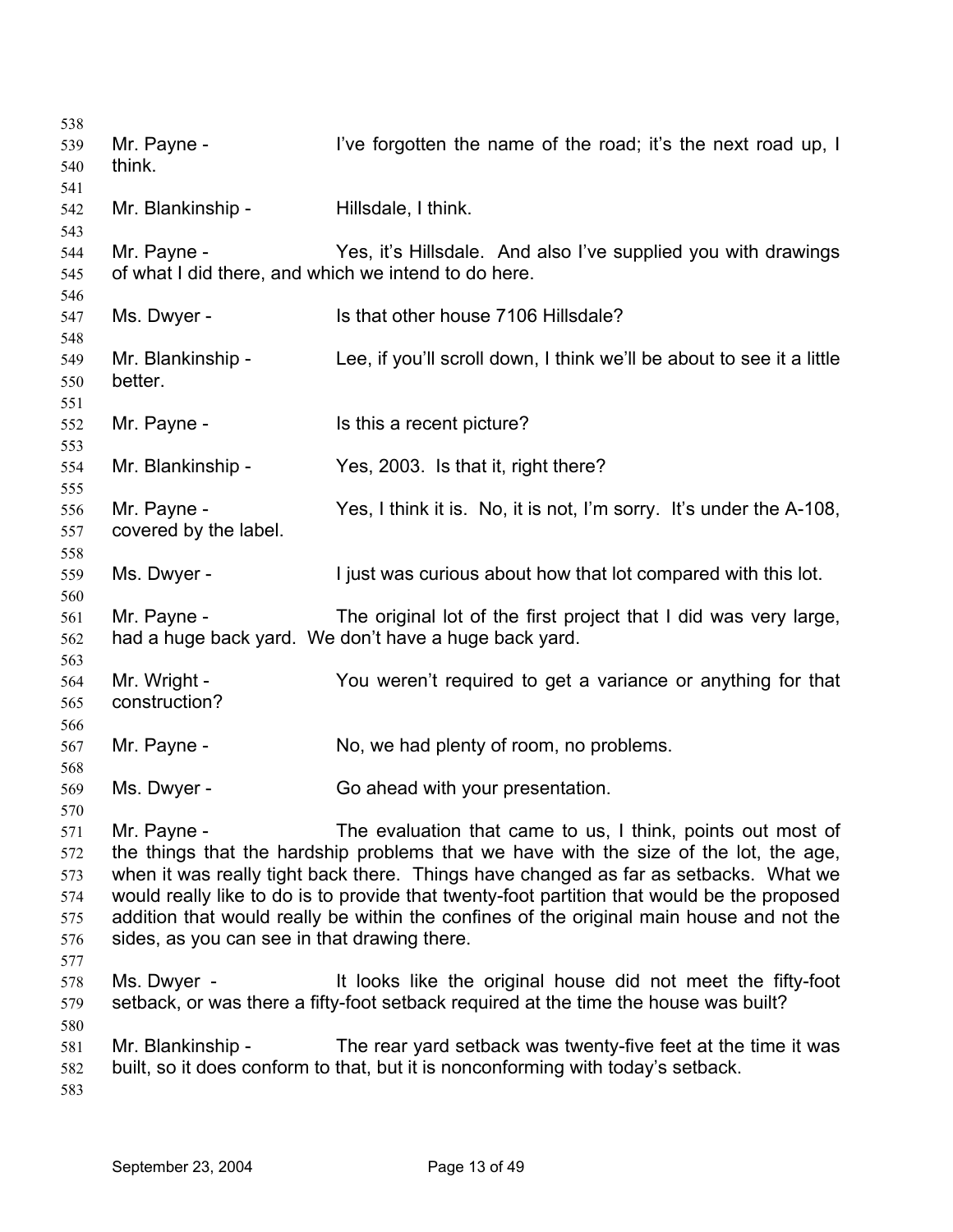| 538                                                  |                                                                     |                                                                                                                                                                                                                                                                                                                                                                                                                                         |
|------------------------------------------------------|---------------------------------------------------------------------|-----------------------------------------------------------------------------------------------------------------------------------------------------------------------------------------------------------------------------------------------------------------------------------------------------------------------------------------------------------------------------------------------------------------------------------------|
| 539<br>540                                           | Mr. Payne -<br>think.                                               | I've forgotten the name of the road; it's the next road up, I                                                                                                                                                                                                                                                                                                                                                                           |
| 541                                                  |                                                                     |                                                                                                                                                                                                                                                                                                                                                                                                                                         |
| 542<br>543                                           | Mr. Blankinship -                                                   | Hillsdale, I think.                                                                                                                                                                                                                                                                                                                                                                                                                     |
| 544<br>545<br>546                                    | Mr. Payne -<br>of what I did there, and which we intend to do here. | Yes, it's Hillsdale. And also I've supplied you with drawings                                                                                                                                                                                                                                                                                                                                                                           |
| 547<br>548                                           | Ms. Dwyer -                                                         | Is that other house 7106 Hillsdale?                                                                                                                                                                                                                                                                                                                                                                                                     |
| 549<br>550<br>551                                    | Mr. Blankinship -<br>better.                                        | Lee, if you'll scroll down, I think we'll be about to see it a little                                                                                                                                                                                                                                                                                                                                                                   |
| 552<br>553                                           | Mr. Payne -                                                         | Is this a recent picture?                                                                                                                                                                                                                                                                                                                                                                                                               |
| 554<br>555                                           | Mr. Blankinship -                                                   | Yes, 2003. Is that it, right there?                                                                                                                                                                                                                                                                                                                                                                                                     |
| 556<br>557<br>558                                    | Mr. Payne -<br>covered by the label.                                | Yes, I think it is. No, it is not, I'm sorry. It's under the A-108,                                                                                                                                                                                                                                                                                                                                                                     |
| 559<br>560                                           | Ms. Dwyer -                                                         | I just was curious about how that lot compared with this lot.                                                                                                                                                                                                                                                                                                                                                                           |
| 561<br>562                                           | Mr. Payne -                                                         | The original lot of the first project that I did was very large,<br>had a huge back yard. We don't have a huge back yard.                                                                                                                                                                                                                                                                                                               |
| 563<br>564<br>565                                    | Mr. Wright -<br>construction?                                       | You weren't required to get a variance or anything for that                                                                                                                                                                                                                                                                                                                                                                             |
| 566<br>567<br>568                                    | Mr. Payne -                                                         | No, we had plenty of room, no problems.                                                                                                                                                                                                                                                                                                                                                                                                 |
| 569                                                  | Ms. Dwyer -                                                         | Go ahead with your presentation.                                                                                                                                                                                                                                                                                                                                                                                                        |
| 570<br>571<br>572<br>573<br>574<br>575<br>576<br>577 | Mr. Payne -<br>sides, as you can see in that drawing there.         | The evaluation that came to us, I think, points out most of<br>the things that the hardship problems that we have with the size of the lot, the age,<br>when it was really tight back there. Things have changed as far as setbacks. What we<br>would really like to do is to provide that twenty-foot partition that would be the proposed<br>addition that would really be within the confines of the original main house and not the |
| 578<br>579<br>580                                    | Ms. Dwyer -                                                         | It looks like the original house did not meet the fifty-foot<br>setback, or was there a fifty-foot setback required at the time the house was built?                                                                                                                                                                                                                                                                                    |
| 581<br>582<br>583                                    | Mr. Blankinship -                                                   | The rear yard setback was twenty-five feet at the time it was<br>built, so it does conform to that, but it is nonconforming with today's setback.                                                                                                                                                                                                                                                                                       |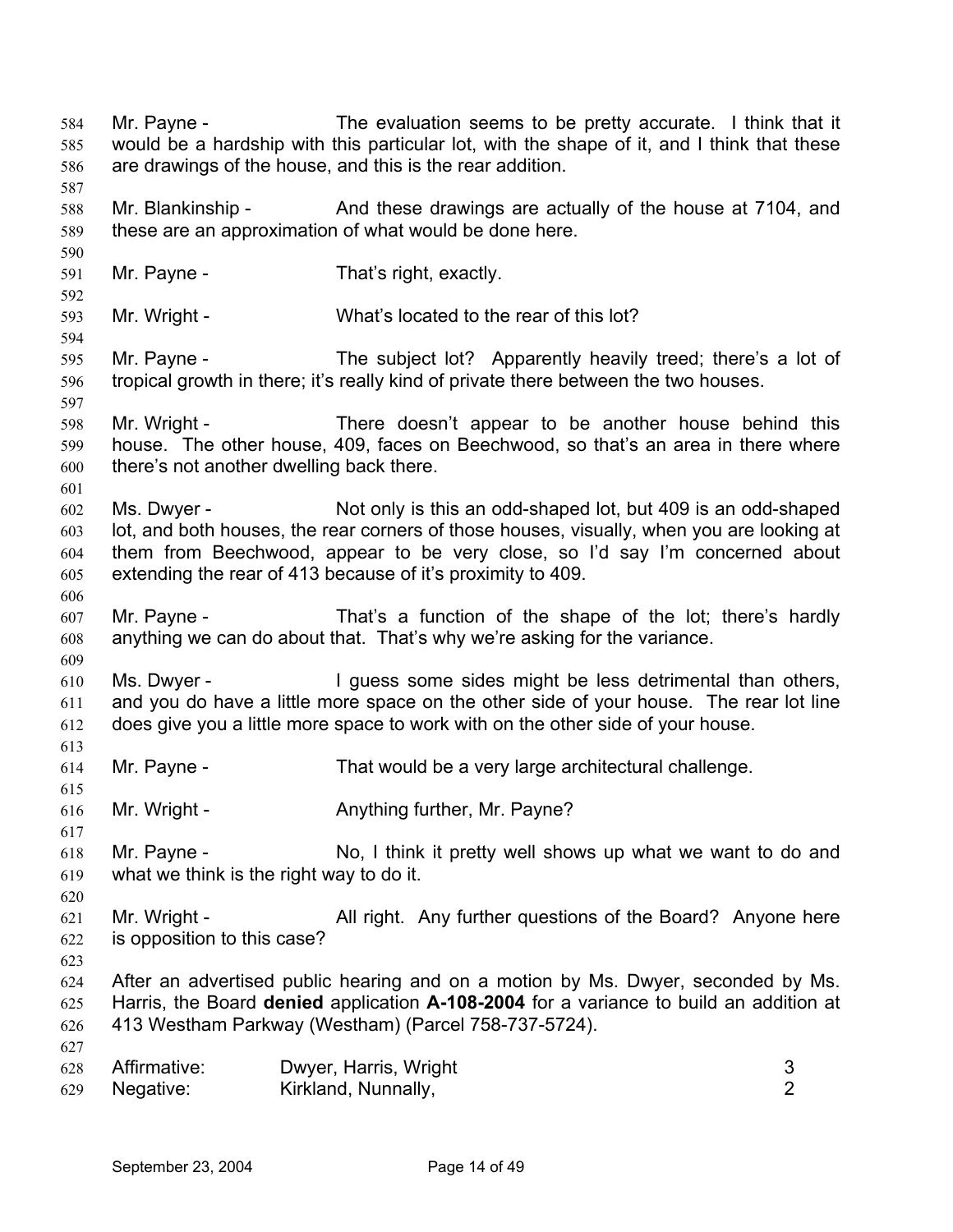Mr. Payne - The evaluation seems to be pretty accurate. I think that it would be a hardship with this particular lot, with the shape of it, and I think that these are drawings of the house, and this is the rear addition. 584 585 586 587 588 589 590 591 592 593 594 595 596 597 598 599 600 601 602 603 604 605 606 607 608 609 610 611 612 613 614 615 616 617 618 619 620 621 622 623 624 625 626 627 628 629 Mr. Blankinship - And these drawings are actually of the house at 7104, and these are an approximation of what would be done here. Mr. Payne - That's right, exactly. Mr. Wright - What's located to the rear of this lot? Mr. Payne - The subject lot? Apparently heavily treed; there's a lot of tropical growth in there; it's really kind of private there between the two houses. Mr. Wright - There doesn't appear to be another house behind this house. The other house, 409, faces on Beechwood, so that's an area in there where there's not another dwelling back there. Ms. Dwyer - Not only is this an odd-shaped lot, but 409 is an odd-shaped lot, and both houses, the rear corners of those houses, visually, when you are looking at them from Beechwood, appear to be very close, so I'd say I'm concerned about extending the rear of 413 because of it's proximity to 409. Mr. Payne - That's a function of the shape of the lot; there's hardly anything we can do about that. That's why we're asking for the variance. Ms. Dwyer - The Unit of the same sides might be less detrimental than others, and you do have a little more space on the other side of your house. The rear lot line does give you a little more space to work with on the other side of your house. Mr. Payne - That would be a very large architectural challenge. Mr. Wright - Anything further, Mr. Payne? Mr. Payne - No, I think it pretty well shows up what we want to do and what we think is the right way to do it. Mr. Wright - All right. Any further questions of the Board? Anyone here is opposition to this case? After an advertised public hearing and on a motion by Ms. Dwyer, seconded by Ms. Harris, the Board **denied** application **A-108-2004** for a variance to build an addition at 413 Westham Parkway (Westham) (Parcel 758-737-5724). Affirmative: Dwyer, Harris, Wright 3 Negative: Kirkland, Nunnally, 2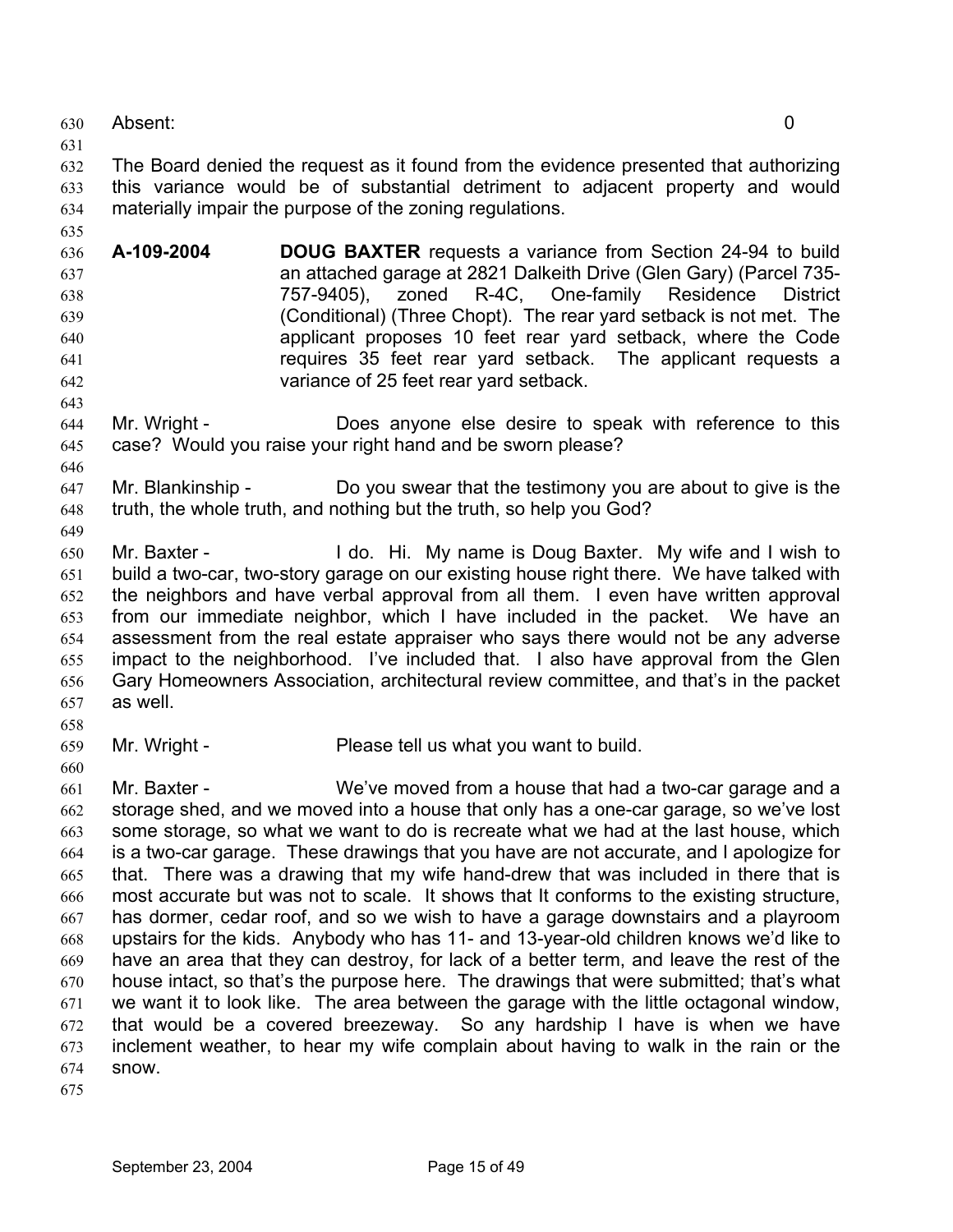630 Absent: 0

631

635

643

646

649

632 633 634 The Board denied the request as it found from the evidence presented that authorizing this variance would be of substantial detriment to adjacent property and would materially impair the purpose of the zoning regulations.

- 636 637 638 639 640 641 642 **A-109-2004 DOUG BAXTER** requests a variance from Section 24-94 to build an attached garage at 2821 Dalkeith Drive (Glen Gary) (Parcel 735- 757-9405), zoned R-4C, One-family Residence District (Conditional) (Three Chopt). The rear yard setback is not met. The applicant proposes 10 feet rear yard setback, where the Code requires 35 feet rear yard setback. The applicant requests a variance of 25 feet rear yard setback.
- 644 645 Mr. Wright - Does anyone else desire to speak with reference to this case? Would you raise your right hand and be sworn please?
- 647 648 Mr. Blankinship - Do you swear that the testimony you are about to give is the truth, the whole truth, and nothing but the truth, so help you God?
- 650 651 652 653 654 655 656 657 Mr. Baxter - The Music Hi. My name is Doug Baxter. My wife and I wish to build a two-car, two-story garage on our existing house right there. We have talked with the neighbors and have verbal approval from all them. I even have written approval from our immediate neighbor, which I have included in the packet. We have an assessment from the real estate appraiser who says there would not be any adverse impact to the neighborhood. I've included that. I also have approval from the Glen Gary Homeowners Association, architectural review committee, and that's in the packet as well.
- 658

- 659
- Mr. Wright Please tell us what you want to build.
- 661 662 663 664 665 666 667 668 669 670 671 672 673 674 Mr. Baxter - We've moved from a house that had a two-car garage and a storage shed, and we moved into a house that only has a one-car garage, so we've lost some storage, so what we want to do is recreate what we had at the last house, which is a two-car garage. These drawings that you have are not accurate, and I apologize for that. There was a drawing that my wife hand-drew that was included in there that is most accurate but was not to scale. It shows that It conforms to the existing structure, has dormer, cedar roof, and so we wish to have a garage downstairs and a playroom upstairs for the kids. Anybody who has 11- and 13-year-old children knows we'd like to have an area that they can destroy, for lack of a better term, and leave the rest of the house intact, so that's the purpose here. The drawings that were submitted; that's what we want it to look like. The area between the garage with the little octagonal window, that would be a covered breezeway. So any hardship I have is when we have inclement weather, to hear my wife complain about having to walk in the rain or the snow.
- 675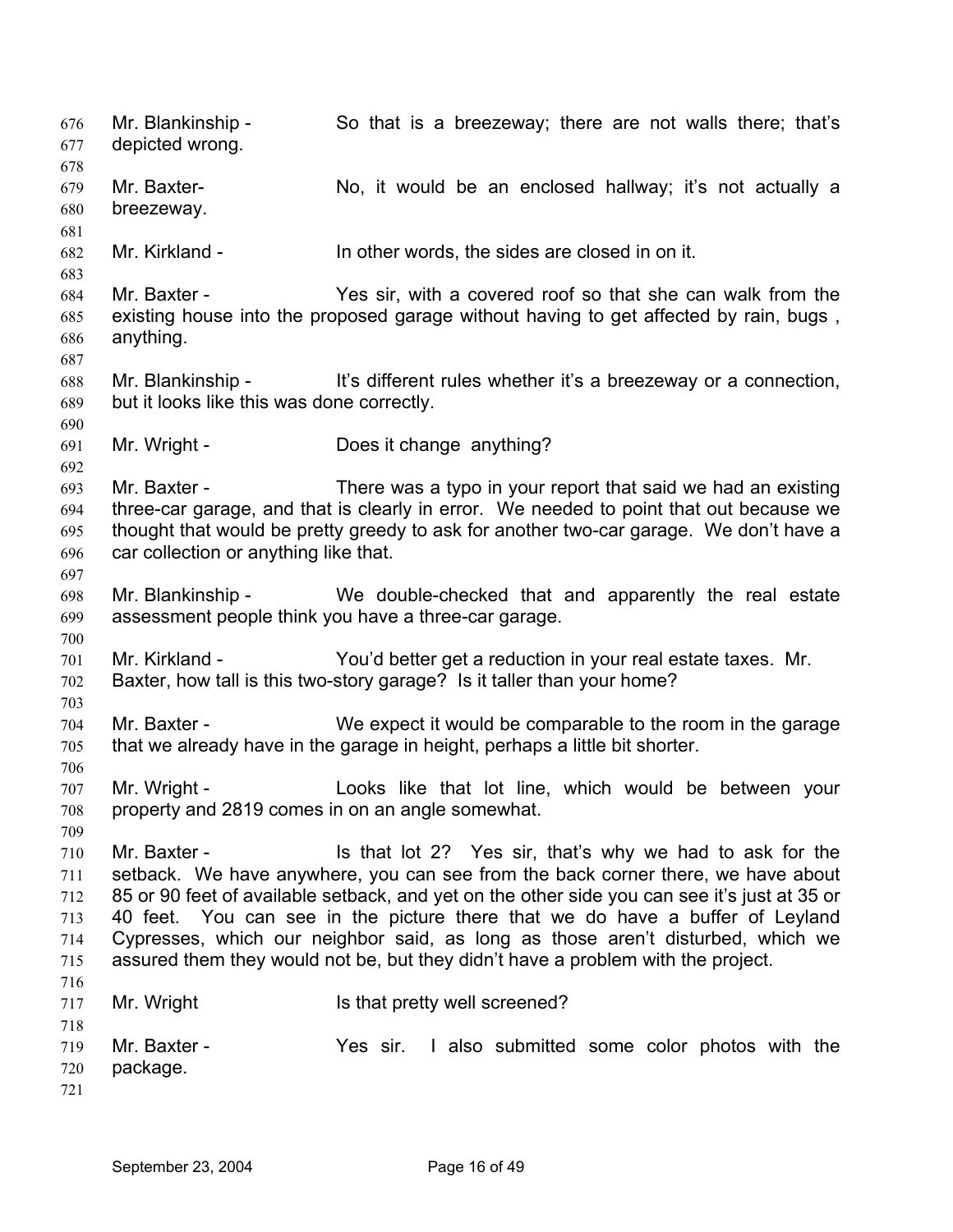Mr. Blankinship - So that is a breezeway; there are not walls there; that's depicted wrong. 676 677 678 679 680 681 682 683 684 685 686 687 688 689 690 691 692 693 694 695 696 697 698 699 700 701 702 703 704 705 706 707 708 709 710 711 712 713 714 715 716 717 718 719 720 721 Mr. Baxter- No, it would be an enclosed hallway; it's not actually a breezeway. Mr. Kirkland - In other words, the sides are closed in on it. Mr. Baxter - Yes sir, with a covered roof so that she can walk from the existing house into the proposed garage without having to get affected by rain, bugs , anything. Mr. Blankinship - It's different rules whether it's a breezeway or a connection, but it looks like this was done correctly. Mr. Wright - Does it change anything? Mr. Baxter - There was a typo in your report that said we had an existing three-car garage, and that is clearly in error. We needed to point that out because we thought that would be pretty greedy to ask for another two-car garage. We don't have a car collection or anything like that. Mr. Blankinship - We double-checked that and apparently the real estate assessment people think you have a three-car garage. Mr. Kirkland - You'd better get a reduction in your real estate taxes. Mr. Baxter, how tall is this two-story garage? Is it taller than your home? Mr. Baxter - We expect it would be comparable to the room in the garage that we already have in the garage in height, perhaps a little bit shorter. Mr. Wright - Looks like that lot line, which would be between your property and 2819 comes in on an angle somewhat. Mr. Baxter - The State of that lot 2? Yes sir, that's why we had to ask for the setback. We have anywhere, you can see from the back corner there, we have about 85 or 90 feet of available setback, and yet on the other side you can see it's just at 35 or 40 feet. You can see in the picture there that we do have a buffer of Leyland Cypresses, which our neighbor said, as long as those aren't disturbed, which we assured them they would not be, but they didn't have a problem with the project. Mr. Wright **IS that pretty well screened?** Mr. Baxter - The Yes sir. I also submitted some color photos with the package.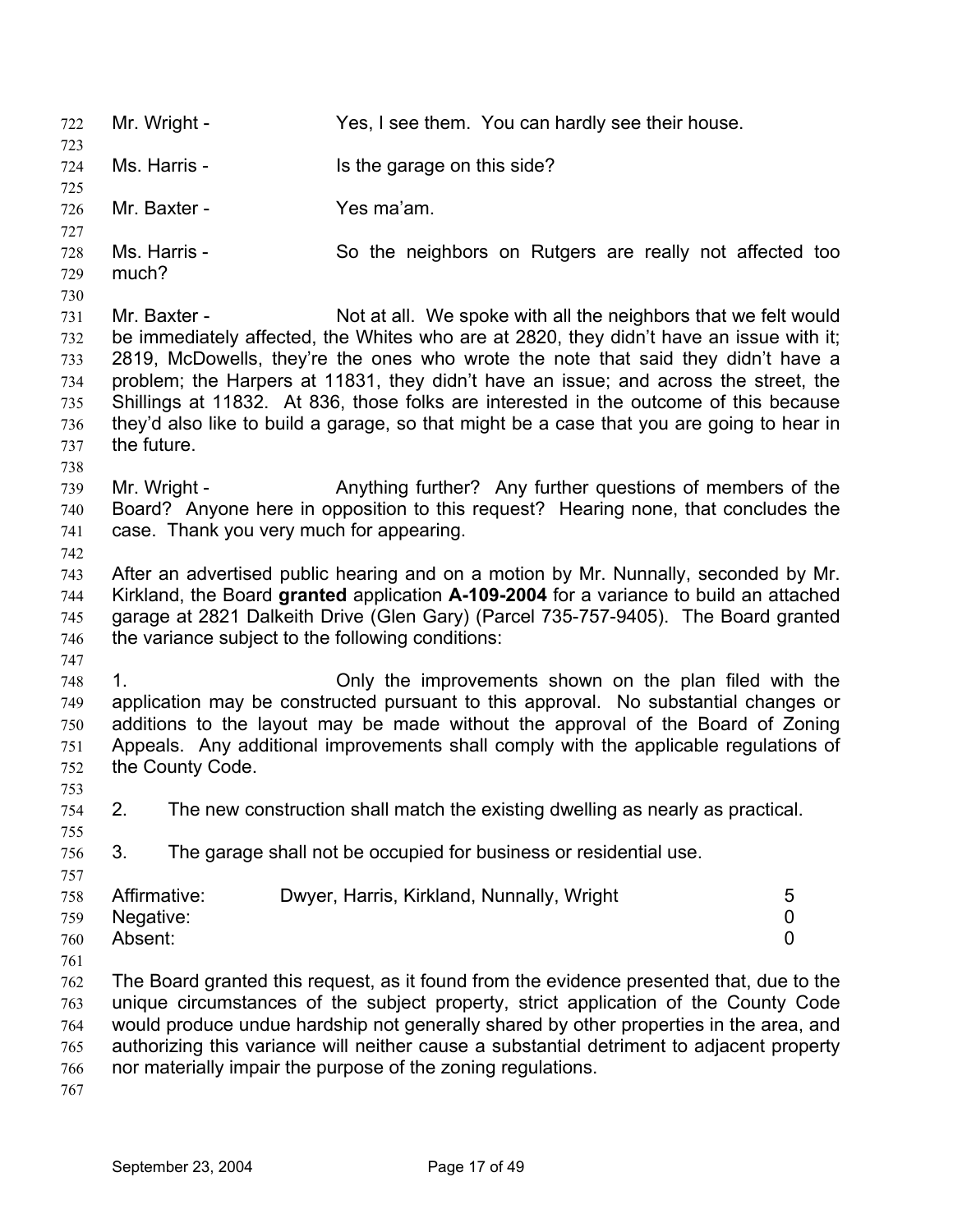722 Mr. Wright - Yes, I see them. You can hardly see their house. 723 724 725 726 727 728 729 730 731 732 733 734 735 736 737 738 739 740 741 742 743 744 745 746 747 748 749 750 751 752 753 754 755 756 757 758 759 760 761 762 763 764 765 766 767 Ms. Harris - Is the garage on this side? Mr. Baxter - Yes ma'am. Ms. Harris - So the neighbors on Rutgers are really not affected too much? Mr. Baxter - Not at all. We spoke with all the neighbors that we felt would be immediately affected, the Whites who are at 2820, they didn't have an issue with it; 2819, McDowells, they're the ones who wrote the note that said they didn't have a problem; the Harpers at 11831, they didn't have an issue; and across the street, the Shillings at 11832. At 836, those folks are interested in the outcome of this because they'd also like to build a garage, so that might be a case that you are going to hear in the future. Mr. Wright - Anything further? Any further questions of members of the Board? Anyone here in opposition to this request? Hearing none, that concludes the case. Thank you very much for appearing. After an advertised public hearing and on a motion by Mr. Nunnally, seconded by Mr. Kirkland, the Board **granted** application **A-109-2004** for a variance to build an attached garage at 2821 Dalkeith Drive (Glen Gary) (Parcel 735-757-9405). The Board granted the variance subject to the following conditions: 1. Only the improvements shown on the plan filed with the application may be constructed pursuant to this approval. No substantial changes or additions to the layout may be made without the approval of the Board of Zoning Appeals. Any additional improvements shall comply with the applicable regulations of the County Code. 2. The new construction shall match the existing dwelling as nearly as practical. 3. The garage shall not be occupied for business or residential use. Affirmative: Dwyer, Harris, Kirkland, Nunnally, Wright 5 Negative: 0 Absent: 0 The Board granted this request, as it found from the evidence presented that, due to the unique circumstances of the subject property, strict application of the County Code would produce undue hardship not generally shared by other properties in the area, and authorizing this variance will neither cause a substantial detriment to adjacent property nor materially impair the purpose of the zoning regulations.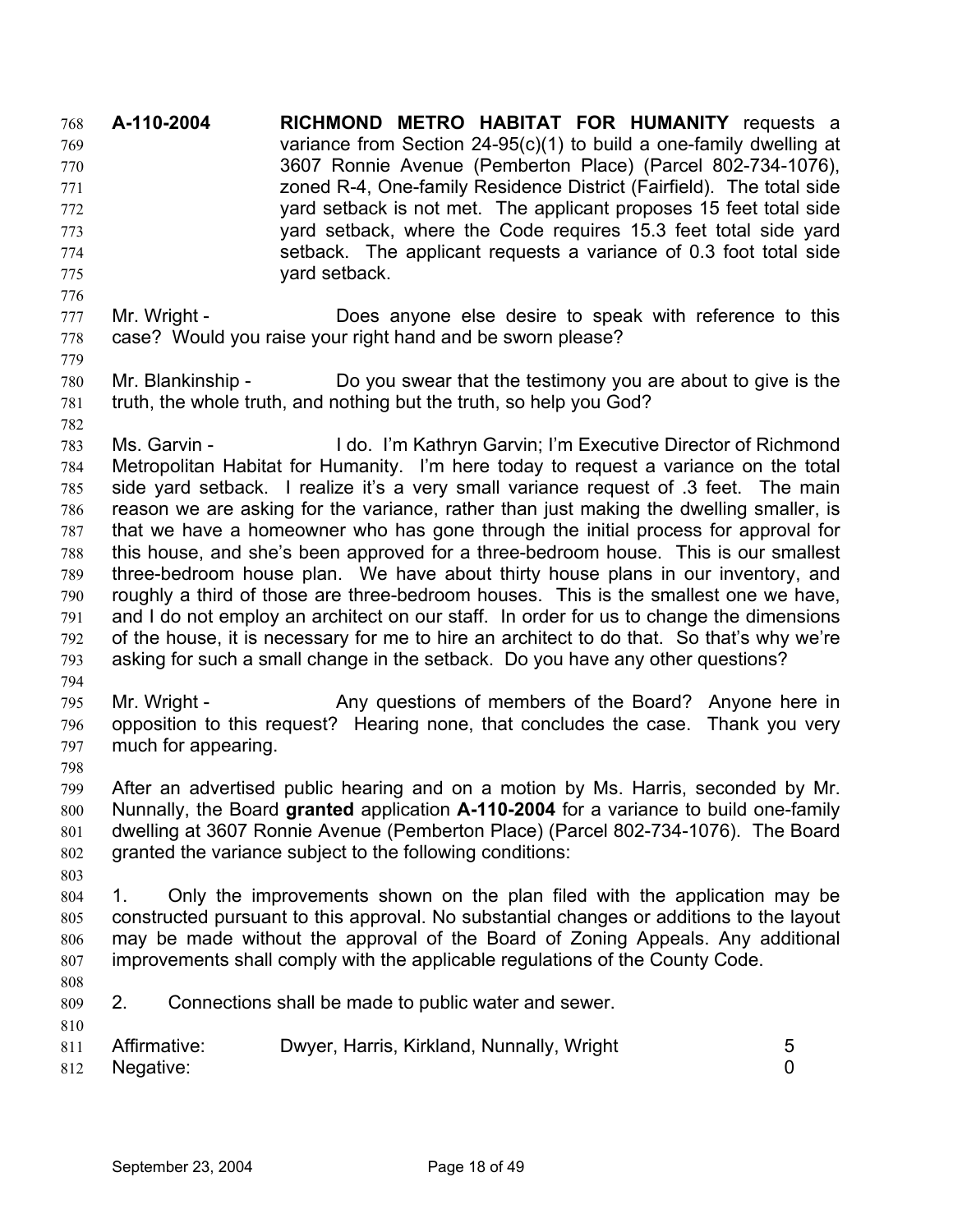**A-110-2004 RICHMOND METRO HABITAT FOR HUMANITY** requests a variance from Section 24-95(c)(1) to build a one-family dwelling at 3607 Ronnie Avenue (Pemberton Place) (Parcel 802-734-1076), zoned R-4, One-family Residence District (Fairfield). The total side yard setback is not met. The applicant proposes 15 feet total side yard setback, where the Code requires 15.3 feet total side yard setback. The applicant requests a variance of 0.3 foot total side yard setback. 768 769 770 771 772 773 774 775

- 777 778 Mr. Wright - **Does anyone else desire to speak with reference to this** case? Would you raise your right hand and be sworn please?
- 780 781 Mr. Blankinship - Do you swear that the testimony you are about to give is the truth, the whole truth, and nothing but the truth, so help you God?
- 782

776

779

783 784 785 786 787 788 789 790 791 792 793 Ms. Garvin - I do. I'm Kathryn Garvin; I'm Executive Director of Richmond Metropolitan Habitat for Humanity. I'm here today to request a variance on the total side yard setback. I realize it's a very small variance request of .3 feet. The main reason we are asking for the variance, rather than just making the dwelling smaller, is that we have a homeowner who has gone through the initial process for approval for this house, and she's been approved for a three-bedroom house. This is our smallest three-bedroom house plan. We have about thirty house plans in our inventory, and roughly a third of those are three-bedroom houses. This is the smallest one we have, and I do not employ an architect on our staff. In order for us to change the dimensions of the house, it is necessary for me to hire an architect to do that. So that's why we're asking for such a small change in the setback. Do you have any other questions?

- 794
- 795 796 797 Mr. Wright - Any questions of members of the Board? Anyone here in opposition to this request? Hearing none, that concludes the case. Thank you very much for appearing.
- 798

799 800 801 802 After an advertised public hearing and on a motion by Ms. Harris, seconded by Mr. Nunnally, the Board **granted** application **A-110-2004** for a variance to build one-family dwelling at 3607 Ronnie Avenue (Pemberton Place) (Parcel 802-734-1076). The Board granted the variance subject to the following conditions:

- 804 805 806 807 1. Only the improvements shown on the plan filed with the application may be constructed pursuant to this approval. No substantial changes or additions to the layout may be made without the approval of the Board of Zoning Appeals. Any additional improvements shall comply with the applicable regulations of the County Code.
- 808

810

- 809 2. Connections shall be made to public water and sewer.
- 811 Affirmative: Dwyer, Harris, Kirkland, Nunnally, Wright 5 Negative: 0
- 812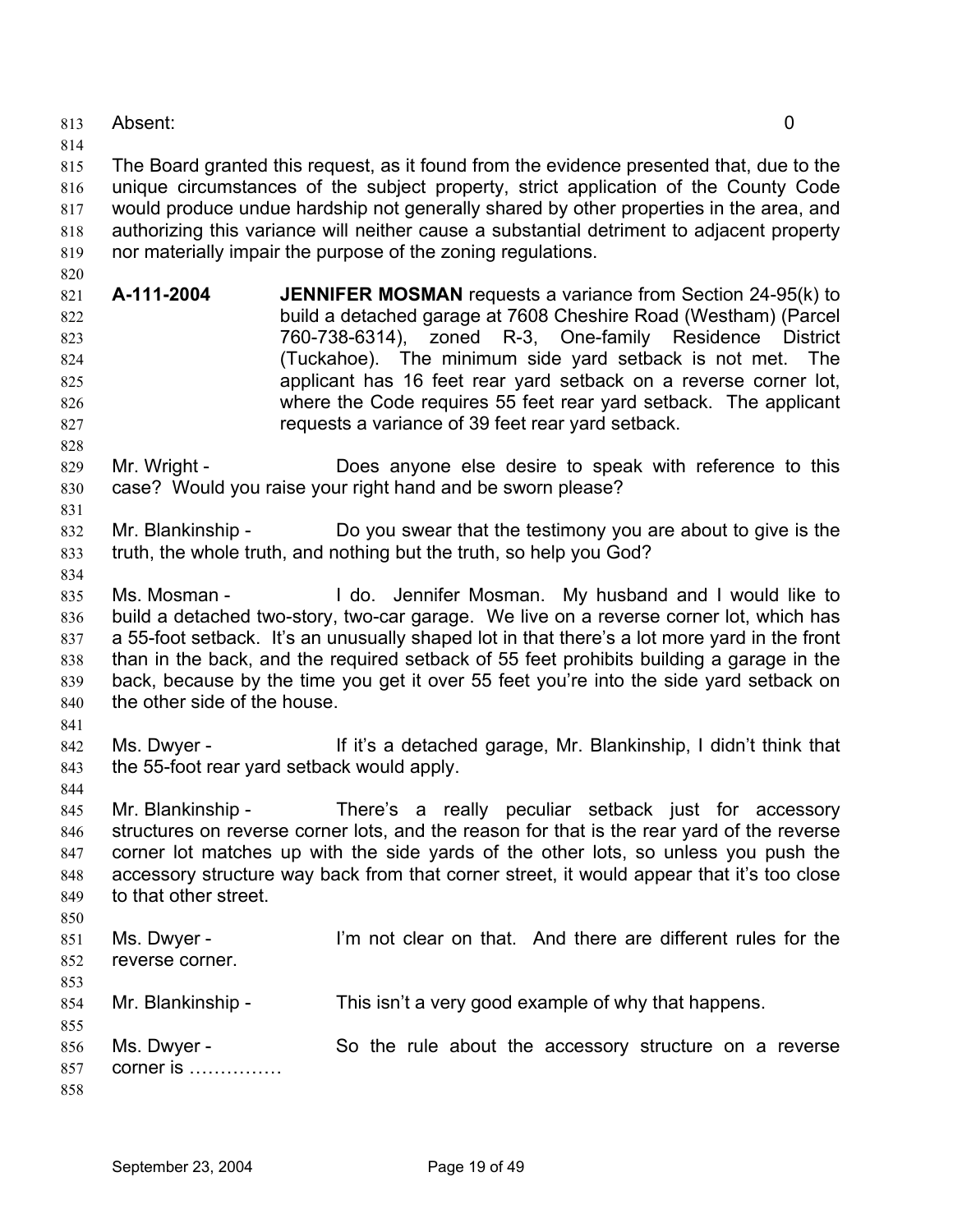813 Absent: 0

814

820

815 816 817 818 819 The Board granted this request, as it found from the evidence presented that, due to the unique circumstances of the subject property, strict application of the County Code would produce undue hardship not generally shared by other properties in the area, and authorizing this variance will neither cause a substantial detriment to adjacent property nor materially impair the purpose of the zoning regulations.

- 821 822 823 824 825 826 827 **A-111-2004 JENNIFER MOSMAN** requests a variance from Section 24-95(k) to build a detached garage at 7608 Cheshire Road (Westham) (Parcel 760-738-6314), zoned R-3, One-family Residence District (Tuckahoe). The minimum side yard setback is not met. The applicant has 16 feet rear yard setback on a reverse corner lot, where the Code requires 55 feet rear yard setback. The applicant requests a variance of 39 feet rear yard setback.
- 828 829 830 Mr. Wright - Does anyone else desire to speak with reference to this case? Would you raise your right hand and be sworn please?
- 832 833 Mr. Blankinship - Do you swear that the testimony you are about to give is the truth, the whole truth, and nothing but the truth, so help you God?
- 834

831

- 835 836 837 838 839 840 Ms. Mosman - I do. Jennifer Mosman. My husband and I would like to build a detached two-story, two-car garage. We live on a reverse corner lot, which has a 55-foot setback. It's an unusually shaped lot in that there's a lot more yard in the front than in the back, and the required setback of 55 feet prohibits building a garage in the back, because by the time you get it over 55 feet you're into the side yard setback on the other side of the house.
- 841
- 842 843 Ms. Dwyer - If it's a detached garage, Mr. Blankinship, I didn't think that the 55-foot rear yard setback would apply.
- 844

845 846 847 848 849 850 Mr. Blankinship - There's a really peculiar setback just for accessory structures on reverse corner lots, and the reason for that is the rear yard of the reverse corner lot matches up with the side yards of the other lots, so unless you push the accessory structure way back from that corner street, it would appear that it's too close to that other street.

- 851 852 853 Ms. Dwyer - I'm not clear on that. And there are different rules for the reverse corner.
- 854 Mr. Blankinship - This isn't a very good example of why that happens.
- 855 856 857 858 Ms. Dwyer - So the rule about the accessory structure on a reverse corner is ……………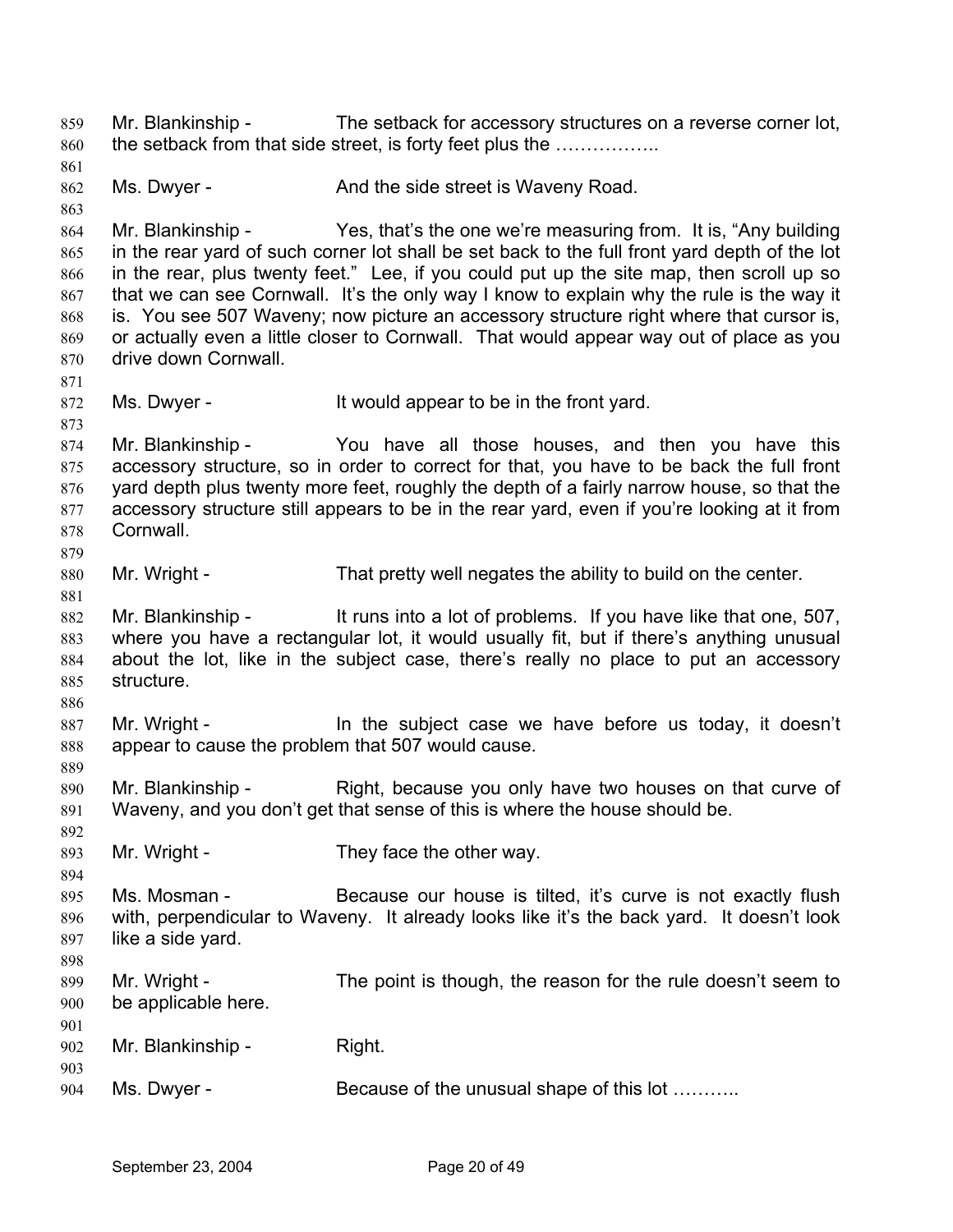Mr. Blankinship - The setback for accessory structures on a reverse corner lot, the setback from that side street, is forty feet plus the …………….. 859 860 861 862 863 864 865 866 867 868 869 870 871 872 873 874 875 876 877 878 879 880 881 882 883 884 885 886 887 888 889 890 891 892 893 894 895 896 897 898 899 900 901 902 903 904 Ms. Dwyer - And the side street is Waveny Road. Mr. Blankinship - Yes, that's the one we're measuring from. It is, "Any building in the rear yard of such corner lot shall be set back to the full front yard depth of the lot in the rear, plus twenty feet." Lee, if you could put up the site map, then scroll up so that we can see Cornwall. It's the only way I know to explain why the rule is the way it is. You see 507 Waveny; now picture an accessory structure right where that cursor is, or actually even a little closer to Cornwall. That would appear way out of place as you drive down Cornwall. Ms. Dwyer - It would appear to be in the front yard. Mr. Blankinship - The You have all those houses, and then you have this accessory structure, so in order to correct for that, you have to be back the full front yard depth plus twenty more feet, roughly the depth of a fairly narrow house, so that the accessory structure still appears to be in the rear yard, even if you're looking at it from **Cornwall** Mr. Wright - That pretty well negates the ability to build on the center. Mr. Blankinship - It runs into a lot of problems. If you have like that one, 507, where you have a rectangular lot, it would usually fit, but if there's anything unusual about the lot, like in the subject case, there's really no place to put an accessory structure. Mr. Wright - The subject case we have before us today, it doesn't appear to cause the problem that 507 would cause. Mr. Blankinship - Right, because you only have two houses on that curve of Waveny, and you don't get that sense of this is where the house should be. Mr. Wright - They face the other way. Ms. Mosman - Because our house is tilted, it's curve is not exactly flush with, perpendicular to Waveny. It already looks like it's the back yard. It doesn't look like a side yard. Mr. Wright - The point is though, the reason for the rule doesn't seem to be applicable here. Mr. Blankinship - Right. Ms. Dwyer - Because of the unusual shape of this lot ………..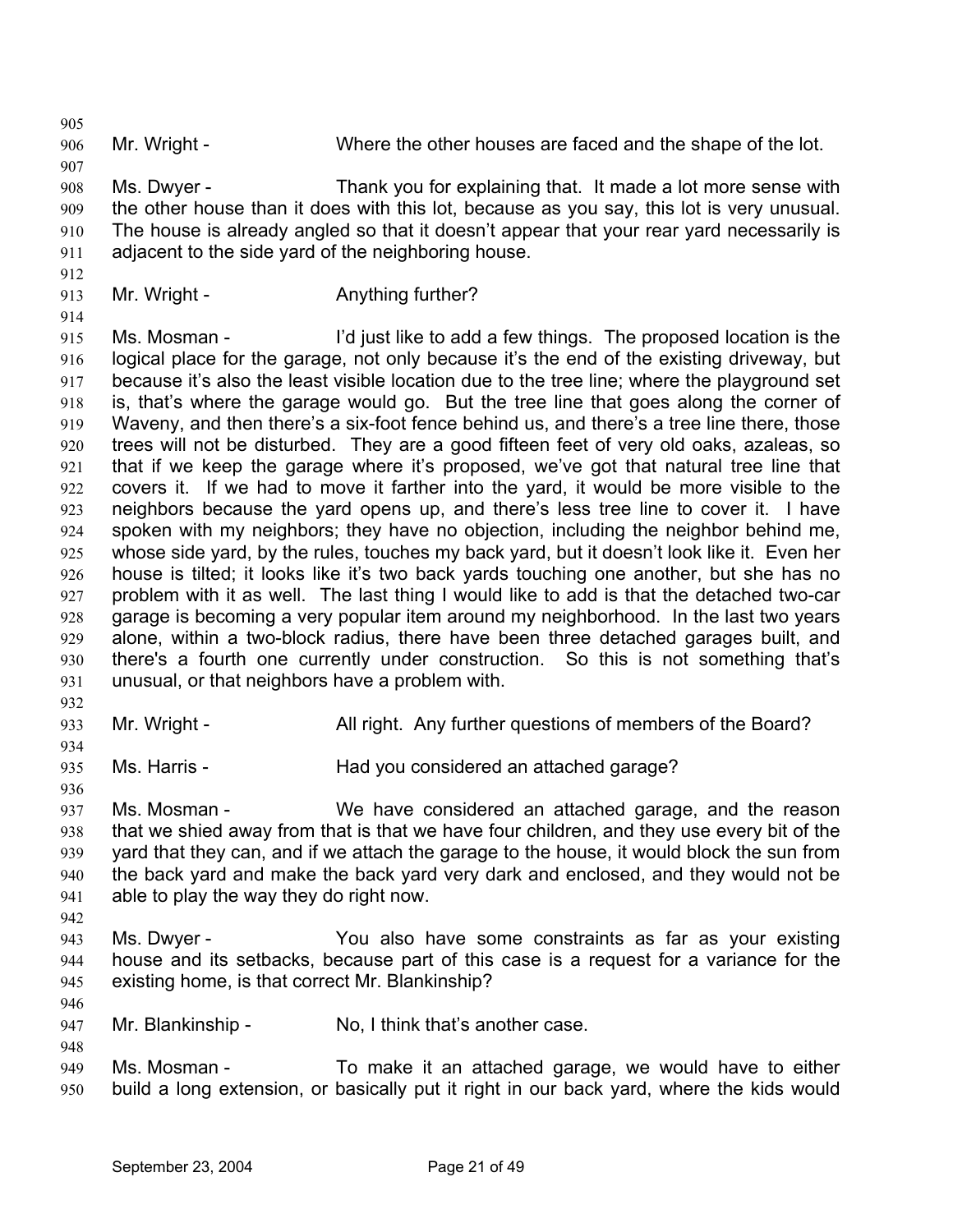905

906 Mr. Wright - Where the other houses are faced and the shape of the lot.

907 908 909 910 911 Ms. Dwyer - Thank you for explaining that. It made a lot more sense with the other house than it does with this lot, because as you say, this lot is very unusual. The house is already angled so that it doesn't appear that your rear yard necessarily is adjacent to the side yard of the neighboring house.

- 912
- 913 Mr. Wright - Anything further?

914

915 916 917 918 919 920 921 922 923 924 925 926 927 928 929 930 931 Ms. Mosman - I'd just like to add a few things. The proposed location is the logical place for the garage, not only because it's the end of the existing driveway, but because it's also the least visible location due to the tree line; where the playground set is, that's where the garage would go. But the tree line that goes along the corner of Waveny, and then there's a six-foot fence behind us, and there's a tree line there, those trees will not be disturbed. They are a good fifteen feet of very old oaks, azaleas, so that if we keep the garage where it's proposed, we've got that natural tree line that covers it. If we had to move it farther into the yard, it would be more visible to the neighbors because the yard opens up, and there's less tree line to cover it. I have spoken with my neighbors; they have no objection, including the neighbor behind me, whose side yard, by the rules, touches my back yard, but it doesn't look like it. Even her house is tilted; it looks like it's two back yards touching one another, but she has no problem with it as well. The last thing I would like to add is that the detached two-car garage is becoming a very popular item around my neighborhood. In the last two years alone, within a two-block radius, there have been three detached garages built, and there's a fourth one currently under construction. So this is not something that's unusual, or that neighbors have a problem with.

932

934

936

942

946

948

933

Mr. Wright - All right. Any further questions of members of the Board?

935 Ms. Harris - Thad you considered an attached garage?

937 938 939 940 941 Ms. Mosman - We have considered an attached garage, and the reason that we shied away from that is that we have four children, and they use every bit of the yard that they can, and if we attach the garage to the house, it would block the sun from the back yard and make the back yard very dark and enclosed, and they would not be able to play the way they do right now.

- 943 944 945 Ms. Dwyer - You also have some constraints as far as your existing house and its setbacks, because part of this case is a request for a variance for the existing home, is that correct Mr. Blankinship?
- 947 Mr. Blankinship - No, I think that's another case.
- 949 950 Ms. Mosman - To make it an attached garage, we would have to either build a long extension, or basically put it right in our back yard, where the kids would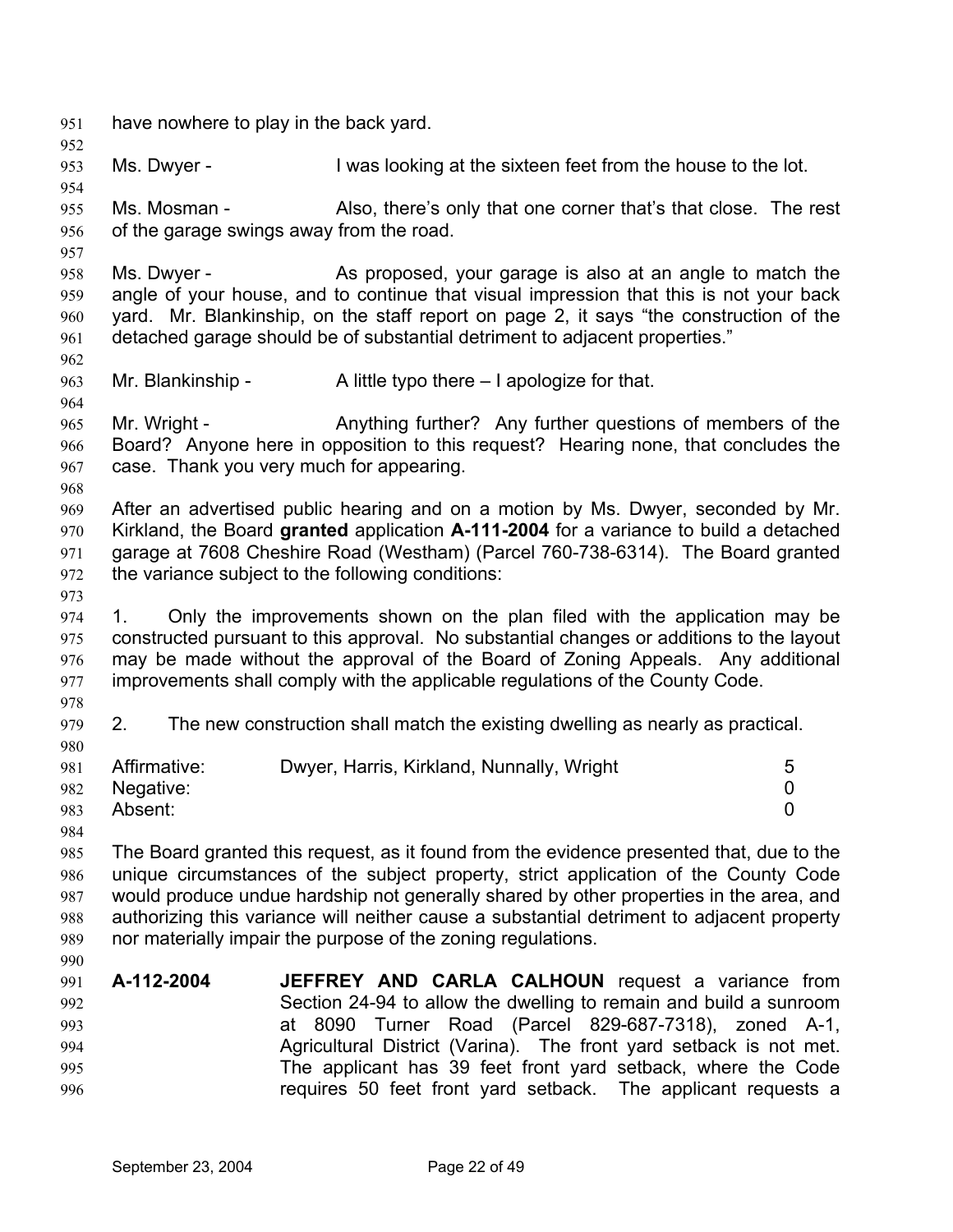951 have nowhere to play in the back yard. 952 953 954 955 956 957 958 959 960 961 962 963 964 965 966 967 968 969 970 971 972 973 974 975 976 977 978 979 980 981 982 983 984 985 986 987 988 989 990 991 992 993 994 995 996 Ms. Dwyer - I was looking at the sixteen feet from the house to the lot. Ms. Mosman - Also, there's only that one corner that's that close. The rest of the garage swings away from the road. Ms. Dwyer - As proposed, your garage is also at an angle to match the angle of your house, and to continue that visual impression that this is not your back yard. Mr. Blankinship, on the staff report on page 2, it says "the construction of the detached garage should be of substantial detriment to adjacent properties." Mr. Blankinship -  $\blacksquare$  A little typo there  $-1$  apologize for that. Mr. Wright - Anything further? Any further questions of members of the Board? Anyone here in opposition to this request? Hearing none, that concludes the case. Thank you very much for appearing. After an advertised public hearing and on a motion by Ms. Dwyer, seconded by Mr. Kirkland, the Board **granted** application **A-111-2004** for a variance to build a detached garage at 7608 Cheshire Road (Westham) (Parcel 760-738-6314). The Board granted the variance subject to the following conditions: 1. Only the improvements shown on the plan filed with the application may be constructed pursuant to this approval. No substantial changes or additions to the layout may be made without the approval of the Board of Zoning Appeals. Any additional improvements shall comply with the applicable regulations of the County Code. 2. The new construction shall match the existing dwelling as nearly as practical. Affirmative: Dwyer, Harris, Kirkland, Nunnally, Wright 5 Negative: 0 Absent: 0 The Board granted this request, as it found from the evidence presented that, due to the unique circumstances of the subject property, strict application of the County Code would produce undue hardship not generally shared by other properties in the area, and authorizing this variance will neither cause a substantial detriment to adjacent property nor materially impair the purpose of the zoning regulations. **A-112-2004 JEFFREY AND CARLA CALHOUN** request a variance from Section 24-94 to allow the dwelling to remain and build a sunroom at 8090 Turner Road (Parcel 829-687-7318), zoned A-1, Agricultural District (Varina). The front yard setback is not met. The applicant has 39 feet front yard setback, where the Code requires 50 feet front yard setback. The applicant requests a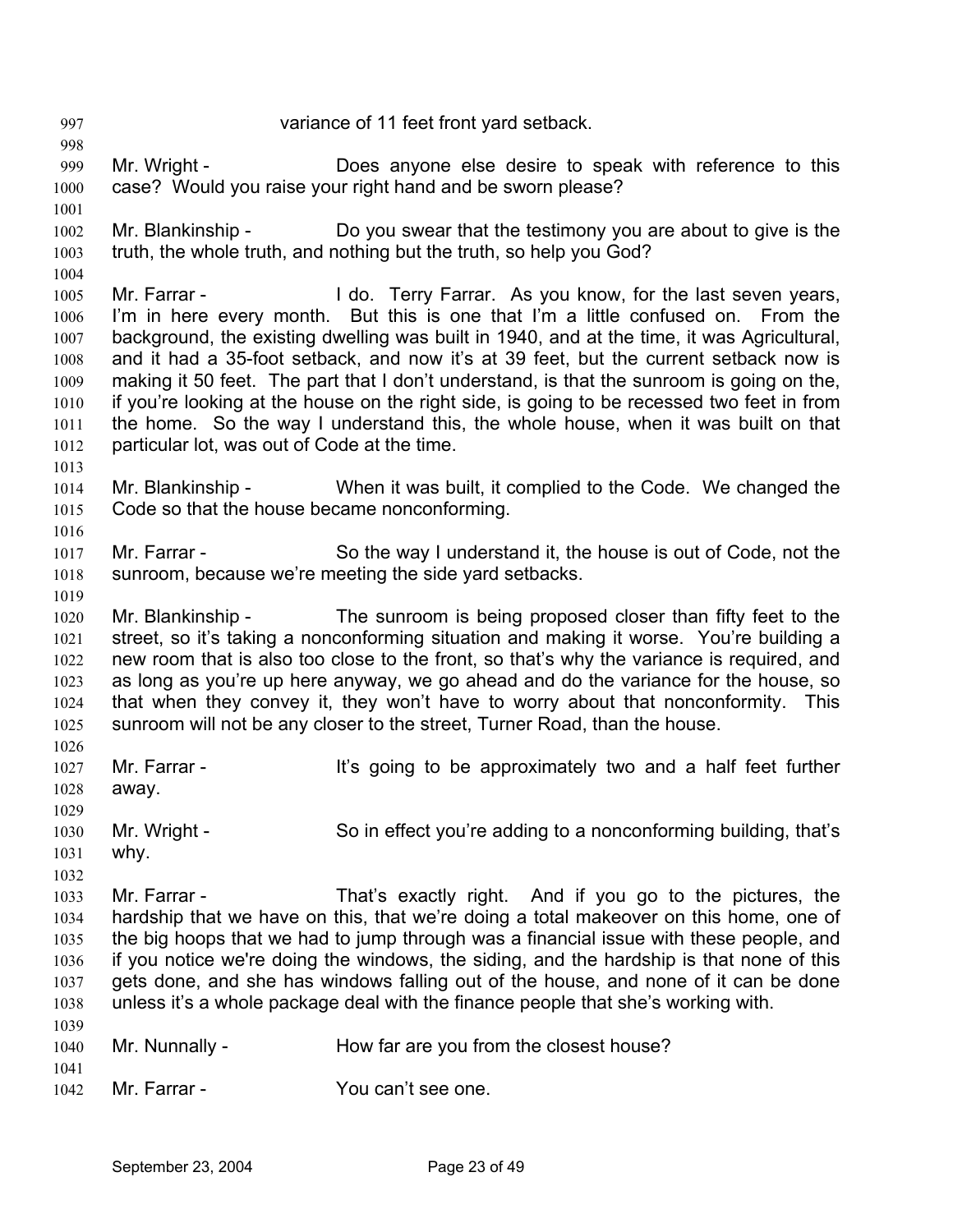997 variance of 11 feet front yard setback. 998 999 1000 1001 1002 1003 1004 1005 1006 1007 1008 1009 1010 1011 1012 1013 1014 1015 1016 1017 1018 1019 1020 1021 1022 1023 1024 1025 1026 1027 1028 1029 1030 1031 1032 1033 1034 1035 1036 1037 1038 1039 1040 1041 1042 Mr. Wright - Does anyone else desire to speak with reference to this case? Would you raise your right hand and be sworn please? Mr. Blankinship - Do you swear that the testimony you are about to give is the truth, the whole truth, and nothing but the truth, so help you God? Mr. Farrar - The Letter Hearth Co. Terry Farrar. As you know, for the last seven years, I'm in here every month. But this is one that I'm a little confused on. From the background, the existing dwelling was built in 1940, and at the time, it was Agricultural, and it had a 35-foot setback, and now it's at 39 feet, but the current setback now is making it 50 feet. The part that I don't understand, is that the sunroom is going on the, if you're looking at the house on the right side, is going to be recessed two feet in from the home. So the way I understand this, the whole house, when it was built on that particular lot, was out of Code at the time. Mr. Blankinship - When it was built, it complied to the Code. We changed the Code so that the house became nonconforming. Mr. Farrar - So the way I understand it, the house is out of Code, not the sunroom, because we're meeting the side yard setbacks. Mr. Blankinship - The sunroom is being proposed closer than fifty feet to the street, so it's taking a nonconforming situation and making it worse. You're building a new room that is also too close to the front, so that's why the variance is required, and as long as you're up here anyway, we go ahead and do the variance for the house, so that when they convey it, they won't have to worry about that nonconformity. This sunroom will not be any closer to the street, Turner Road, than the house. Mr. Farrar - The It's going to be approximately two and a half feet further away. Mr. Wright - So in effect you're adding to a nonconforming building, that's why. Mr. Farrar - That's exactly right. And if you go to the pictures, the hardship that we have on this, that we're doing a total makeover on this home, one of the big hoops that we had to jump through was a financial issue with these people, and if you notice we're doing the windows, the siding, and the hardship is that none of this gets done, and she has windows falling out of the house, and none of it can be done unless it's a whole package deal with the finance people that she's working with. Mr. Nunnally - How far are you from the closest house? Mr. Farrar - You can't see one.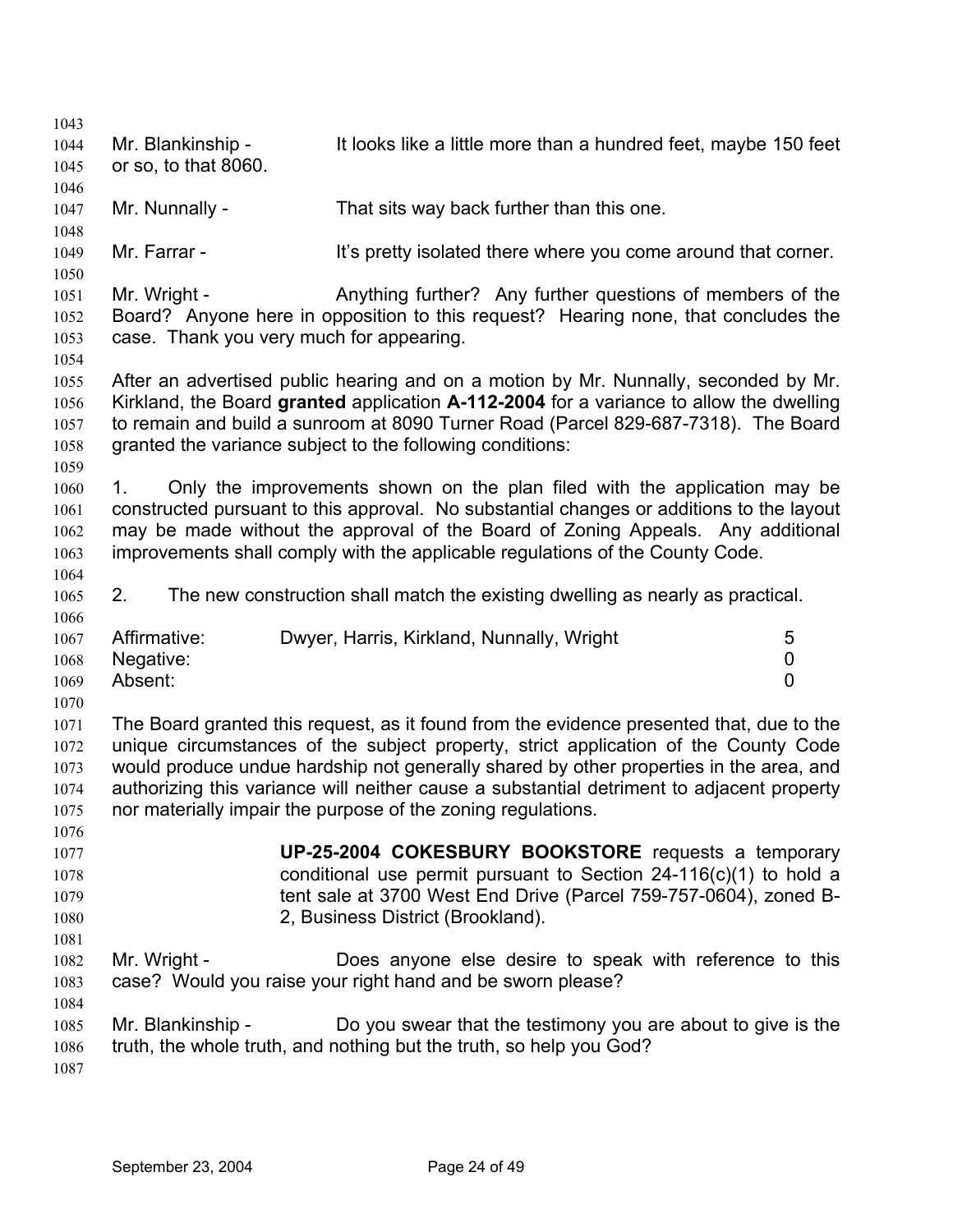| 1043                                 |                                                          |                                                                                                                                                                                                                                                                                                                                                                                                                                        |                |
|--------------------------------------|----------------------------------------------------------|----------------------------------------------------------------------------------------------------------------------------------------------------------------------------------------------------------------------------------------------------------------------------------------------------------------------------------------------------------------------------------------------------------------------------------------|----------------|
| 1044<br>1045                         | Mr. Blankinship -<br>or so, to that 8060.                | It looks like a little more than a hundred feet, maybe 150 feet                                                                                                                                                                                                                                                                                                                                                                        |                |
|                                      |                                                          |                                                                                                                                                                                                                                                                                                                                                                                                                                        |                |
| 1046                                 |                                                          | That sits way back further than this one.                                                                                                                                                                                                                                                                                                                                                                                              |                |
| 1047<br>1048                         | Mr. Nunnally -                                           |                                                                                                                                                                                                                                                                                                                                                                                                                                        |                |
| 1049                                 | Mr. Farrar -                                             | It's pretty isolated there where you come around that corner.                                                                                                                                                                                                                                                                                                                                                                          |                |
| 1050                                 |                                                          |                                                                                                                                                                                                                                                                                                                                                                                                                                        |                |
| 1051<br>1052<br>1053                 | Mr. Wright -<br>case. Thank you very much for appearing. | Anything further? Any further questions of members of the<br>Board? Anyone here in opposition to this request? Hearing none, that concludes the                                                                                                                                                                                                                                                                                        |                |
| 1054                                 |                                                          |                                                                                                                                                                                                                                                                                                                                                                                                                                        |                |
| 1055<br>1056<br>1057<br>1058         |                                                          | After an advertised public hearing and on a motion by Mr. Nunnally, seconded by Mr.<br>Kirkland, the Board granted application A-112-2004 for a variance to allow the dwelling<br>to remain and build a sunroom at 8090 Turner Road (Parcel 829-687-7318). The Board<br>granted the variance subject to the following conditions:                                                                                                      |                |
| 1059                                 |                                                          |                                                                                                                                                                                                                                                                                                                                                                                                                                        |                |
| 1060                                 | 1.                                                       | Only the improvements shown on the plan filed with the application may be                                                                                                                                                                                                                                                                                                                                                              |                |
| 1061                                 |                                                          | constructed pursuant to this approval. No substantial changes or additions to the layout                                                                                                                                                                                                                                                                                                                                               |                |
| 1062                                 |                                                          | may be made without the approval of the Board of Zoning Appeals. Any additional                                                                                                                                                                                                                                                                                                                                                        |                |
| 1063                                 |                                                          | improvements shall comply with the applicable regulations of the County Code.                                                                                                                                                                                                                                                                                                                                                          |                |
| 1064                                 |                                                          |                                                                                                                                                                                                                                                                                                                                                                                                                                        |                |
| 1065                                 | 2.                                                       | The new construction shall match the existing dwelling as nearly as practical.                                                                                                                                                                                                                                                                                                                                                         |                |
| 1066<br>1067                         | Affirmative:                                             | Dwyer, Harris, Kirkland, Nunnally, Wright                                                                                                                                                                                                                                                                                                                                                                                              | 5              |
| 1068                                 | Negative:                                                |                                                                                                                                                                                                                                                                                                                                                                                                                                        | 0              |
| 1069                                 | Absent:                                                  |                                                                                                                                                                                                                                                                                                                                                                                                                                        | $\overline{0}$ |
| 1070                                 |                                                          |                                                                                                                                                                                                                                                                                                                                                                                                                                        |                |
| 1071<br>1072<br>1073<br>1074<br>1075 |                                                          | The Board granted this request, as it found from the evidence presented that, due to the<br>unique circumstances of the subject property, strict application of the County Code<br>would produce undue hardship not generally shared by other properties in the area, and<br>authorizing this variance will neither cause a substantial detriment to adjacent property<br>nor materially impair the purpose of the zoning regulations. |                |
| 1076                                 |                                                          |                                                                                                                                                                                                                                                                                                                                                                                                                                        |                |
| 1077                                 |                                                          | UP-25-2004 COKESBURY BOOKSTORE requests a temporary                                                                                                                                                                                                                                                                                                                                                                                    |                |
| 1078                                 |                                                          | conditional use permit pursuant to Section $24-116(c)(1)$ to hold a                                                                                                                                                                                                                                                                                                                                                                    |                |
| 1079                                 |                                                          | tent sale at 3700 West End Drive (Parcel 759-757-0604), zoned B-                                                                                                                                                                                                                                                                                                                                                                       |                |
| 1080                                 |                                                          | 2, Business District (Brookland).                                                                                                                                                                                                                                                                                                                                                                                                      |                |
| 1081                                 |                                                          |                                                                                                                                                                                                                                                                                                                                                                                                                                        |                |
| 1082                                 | Mr. Wright -                                             | Does anyone else desire to speak with reference to this                                                                                                                                                                                                                                                                                                                                                                                |                |
| 1083                                 |                                                          | case? Would you raise your right hand and be sworn please?                                                                                                                                                                                                                                                                                                                                                                             |                |
| 1084                                 |                                                          |                                                                                                                                                                                                                                                                                                                                                                                                                                        |                |
| 1085                                 | Mr. Blankinship -                                        | Do you swear that the testimony you are about to give is the                                                                                                                                                                                                                                                                                                                                                                           |                |
| 1086                                 |                                                          | truth, the whole truth, and nothing but the truth, so help you God?                                                                                                                                                                                                                                                                                                                                                                    |                |
| 1087                                 |                                                          |                                                                                                                                                                                                                                                                                                                                                                                                                                        |                |
|                                      |                                                          |                                                                                                                                                                                                                                                                                                                                                                                                                                        |                |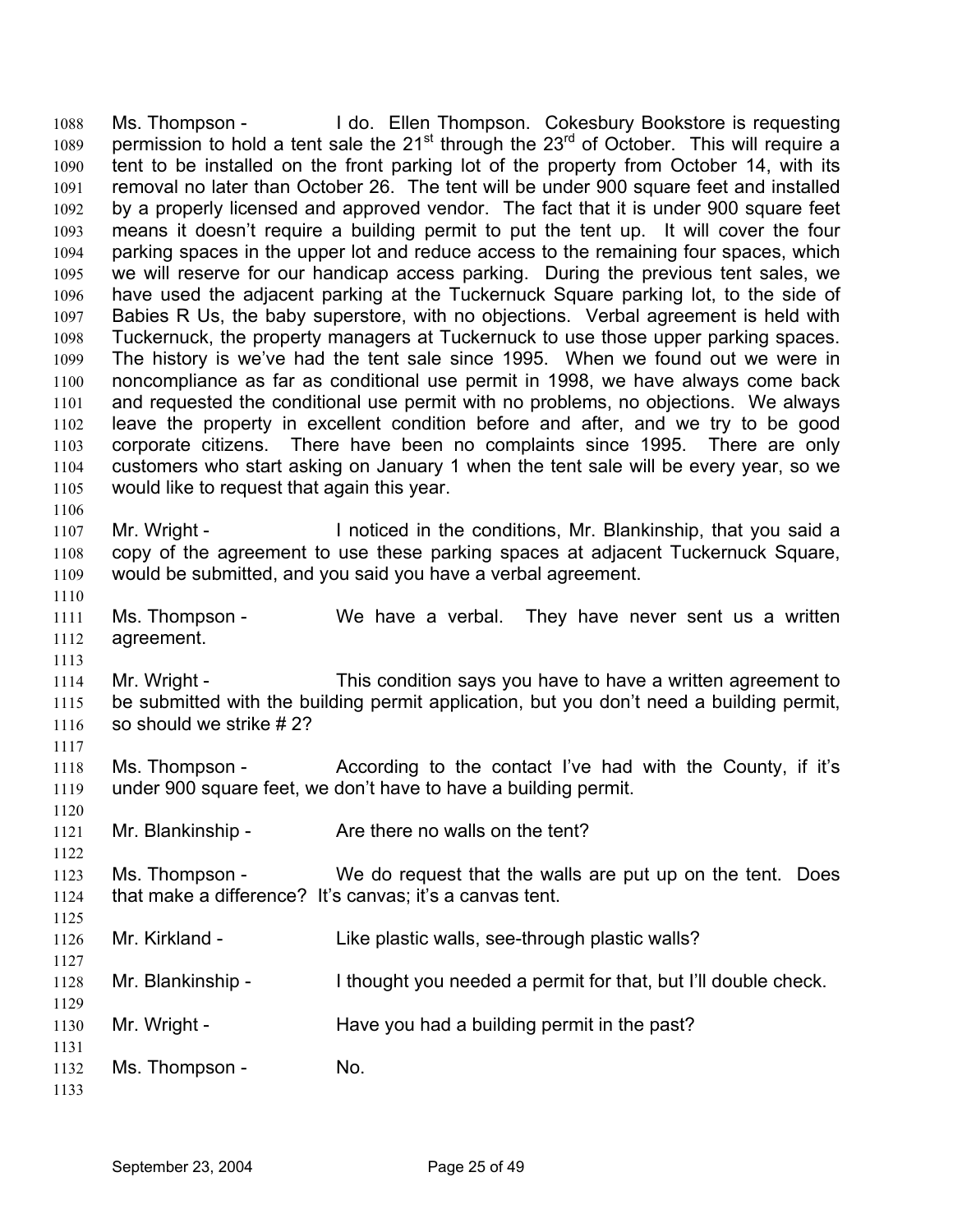Ms. Thompson - I do. Ellen Thompson. Cokesbury Bookstore is requesting permission to hold a tent sale the 21<sup>st</sup> through the 23<sup>rd</sup> of October. This will require a 1088 1089 1090 1091 1092 1093 1094 1095 1096 1097 1098 1099 1100 1101 1102 1103 1104 1105 1106 1107 1108 1109 1110 1111 1112 1113 1114 1115 1116 1117 1118 1119 1120 1121 1122 1123 1124 tent to be installed on the front parking lot of the property from October 14, with its removal no later than October 26. The tent will be under 900 square feet and installed by a properly licensed and approved vendor. The fact that it is under 900 square feet means it doesn't require a building permit to put the tent up. It will cover the four parking spaces in the upper lot and reduce access to the remaining four spaces, which we will reserve for our handicap access parking. During the previous tent sales, we have used the adjacent parking at the Tuckernuck Square parking lot, to the side of Babies R Us, the baby superstore, with no objections. Verbal agreement is held with Tuckernuck, the property managers at Tuckernuck to use those upper parking spaces. The history is we've had the tent sale since 1995. When we found out we were in noncompliance as far as conditional use permit in 1998, we have always come back and requested the conditional use permit with no problems, no objections. We always leave the property in excellent condition before and after, and we try to be good corporate citizens. There have been no complaints since 1995. There are only customers who start asking on January 1 when the tent sale will be every year, so we would like to request that again this year. Mr. Wright - Inoticed in the conditions, Mr. Blankinship, that you said a copy of the agreement to use these parking spaces at adjacent Tuckernuck Square, would be submitted, and you said you have a verbal agreement. Ms. Thompson - We have a verbal. They have never sent us a written agreement. Mr. Wright - This condition says you have to have a written agreement to be submitted with the building permit application, but you don't need a building permit, so should we strike # 2? Ms. Thompson - According to the contact I've had with the County, if it's under 900 square feet, we don't have to have a building permit. Mr. Blankinship - Are there no walls on the tent? Ms. Thompson - We do request that the walls are put up on the tent. Does that make a difference? It's canvas; it's a canvas tent.

- 1125 1126 Mr. Kirkland - Like plastic walls, see-through plastic walls?
- 1128 Mr. Blankinship - I thought you needed a permit for that, but I'll double check.
- 1130 Mr. Wright - Have you had a building permit in the past?
- 1132 Ms. Thompson - No.

1127

1129

1131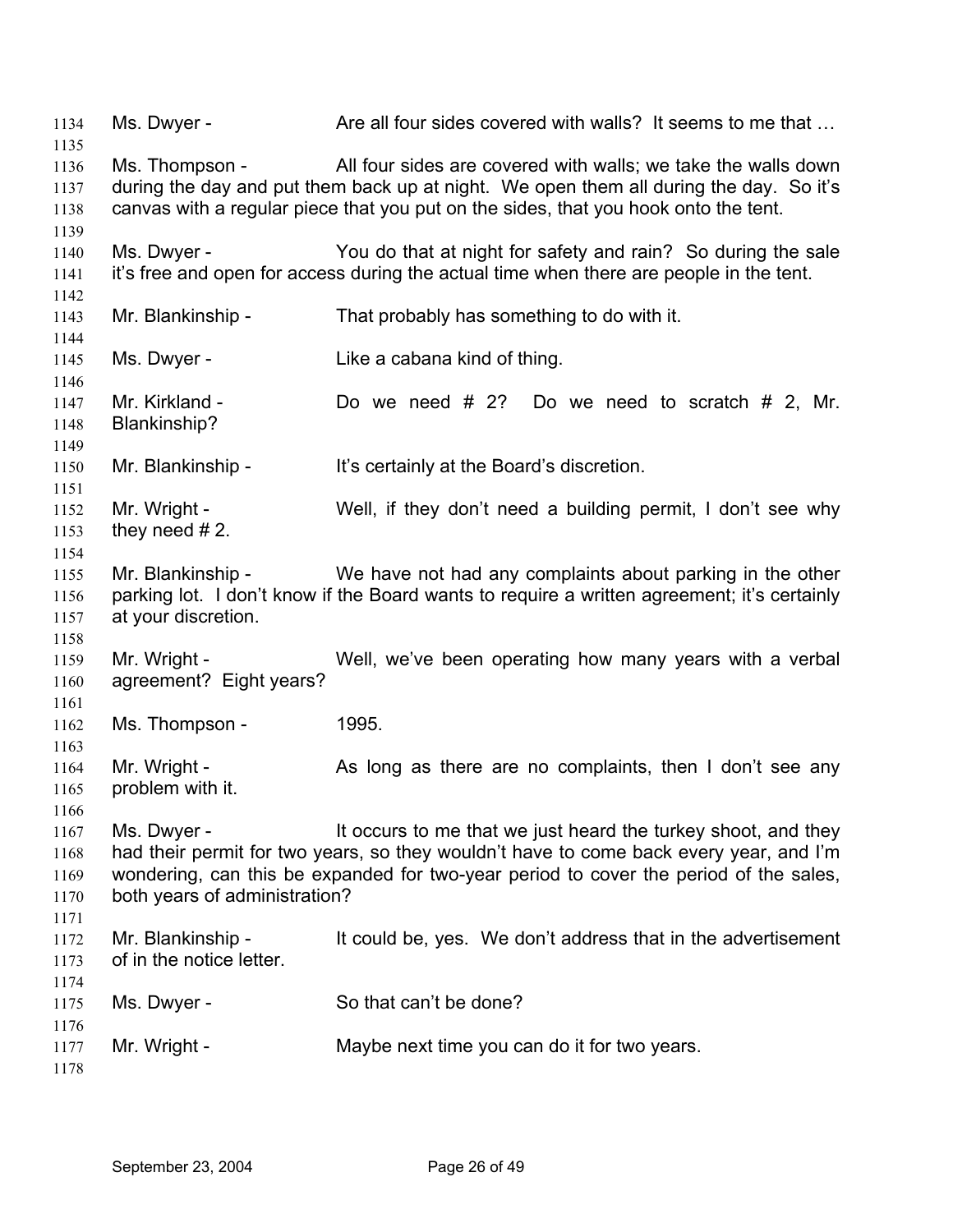1134 Ms. Dwyer - Are all four sides covered with walls? It seems to me that ... 1135 1136 1137 1138 1139 1140 1141 1142 1143 1144 1145 1146 1147 1148 1149 1150 1151 1152 1153 1154 1155 1156 1157 1158 1159 1160 1161 1162 1163 1164 1165 1166 1167 1168 1169 1170 1171 1172 1173 1174 1175 1176 1177 1178 Ms. Thompson - All four sides are covered with walls; we take the walls down during the day and put them back up at night. We open them all during the day. So it's canvas with a regular piece that you put on the sides, that you hook onto the tent. Ms. Dwyer - You do that at night for safety and rain? So during the sale it's free and open for access during the actual time when there are people in the tent. Mr. Blankinship - That probably has something to do with it. Ms. Dwyer - Like a cabana kind of thing. Mr. Kirkland - Do we need # 2? Do we need to scratch # 2, Mr. Blankinship? Mr. Blankinship - It's certainly at the Board's discretion. Mr. Wright - Well, if they don't need a building permit, I don't see why they need # 2. Mr. Blankinship - We have not had any complaints about parking in the other parking lot. I don't know if the Board wants to require a written agreement; it's certainly at your discretion. Mr. Wright - Well, we've been operating how many years with a verbal agreement? Eight years? Ms. Thompson - 1995. Mr. Wright - As long as there are no complaints, then I don't see any problem with it. Ms. Dwyer - It occurs to me that we just heard the turkey shoot, and they had their permit for two years, so they wouldn't have to come back every year, and I'm wondering, can this be expanded for two-year period to cover the period of the sales, both years of administration? Mr. Blankinship - It could be, yes. We don't address that in the advertisement of in the notice letter. Ms. Dwyer - So that can't be done? Mr. Wright - Maybe next time you can do it for two years.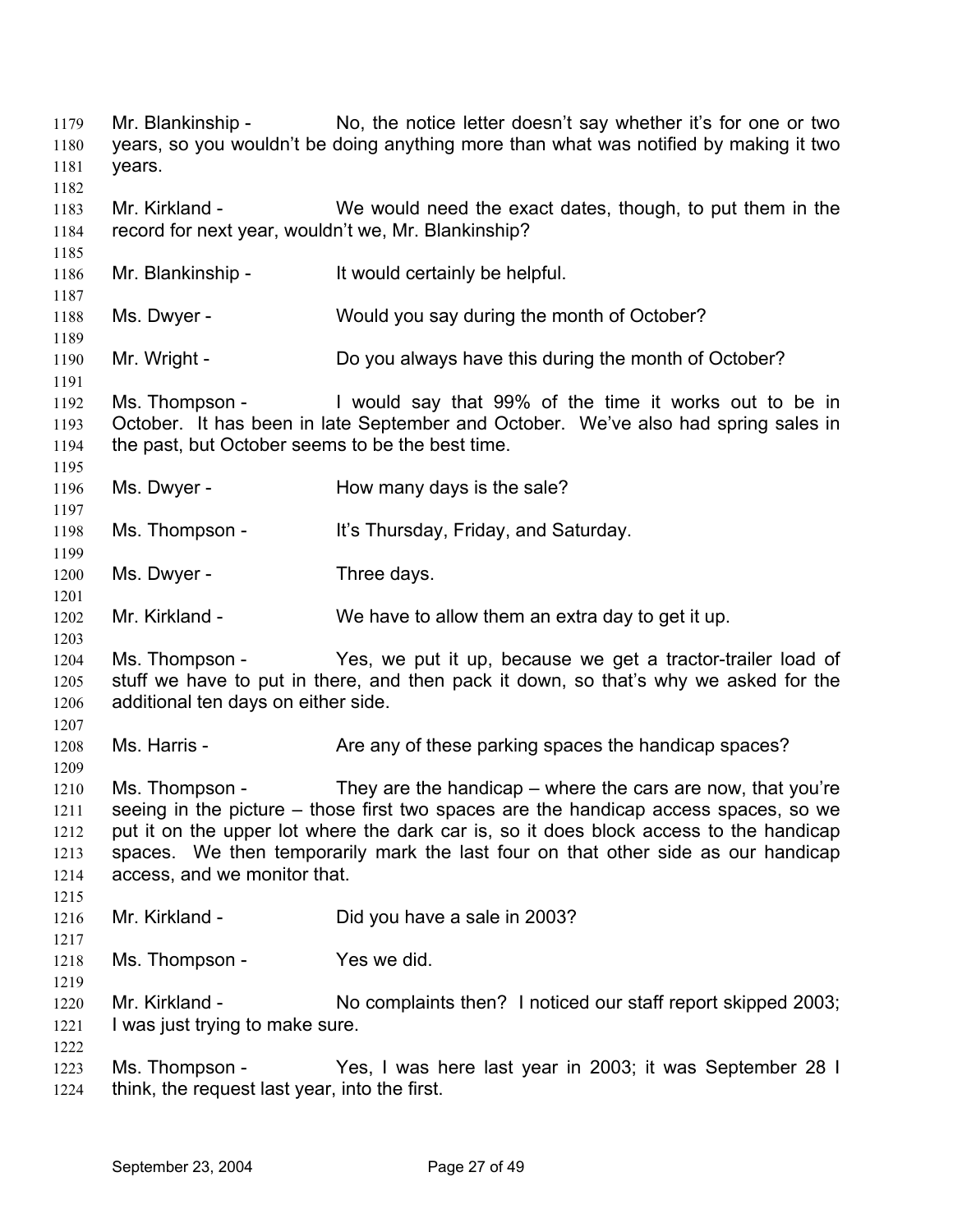Mr. Blankinship - No, the notice letter doesn't say whether it's for one or two years, so you wouldn't be doing anything more than what was notified by making it two years. 1179 1180 1181 1182 1183 1184 1185 1186 1187 1188 1189 1190 1191 1192 1193 1194 1195 1196 1197 1198 1199 1200 1201 1202 1203 1204 1205 1206 1207 1208 1209 1210 1211 1212 1213 1214 1215 1216 1217 1218 1219 1220 1221 1222 1223 1224 Mr. Kirkland - We would need the exact dates, though, to put them in the record for next year, wouldn't we, Mr. Blankinship? Mr. Blankinship - It would certainly be helpful. Ms. Dwyer - Would you say during the month of October? Mr. Wright - Do you always have this during the month of October? Ms. Thompson - I would say that 99% of the time it works out to be in October. It has been in late September and October. We've also had spring sales in the past, but October seems to be the best time. Ms. Dwyer - How many days is the sale? Ms. Thompson - It's Thursday, Friday, and Saturday. Ms. Dwyer - Three days. Mr. Kirkland - We have to allow them an extra day to get it up. Ms. Thompson - Yes, we put it up, because we get a tractor-trailer load of stuff we have to put in there, and then pack it down, so that's why we asked for the additional ten days on either side. Ms. Harris - Are any of these parking spaces the handicap spaces? Ms. Thompson - They are the handicap – where the cars are now, that you're seeing in the picture – those first two spaces are the handicap access spaces, so we put it on the upper lot where the dark car is, so it does block access to the handicap spaces. We then temporarily mark the last four on that other side as our handicap access, and we monitor that. Mr. Kirkland - Did you have a sale in 2003? Ms. Thompson - Yes we did. Mr. Kirkland - No complaints then? I noticed our staff report skipped 2003; I was just trying to make sure. Ms. Thompson - Yes, I was here last year in 2003; it was September 28 I think, the request last year, into the first.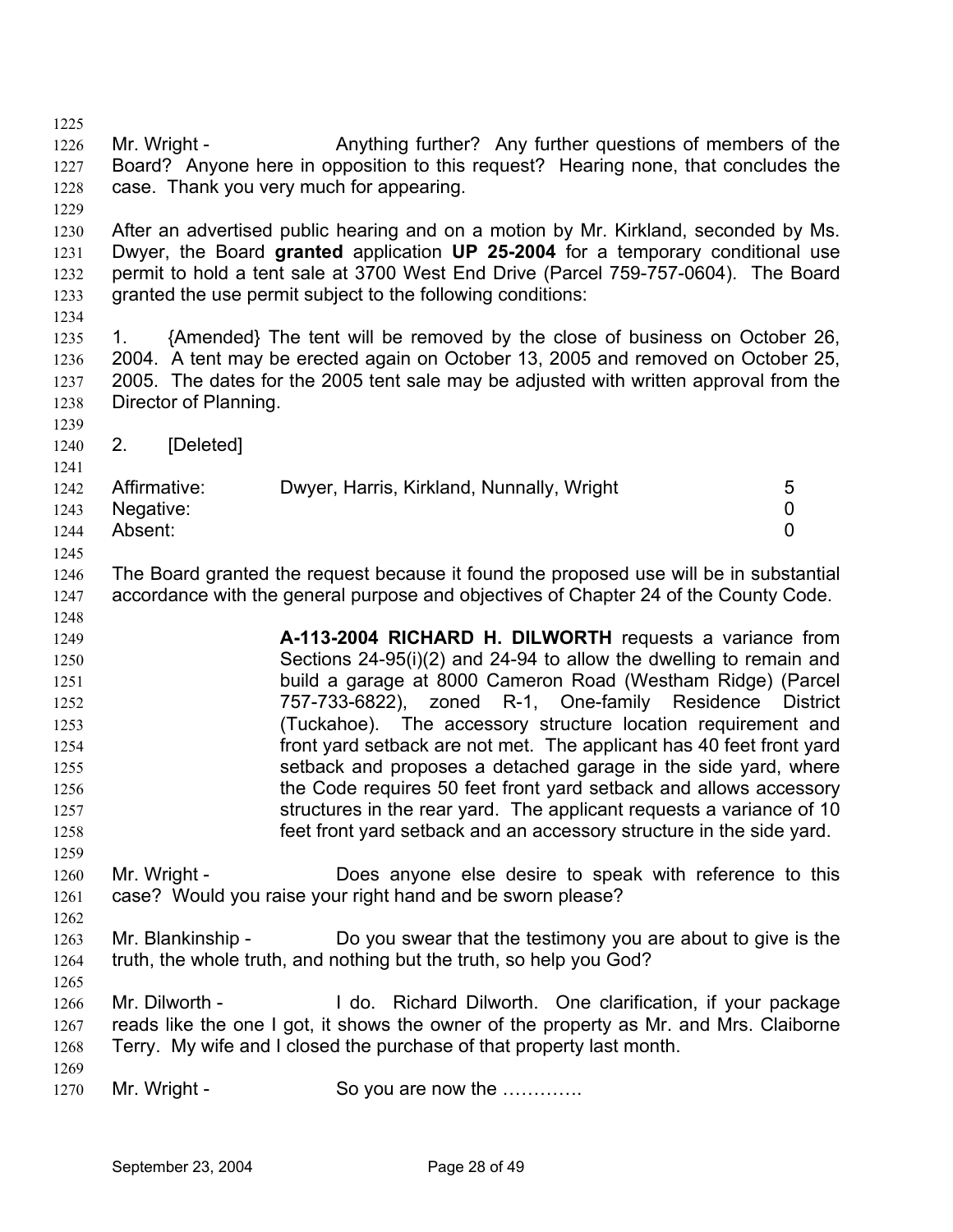1225 1226 1227 1228 1229 1230 1231 1232 1233 1234 1235 1236 1237 1238 1239 1240 1241 1242 1243 1244 1245 1246 1247 1248 1249 1250 1251 1252 1253 1254 1255 1256 1257 1258 1259 1260 1261 1262 1263 1264 1265 1266 1267 1268 1269 1270 Mr. Wright - Anything further? Any further questions of members of the Board? Anyone here in opposition to this request? Hearing none, that concludes the case. Thank you very much for appearing. After an advertised public hearing and on a motion by Mr. Kirkland, seconded by Ms. Dwyer, the Board **granted** application **UP 25-2004** for a temporary conditional use permit to hold a tent sale at 3700 West End Drive (Parcel 759-757-0604). The Board granted the use permit subject to the following conditions: 1. {Amended} The tent will be removed by the close of business on October 26, 2004. A tent may be erected again on October 13, 2005 and removed on October 25, 2005. The dates for the 2005 tent sale may be adjusted with written approval from the Director of Planning. 2. [Deleted] Affirmative: Dwyer, Harris, Kirkland, Nunnally, Wright 5 Negative: 0 Absent: 0 The Board granted the request because it found the proposed use will be in substantial accordance with the general purpose and objectives of Chapter 24 of the County Code. **A-113-2004 RICHARD H. DILWORTH** requests a variance from Sections 24-95(i)(2) and 24-94 to allow the dwelling to remain and build a garage at 8000 Cameron Road (Westham Ridge) (Parcel 757-733-6822), zoned R-1, One-family Residence District (Tuckahoe). The accessory structure location requirement and front yard setback are not met. The applicant has 40 feet front yard setback and proposes a detached garage in the side yard, where the Code requires 50 feet front yard setback and allows accessory structures in the rear yard. The applicant requests a variance of 10 feet front yard setback and an accessory structure in the side yard. Mr. Wright - Does anyone else desire to speak with reference to this case? Would you raise your right hand and be sworn please? Mr. Blankinship - Do you swear that the testimony you are about to give is the truth, the whole truth, and nothing but the truth, so help you God? Mr. Dilworth - I do. Richard Dilworth. One clarification, if your package reads like the one I got, it shows the owner of the property as Mr. and Mrs. Claiborne Terry. My wife and I closed the purchase of that property last month. Mr. Wright - So you are now the ………….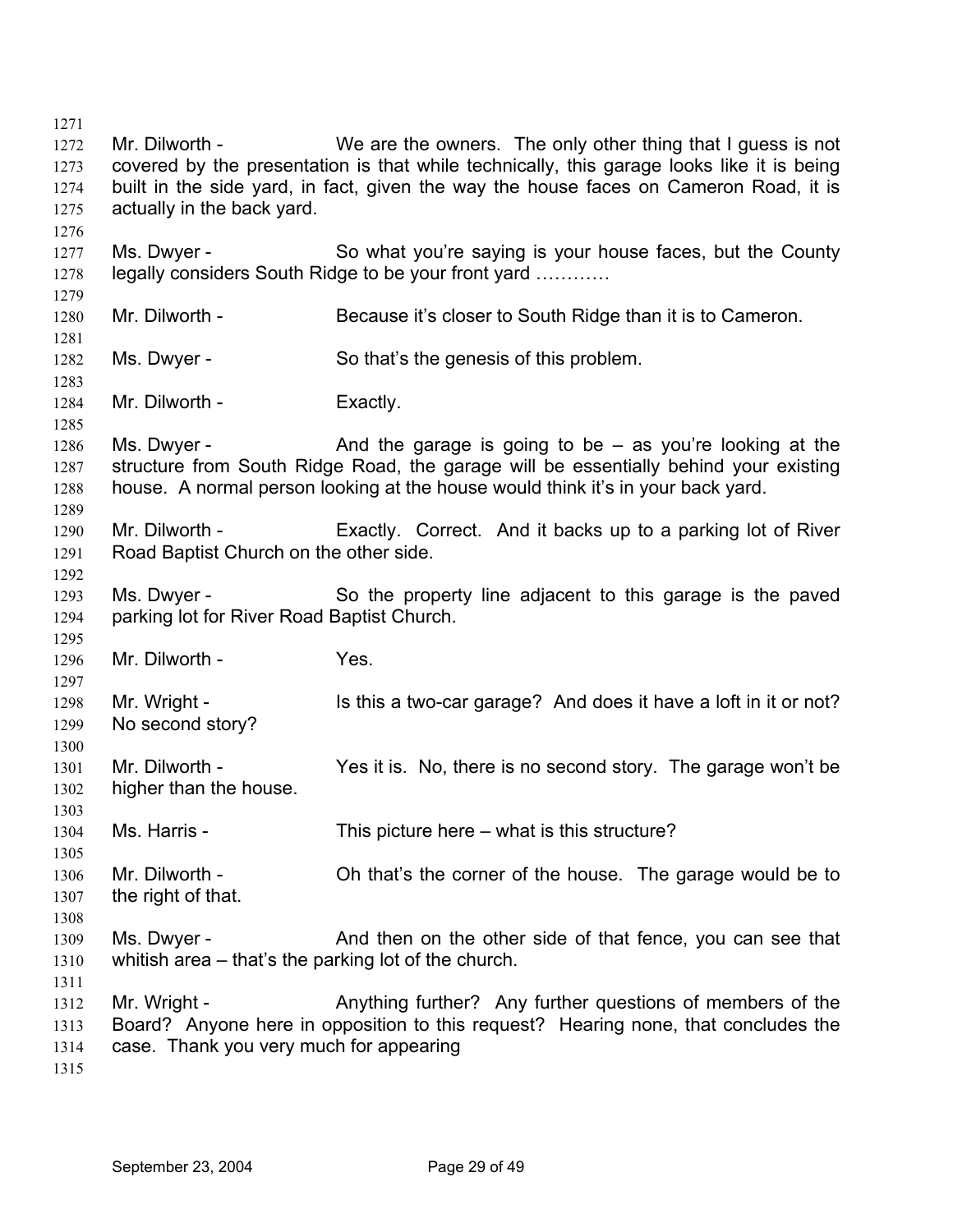1271 1272 1273 1274 1275 1276 1277 1278 1279 1280 1281 1282 1283 1284 1285 1286 1287 1288 1289 1290 1291 1292 1293 1294 1295 1296 1297 1298 1299 1300 1301 1302 1303 1304 1305 1306 1307 1308 1309 1310 1311 1312 1313 1314 1315 Mr. Dilworth - We are the owners. The only other thing that I guess is not covered by the presentation is that while technically, this garage looks like it is being built in the side yard, in fact, given the way the house faces on Cameron Road, it is actually in the back yard. Ms. Dwyer - So what you're saying is your house faces, but the County legally considers South Ridge to be your front yard ………… Mr. Dilworth - Because it's closer to South Ridge than it is to Cameron. Ms. Dwyer - So that's the genesis of this problem. Mr. Dilworth - Exactly. Ms. Dwyer -  $\blacksquare$  And the garage is going to be  $-$  as you're looking at the structure from South Ridge Road, the garage will be essentially behind your existing house. A normal person looking at the house would think it's in your back yard. Mr. Dilworth - Exactly. Correct. And it backs up to a parking lot of River Road Baptist Church on the other side. Ms. Dwyer - So the property line adjacent to this garage is the paved parking lot for River Road Baptist Church. Mr. Dilworth - Yes. Mr. Wright - Is this a two-car garage? And does it have a loft in it or not? No second story? Mr. Dilworth - Yes it is. No, there is no second story. The garage won't be higher than the house. Ms. Harris - This picture here – what is this structure? Mr. Dilworth - Oh that's the corner of the house. The garage would be to the right of that. Ms. Dwyer - And then on the other side of that fence, you can see that whitish area – that's the parking lot of the church. Mr. Wright - Anything further? Any further questions of members of the Board? Anyone here in opposition to this request? Hearing none, that concludes the case. Thank you very much for appearing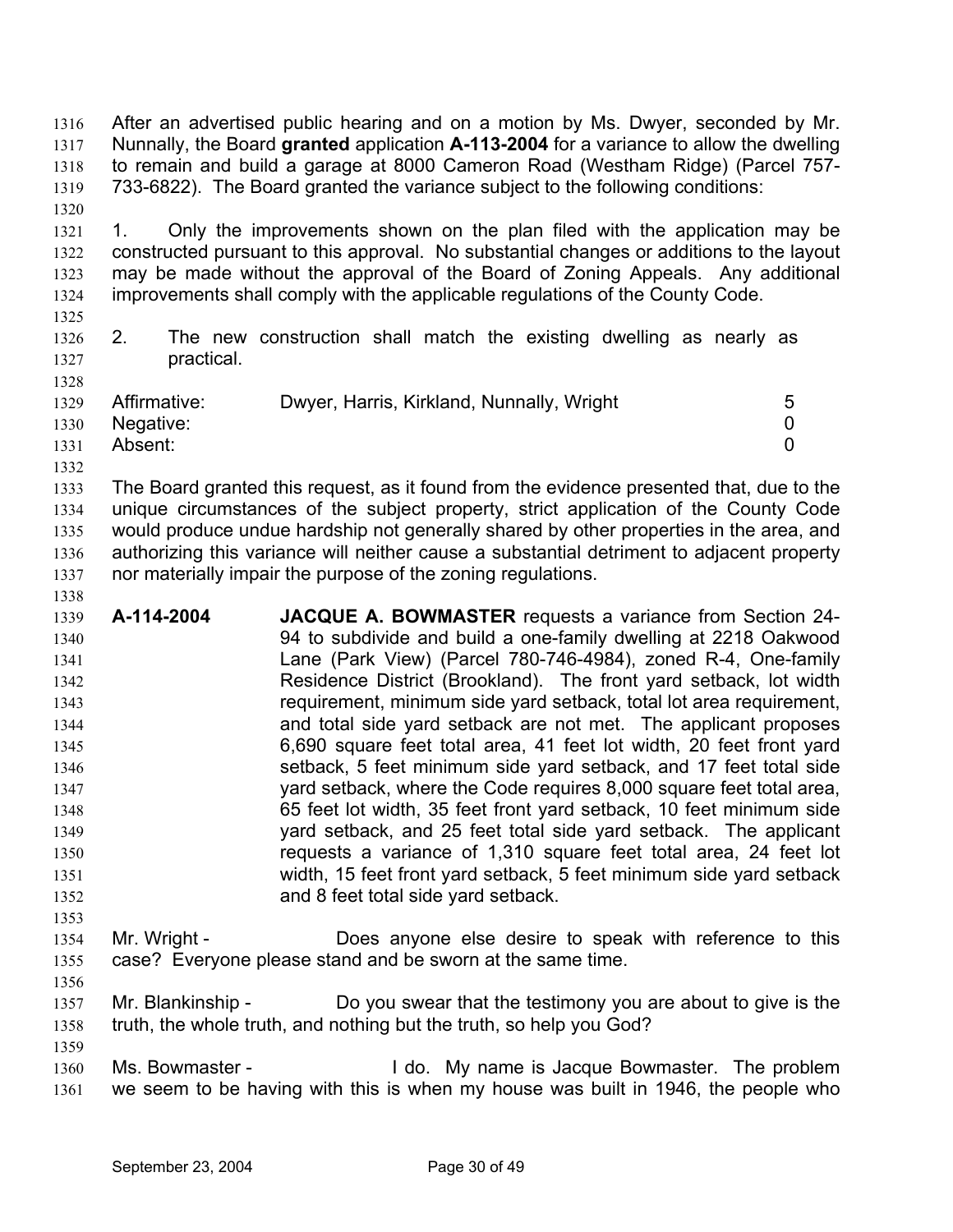After an advertised public hearing and on a motion by Ms. Dwyer, seconded by Mr. Nunnally, the Board **granted** application **A-113-2004** for a variance to allow the dwelling to remain and build a garage at 8000 Cameron Road (Westham Ridge) (Parcel 757- 733-6822). The Board granted the variance subject to the following conditions: 1316 1317 1318 1319 1320

1321 1322 1323 1324 1. Only the improvements shown on the plan filed with the application may be constructed pursuant to this approval. No substantial changes or additions to the layout may be made without the approval of the Board of Zoning Appeals. Any additional improvements shall comply with the applicable regulations of the County Code.

1325

1328

1338

1353

1356

1359

## 1326 1327 2. The new construction shall match the existing dwelling as nearly as practical.

| 1329 | Affirmative: | Dwyer, Harris, Kirkland, Nunnally, Wright |  |
|------|--------------|-------------------------------------------|--|
| 1330 | Negative:    |                                           |  |
| 1331 | Absent:      |                                           |  |
| 1332 |              |                                           |  |

1333 1334 1335 1336 1337 The Board granted this request, as it found from the evidence presented that, due to the unique circumstances of the subject property, strict application of the County Code would produce undue hardship not generally shared by other properties in the area, and authorizing this variance will neither cause a substantial detriment to adjacent property nor materially impair the purpose of the zoning regulations.

- 1339 1340 1341 1342 1343 1344 1345 1346 1347 1348 1349 1350 1351 1352 **A-114-2004 JACQUE A. BOWMASTER** requests a variance from Section 24- 94 to subdivide and build a one-family dwelling at 2218 Oakwood Lane (Park View) (Parcel 780-746-4984), zoned R-4, One-family Residence District (Brookland). The front yard setback, lot width requirement, minimum side yard setback, total lot area requirement, and total side yard setback are not met. The applicant proposes 6,690 square feet total area, 41 feet lot width, 20 feet front yard setback, 5 feet minimum side yard setback, and 17 feet total side yard setback, where the Code requires 8,000 square feet total area, 65 feet lot width, 35 feet front yard setback, 10 feet minimum side yard setback, and 25 feet total side yard setback. The applicant requests a variance of 1,310 square feet total area, 24 feet lot width, 15 feet front yard setback, 5 feet minimum side yard setback and 8 feet total side yard setback.
- 1354 1355 Mr. Wright - Does anyone else desire to speak with reference to this case? Everyone please stand and be sworn at the same time.
- 1357 1358 Mr. Blankinship - Do you swear that the testimony you are about to give is the truth, the whole truth, and nothing but the truth, so help you God?
- 1360 1361 Ms. Bowmaster - The problem I do. My name is Jacque Bowmaster. The problem we seem to be having with this is when my house was built in 1946, the people who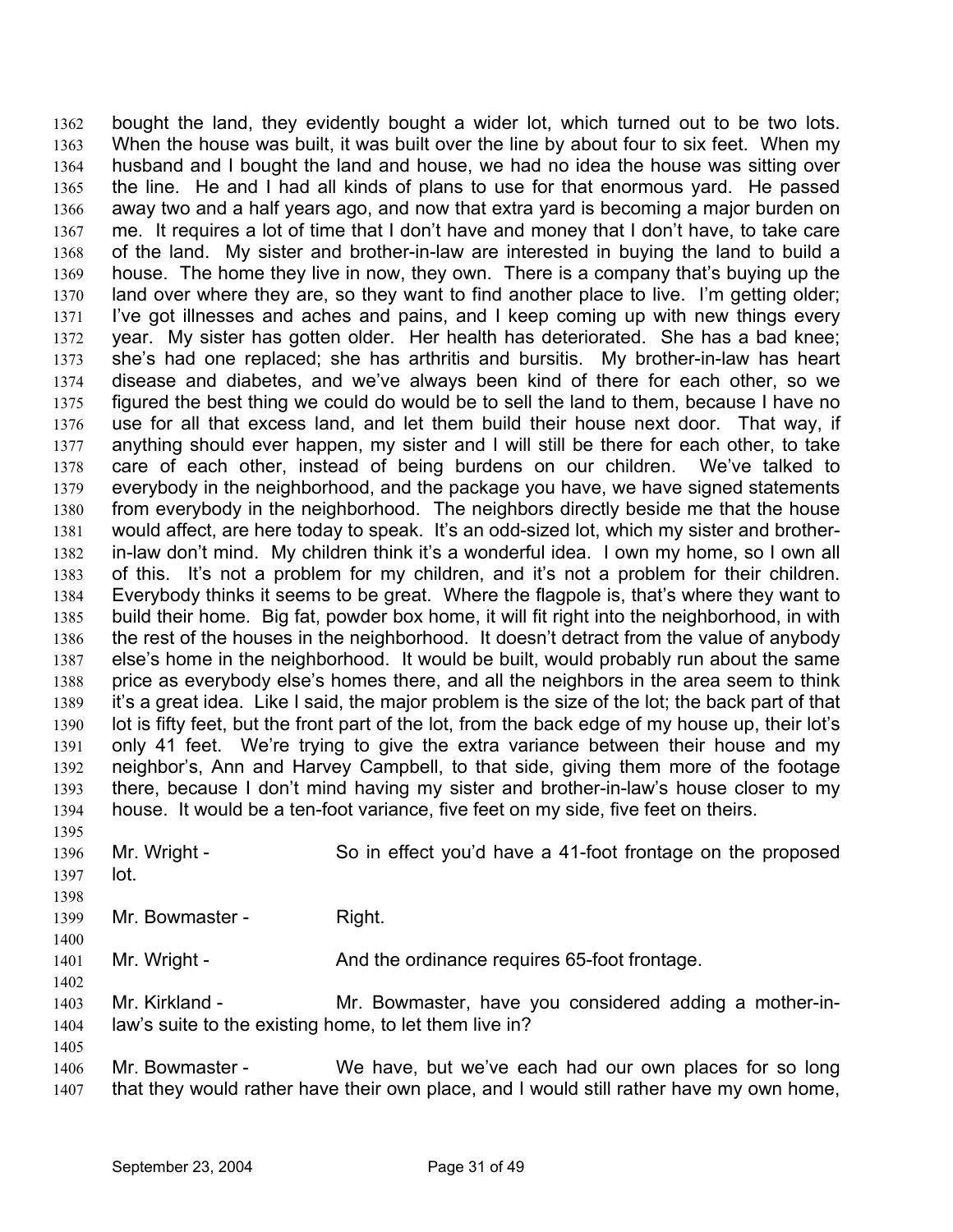bought the land, they evidently bought a wider lot, which turned out to be two lots. When the house was built, it was built over the line by about four to six feet. When my husband and I bought the land and house, we had no idea the house was sitting over the line. He and I had all kinds of plans to use for that enormous yard. He passed away two and a half years ago, and now that extra yard is becoming a major burden on me. It requires a lot of time that I don't have and money that I don't have, to take care of the land. My sister and brother-in-law are interested in buying the land to build a house. The home they live in now, they own. There is a company that's buying up the land over where they are, so they want to find another place to live. I'm getting older; I've got illnesses and aches and pains, and I keep coming up with new things every year. My sister has gotten older. Her health has deteriorated. She has a bad knee; she's had one replaced; she has arthritis and bursitis. My brother-in-law has heart disease and diabetes, and we've always been kind of there for each other, so we figured the best thing we could do would be to sell the land to them, because I have no use for all that excess land, and let them build their house next door. That way, if anything should ever happen, my sister and I will still be there for each other, to take care of each other, instead of being burdens on our children. We've talked to everybody in the neighborhood, and the package you have, we have signed statements from everybody in the neighborhood. The neighbors directly beside me that the house would affect, are here today to speak. It's an odd-sized lot, which my sister and brotherin-law don't mind. My children think it's a wonderful idea. I own my home, so I own all of this. It's not a problem for my children, and it's not a problem for their children. Everybody thinks it seems to be great. Where the flagpole is, that's where they want to build their home. Big fat, powder box home, it will fit right into the neighborhood, in with the rest of the houses in the neighborhood. It doesn't detract from the value of anybody else's home in the neighborhood. It would be built, would probably run about the same price as everybody else's homes there, and all the neighbors in the area seem to think it's a great idea. Like I said, the major problem is the size of the lot; the back part of that lot is fifty feet, but the front part of the lot, from the back edge of my house up, their lot's only 41 feet. We're trying to give the extra variance between their house and my neighbor's, Ann and Harvey Campbell, to that side, giving them more of the footage there, because I don't mind having my sister and brother-in-law's house closer to my house. It would be a ten-foot variance, five feet on my side, five feet on theirs. 1362 1363 1364 1365 1366 1367 1368 1369 1370 1371 1372 1373 1374 1375 1376 1377 1378 1379 1380 1381 1382 1383 1384 1385 1386 1387 1388 1389 1390 1391 1392 1393 1394 1395

- 1396 1397 Mr. Wright - So in effect you'd have a 41-foot frontage on the proposed lot.
- 1398

1400

1402

1405

1399 Mr. Bowmaster - Right.

1401 Mr. Wright - And the ordinance requires 65-foot frontage.

- 1403 1404 Mr. Kirkland - The Mr. Bowmaster, have you considered adding a mother-inlaw's suite to the existing home, to let them live in?
- 1406 1407 Mr. Bowmaster - We have, but we've each had our own places for so long that they would rather have their own place, and I would still rather have my own home,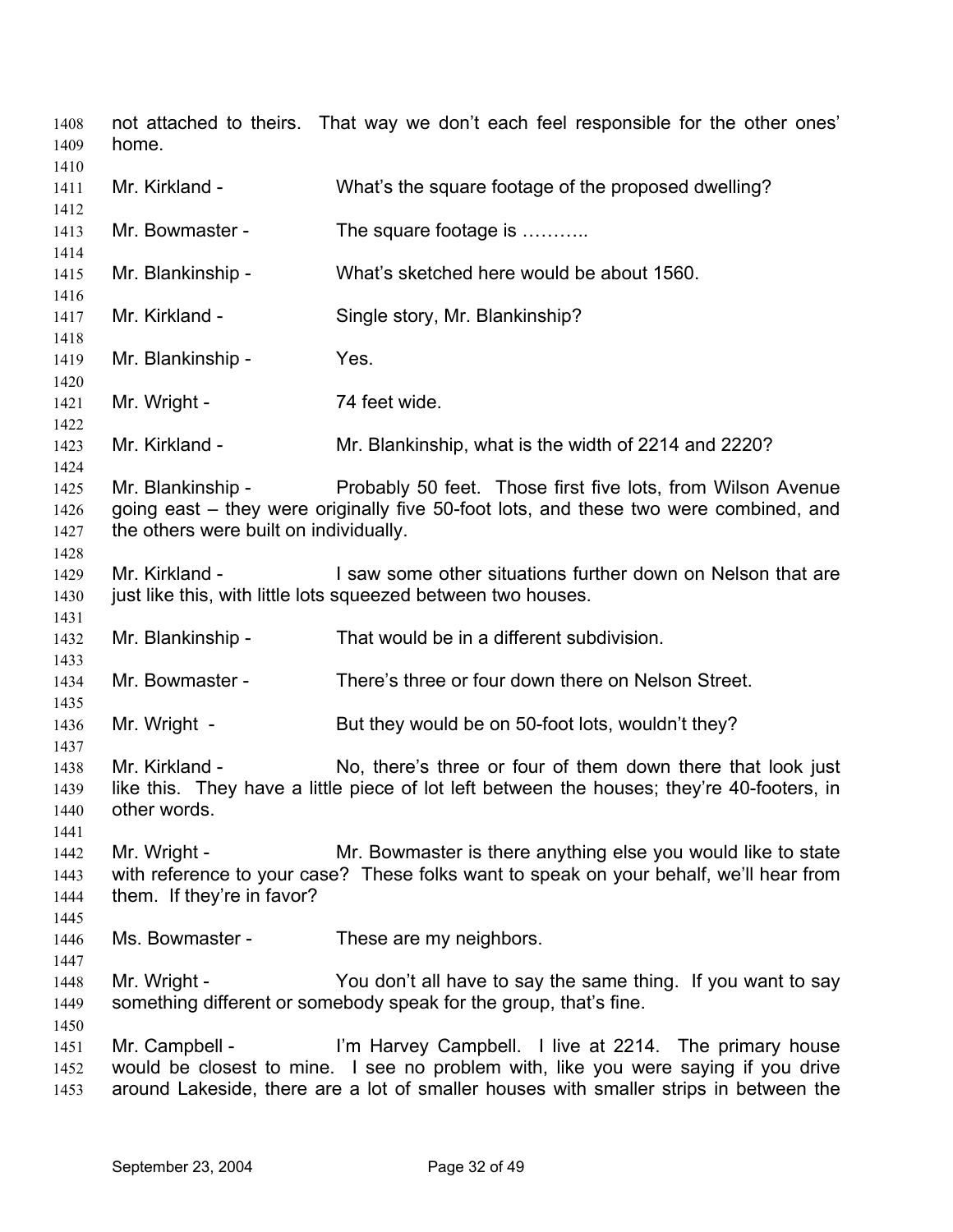not attached to theirs. That way we don't each feel responsible for the other ones' home. Mr. Kirkland - What's the square footage of the proposed dwelling? Mr. Bowmaster - The square footage is ........... Mr. Blankinship - What's sketched here would be about 1560. Mr. Kirkland - Single story, Mr. Blankinship? Mr. Blankinship - Yes. Mr. Wright - 74 feet wide. Mr. Kirkland - Mr. Blankinship, what is the width of 2214 and 2220? Mr. Blankinship - Probably 50 feet. Those first five lots, from Wilson Avenue going east – they were originally five 50-foot lots, and these two were combined, and the others were built on individually. Mr. Kirkland - I saw some other situations further down on Nelson that are just like this, with little lots squeezed between two houses. Mr. Blankinship - That would be in a different subdivision. Mr. Bowmaster - There's three or four down there on Nelson Street. Mr. Wright - But they would be on 50-foot lots, wouldn't they? Mr. Kirkland - No, there's three or four of them down there that look just like this. They have a little piece of lot left between the houses; they're 40-footers, in other words. Mr. Wright - Mr. Bowmaster is there anything else you would like to state with reference to your case? These folks want to speak on your behalf, we'll hear from them. If they're in favor? Ms. Bowmaster - These are my neighbors. Mr. Wright - You don't all have to say the same thing. If you want to say something different or somebody speak for the group, that's fine. Mr. Campbell - I'm Harvey Campbell. I live at 2214. The primary house would be closest to mine. I see no problem with, like you were saying if you drive around Lakeside, there are a lot of smaller houses with smaller strips in between the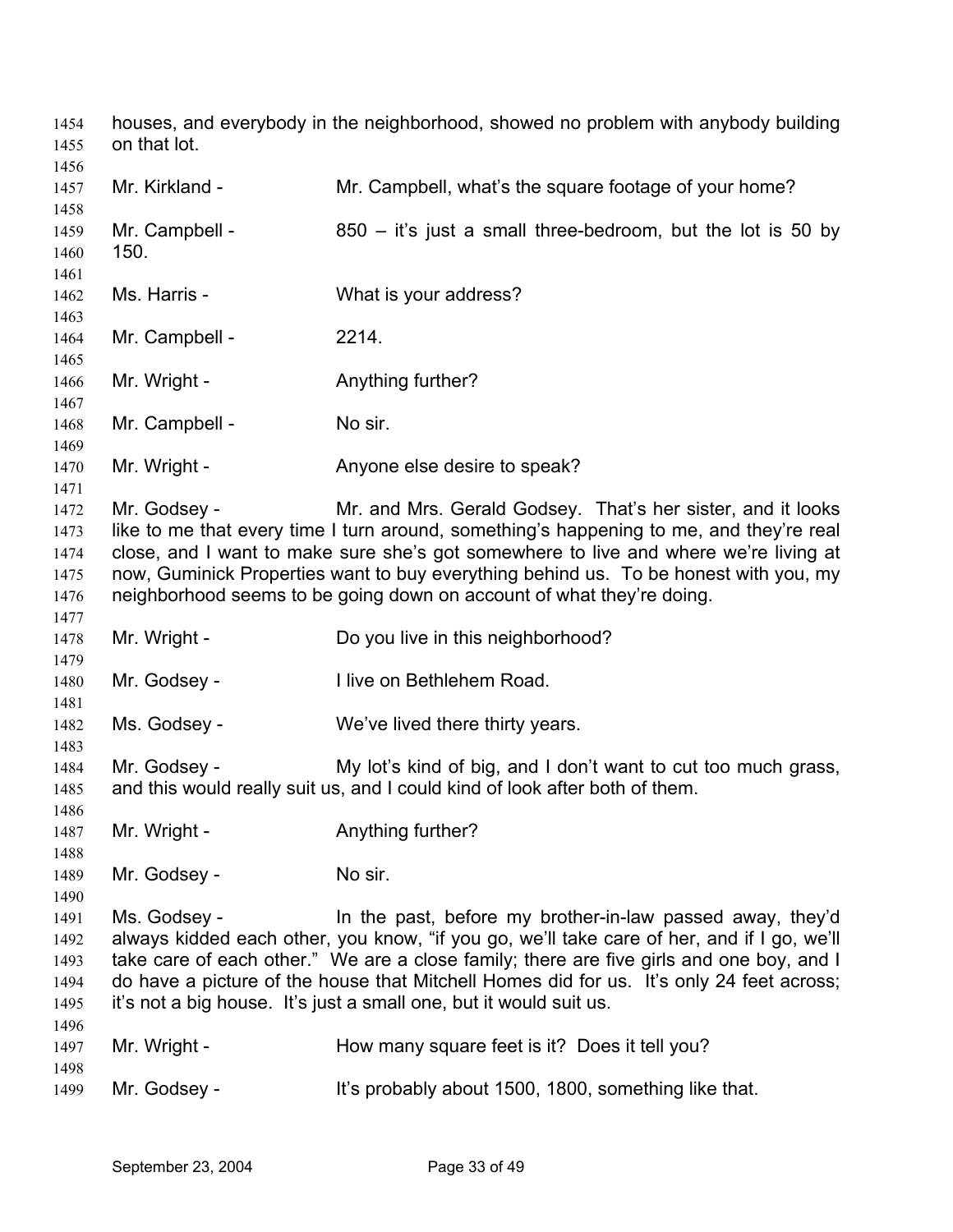houses, and everybody in the neighborhood, showed no problem with anybody building on that lot. 

| 1456         |                |                                                                                                                                                                              |
|--------------|----------------|------------------------------------------------------------------------------------------------------------------------------------------------------------------------------|
| 1457         | Mr. Kirkland - | Mr. Campbell, what's the square footage of your home?                                                                                                                        |
| 1458         |                |                                                                                                                                                                              |
| 1459         | Mr. Campbell - | $850 -$ it's just a small three-bedroom, but the lot is 50 by                                                                                                                |
| 1460         | 150.           |                                                                                                                                                                              |
| 1461         | Ms. Harris -   |                                                                                                                                                                              |
| 1462<br>1463 |                | What is your address?                                                                                                                                                        |
| 1464         | Mr. Campbell - | 2214.                                                                                                                                                                        |
| 1465         |                |                                                                                                                                                                              |
| 1466         | Mr. Wright -   | Anything further?                                                                                                                                                            |
| 1467         |                |                                                                                                                                                                              |
| 1468         | Mr. Campbell - | No sir.                                                                                                                                                                      |
| 1469         |                |                                                                                                                                                                              |
| 1470         | Mr. Wright -   | Anyone else desire to speak?                                                                                                                                                 |
| 1471         |                |                                                                                                                                                                              |
| 1472         | Mr. Godsey -   | Mr. and Mrs. Gerald Godsey. That's her sister, and it looks                                                                                                                  |
| 1473         |                | like to me that every time I turn around, something's happening to me, and they're real                                                                                      |
| 1474         |                | close, and I want to make sure she's got somewhere to live and where we're living at<br>now, Guminick Properties want to buy everything behind us. To be honest with you, my |
| 1475<br>1476 |                | neighborhood seems to be going down on account of what they're doing.                                                                                                        |
| 1477         |                |                                                                                                                                                                              |
| 1478         | Mr. Wright -   | Do you live in this neighborhood?                                                                                                                                            |
| 1479         |                |                                                                                                                                                                              |
| 1480         | Mr. Godsey -   | I live on Bethlehem Road.                                                                                                                                                    |
| 1481         |                |                                                                                                                                                                              |
| 1482         | Ms. Godsey -   | We've lived there thirty years.                                                                                                                                              |
| 1483         |                |                                                                                                                                                                              |
| 1484         | Mr. Godsey -   | My lot's kind of big, and I don't want to cut too much grass,                                                                                                                |
| 1485         |                | and this would really suit us, and I could kind of look after both of them.                                                                                                  |
| 1486         |                |                                                                                                                                                                              |
| 1487         | Mr. Wright -   | Anything further?                                                                                                                                                            |
| 1488<br>1489 | Mr. Godsey -   | No sir.                                                                                                                                                                      |
| 1490         |                |                                                                                                                                                                              |
| 1491         | Ms. Godsey -   | In the past, before my brother-in-law passed away, they'd                                                                                                                    |
| 1492         |                | always kidded each other, you know, "if you go, we'll take care of her, and if I go, we'll                                                                                   |
| 1493         |                | take care of each other." We are a close family; there are five girls and one boy, and I                                                                                     |
| 1494         |                | do have a picture of the house that Mitchell Homes did for us. It's only 24 feet across;                                                                                     |
| 1495         |                | it's not a big house. It's just a small one, but it would suit us.                                                                                                           |
| 1496         |                |                                                                                                                                                                              |
| 1497         | Mr. Wright -   | How many square feet is it? Does it tell you?                                                                                                                                |
| 1498         |                |                                                                                                                                                                              |
| 1499         | Mr. Godsey -   | It's probably about 1500, 1800, something like that.                                                                                                                         |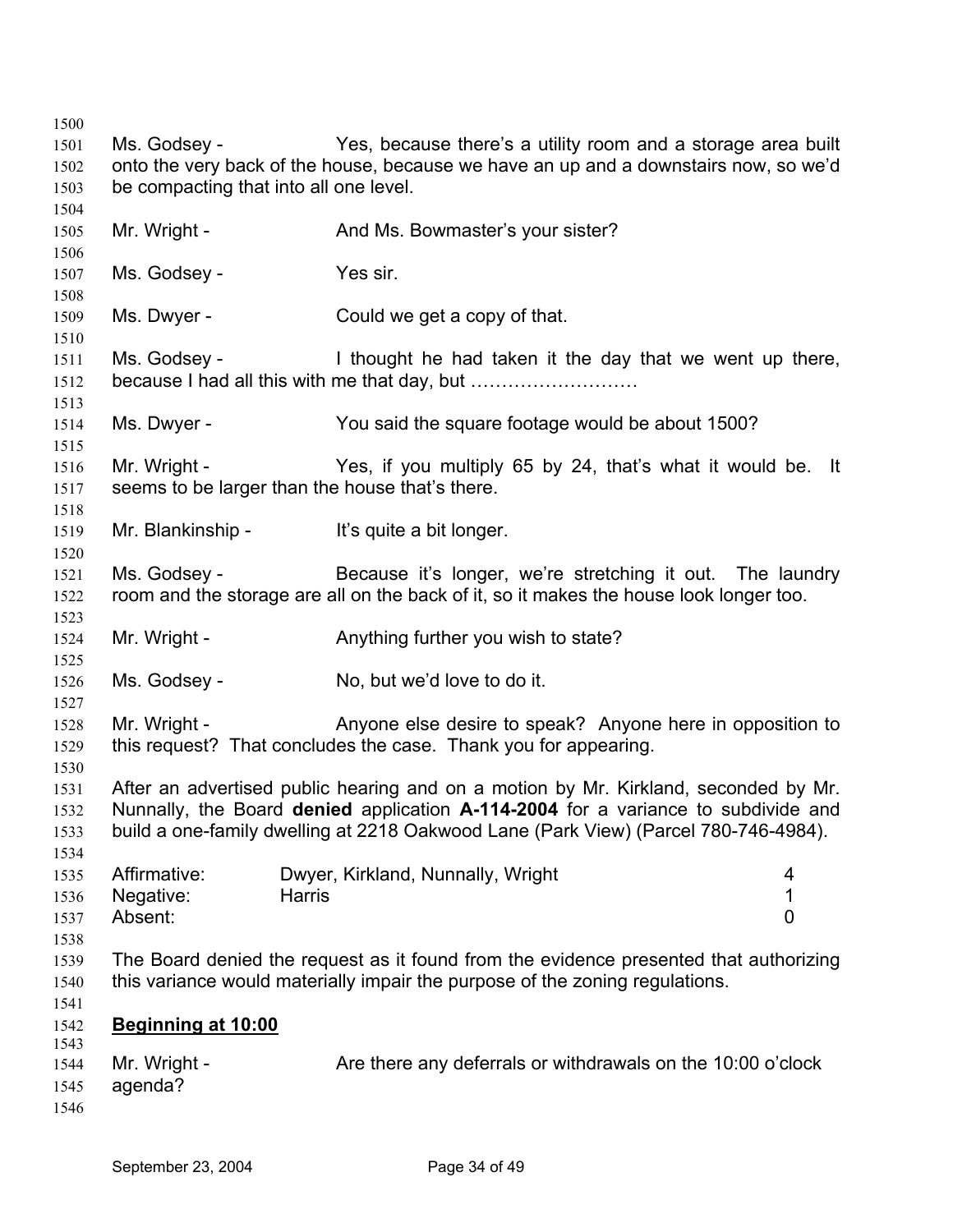Ms. Godsey - Yes, because there's a utility room and a storage area built onto the very back of the house, because we have an up and a downstairs now, so we'd be compacting that into all one level. Mr. Wright - And Ms. Bowmaster's your sister? Ms. Godsey - Yes sir. Ms. Dwyer - Could we get a copy of that. Ms. Godsey - I thought he had taken it the day that we went up there, because I had all this with me that day, but ……………………… Ms. Dwyer - You said the square footage would be about 1500? Mr. Wright - Yes, if you multiply 65 by 24, that's what it would be. It seems to be larger than the house that's there. Mr. Blankinship - It's quite a bit longer. Ms. Godsey - Because it's longer, we're stretching it out. The laundry room and the storage are all on the back of it, so it makes the house look longer too. Mr. Wright - Anything further you wish to state? Ms. Godsey - No, but we'd love to do it. Mr. Wright - Anyone else desire to speak? Anyone here in opposition to this request? That concludes the case. Thank you for appearing. After an advertised public hearing and on a motion by Mr. Kirkland, seconded by Mr. Nunnally, the Board **denied** application **A-114-2004** for a variance to subdivide and build a one-family dwelling at 2218 Oakwood Lane (Park View) (Parcel 780-746-4984). Affirmative: Dwyer, Kirkland, Nunnally, Wright 4 Negative: Harris 1 Absent: 0 The Board denied the request as it found from the evidence presented that authorizing this variance would materially impair the purpose of the zoning regulations. **Beginning at 10:00** Mr. Wright - Are there any deferrals or withdrawals on the 10:00 o'clock agenda?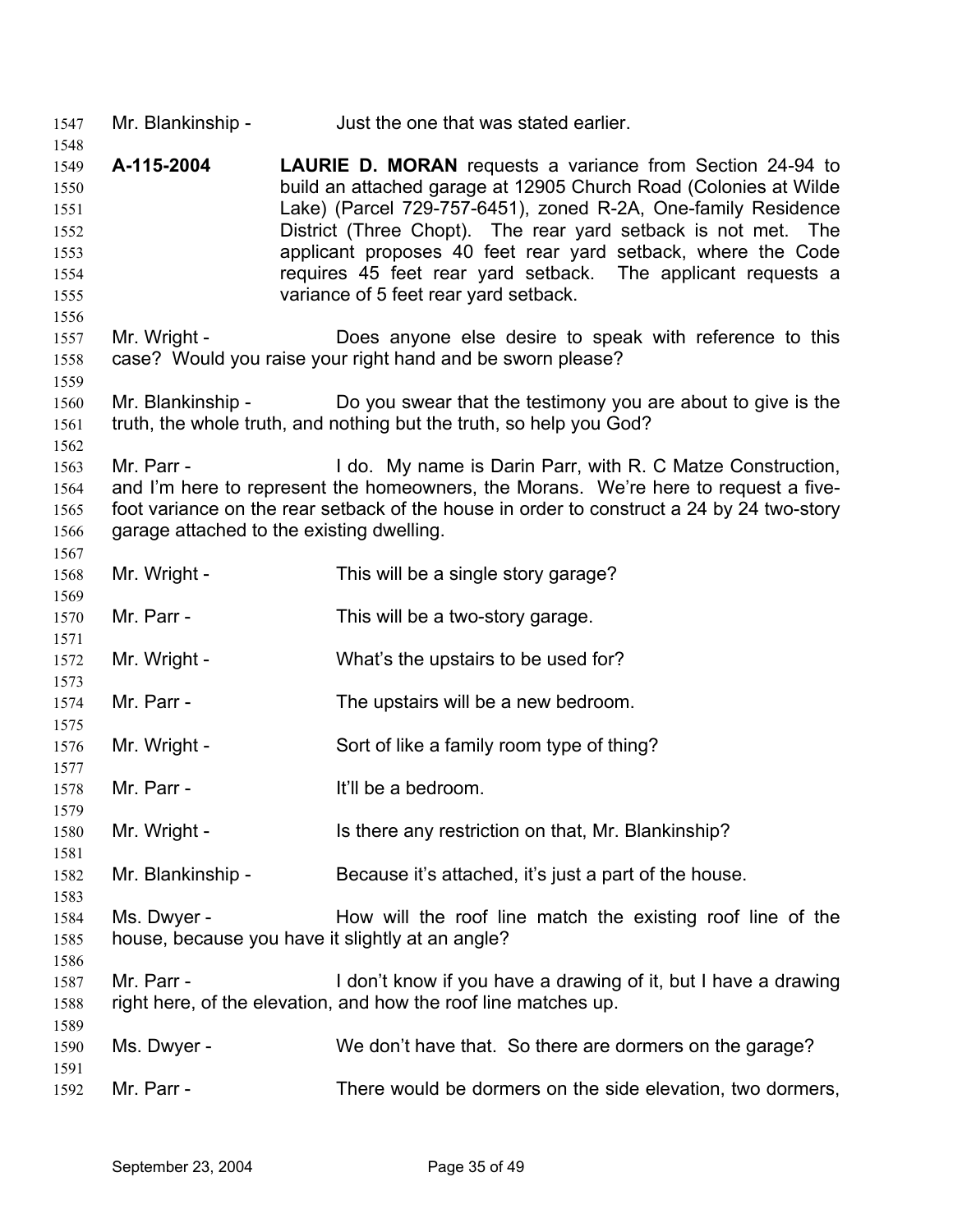Mr. Blankinship - Just the one that was stated earlier.

- **A-115-2004 LAURIE D. MORAN** requests a variance from Section 24-94 to build an attached garage at 12905 Church Road (Colonies at Wilde Lake) (Parcel 729-757-6451), zoned R-2A, One-family Residence District (Three Chopt). The rear yard setback is not met. The applicant proposes 40 feet rear yard setback, where the Code requires 45 feet rear yard setback. The applicant requests a variance of 5 feet rear yard setback.
- Mr. Wright - Does anyone else desire to speak with reference to this case? Would you raise your right hand and be sworn please?
- Mr. Blankinship - Do you swear that the testimony you are about to give is the truth, the whole truth, and nothing but the truth, so help you God?
- Mr. Parr - I do. My name is Darin Parr, with R. C Matze Construction, and I'm here to represent the homeowners, the Morans. We're here to request a fivefoot variance on the rear setback of the house in order to construct a 24 by 24 two-story garage attached to the existing dwelling.
- Mr. Wright - This will be a single story garage?
- Mr. Parr - This will be a two-story garage.
- Mr. Wright - What's the upstairs to be used for?
- Mr. Parr - The upstairs will be a new bedroom.
- Mr. Wright - Sort of like a family room type of thing?
- Mr. Parr - The Muslim Hill be a bedroom.
- Mr. Wright - Is there any restriction on that, Mr. Blankinship?
- Mr. Blankinship - Because it's attached, it's just a part of the house.
- Ms. Dwyer - How will the roof line match the existing roof line of the house, because you have it slightly at an angle?
- Mr. Parr - I don't know if you have a drawing of it, but I have a drawing right here, of the elevation, and how the roof line matches up.
- Ms. Dwyer - We don't have that. So there are dormers on the garage?
- Mr. Parr - There would be dormers on the side elevation, two dormers,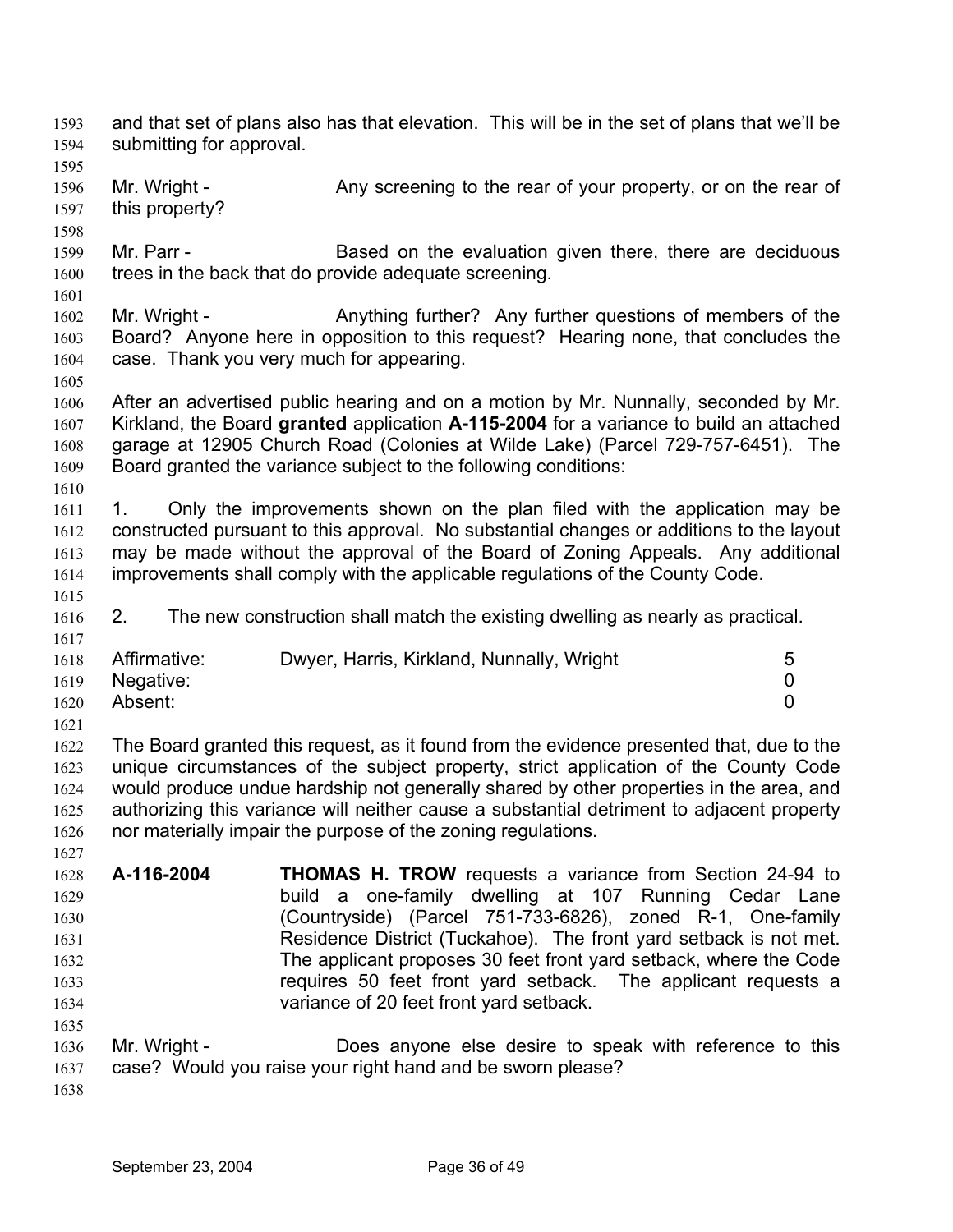1597 1598 1599 1600 1601 1602 1603 1604 1605 1606 1607 1608 1609 1610 1611 1612 1613 1614 1615 1616 1617 1618 1619 1620 1621 1622 1623 1624 1625 1626 1627 1628 1629 1630 1631 1632 1633 1634 1635 1636 1637 1638 this property? Mr. Parr - **Based on the evaluation given there, there are deciduous** trees in the back that do provide adequate screening. Mr. Wright - Anything further? Any further questions of members of the Board? Anyone here in opposition to this request? Hearing none, that concludes the case. Thank you very much for appearing. After an advertised public hearing and on a motion by Mr. Nunnally, seconded by Mr. Kirkland, the Board **granted** application **A-115-2004** for a variance to build an attached garage at 12905 Church Road (Colonies at Wilde Lake) (Parcel 729-757-6451). The Board granted the variance subject to the following conditions: 1. Only the improvements shown on the plan filed with the application may be constructed pursuant to this approval. No substantial changes or additions to the layout may be made without the approval of the Board of Zoning Appeals. Any additional improvements shall comply with the applicable regulations of the County Code. 2. The new construction shall match the existing dwelling as nearly as practical. Affirmative: Dwyer, Harris, Kirkland, Nunnally, Wright 5 Negative: 0 Absent: 0 The Board granted this request, as it found from the evidence presented that, due to the unique circumstances of the subject property, strict application of the County Code would produce undue hardship not generally shared by other properties in the area, and authorizing this variance will neither cause a substantial detriment to adjacent property nor materially impair the purpose of the zoning regulations. **A-116-2004 THOMAS H. TROW** requests a variance from Section 24-94 to build a one-family dwelling at 107 Running Cedar Lane (Countryside) (Parcel 751-733-6826), zoned R-1, One-family Residence District (Tuckahoe). The front yard setback is not met. The applicant proposes 30 feet front yard setback, where the Code requires 50 feet front yard setback. The applicant requests a variance of 20 feet front yard setback. Mr. Wright - **Does anyone else desire to speak with reference to this** case? Would you raise your right hand and be sworn please? September 23, 2004 Page 36 of 49

and that set of plans also has that elevation. This will be in the set of plans that we'll be

Mr. Wright - Any screening to the rear of your property, or on the rear of

submitting for approval.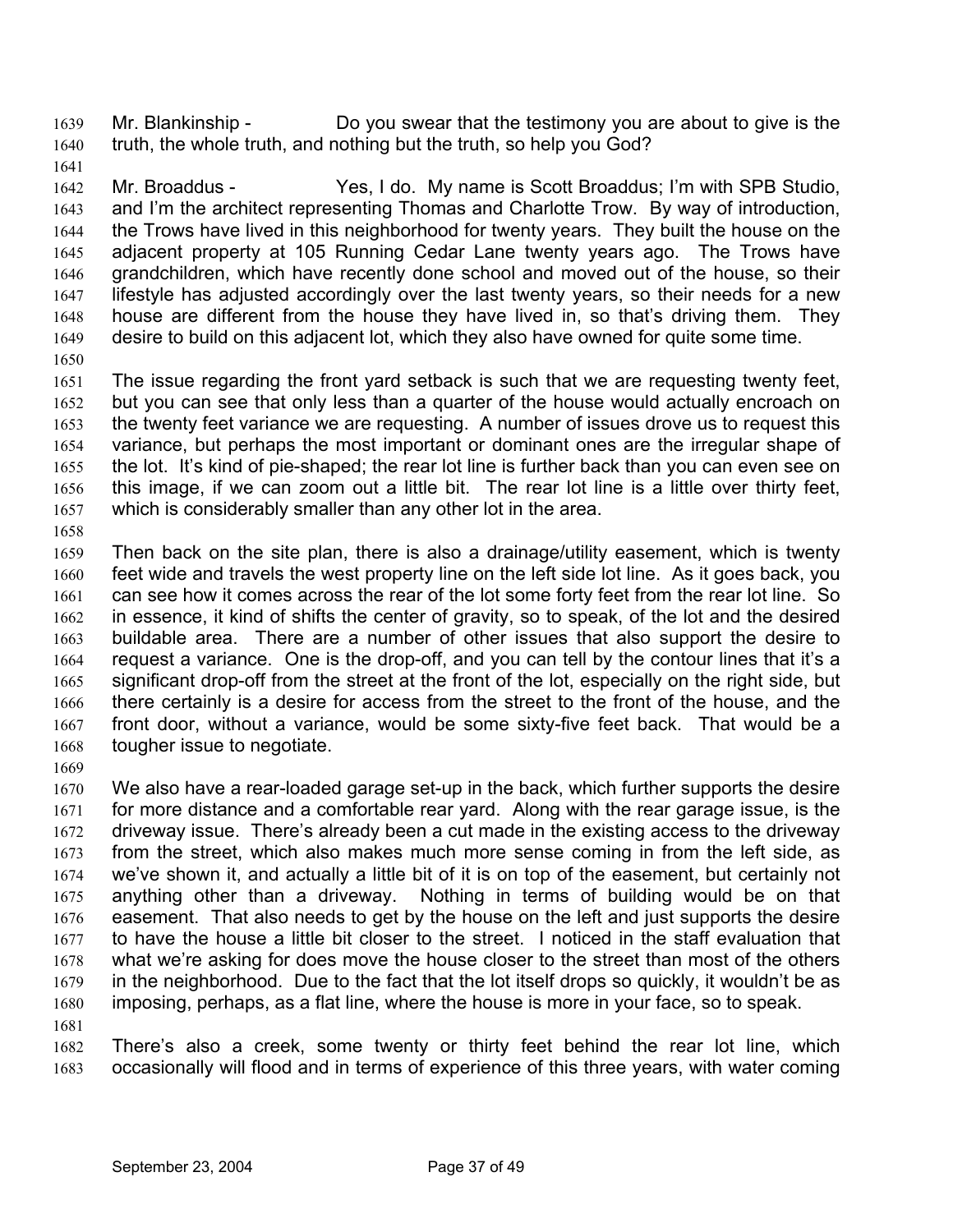Mr. Blankinship - Do you swear that the testimony you are about to give is the truth, the whole truth, and nothing but the truth, so help you God? 1639 1640

1641

1642 1643 1644 1645 1646 1647 1648 1649 Mr. Broaddus - Yes, I do. My name is Scott Broaddus; I'm with SPB Studio, and I'm the architect representing Thomas and Charlotte Trow. By way of introduction, the Trows have lived in this neighborhood for twenty years. They built the house on the adjacent property at 105 Running Cedar Lane twenty years ago. The Trows have grandchildren, which have recently done school and moved out of the house, so their lifestyle has adjusted accordingly over the last twenty years, so their needs for a new house are different from the house they have lived in, so that's driving them. They desire to build on this adjacent lot, which they also have owned for quite some time.

1650

1651 1652 1653 1654 1655 1656 1657 The issue regarding the front yard setback is such that we are requesting twenty feet, but you can see that only less than a quarter of the house would actually encroach on the twenty feet variance we are requesting. A number of issues drove us to request this variance, but perhaps the most important or dominant ones are the irregular shape of the lot. It's kind of pie-shaped; the rear lot line is further back than you can even see on this image, if we can zoom out a little bit. The rear lot line is a little over thirty feet, which is considerably smaller than any other lot in the area.

1658

1659 1660 1661 1662 1663 1664 1665 1666 1667 1668 Then back on the site plan, there is also a drainage/utility easement, which is twenty feet wide and travels the west property line on the left side lot line. As it goes back, you can see how it comes across the rear of the lot some forty feet from the rear lot line. So in essence, it kind of shifts the center of gravity, so to speak, of the lot and the desired buildable area. There are a number of other issues that also support the desire to request a variance. One is the drop-off, and you can tell by the contour lines that it's a significant drop-off from the street at the front of the lot, especially on the right side, but there certainly is a desire for access from the street to the front of the house, and the front door, without a variance, would be some sixty-five feet back. That would be a tougher issue to negotiate.

1669

1670 1671 1672 1673 1674 1675 1676 1677 1678 1679 1680 1681 We also have a rear-loaded garage set-up in the back, which further supports the desire for more distance and a comfortable rear yard. Along with the rear garage issue, is the driveway issue. There's already been a cut made in the existing access to the driveway from the street, which also makes much more sense coming in from the left side, as we've shown it, and actually a little bit of it is on top of the easement, but certainly not anything other than a driveway. Nothing in terms of building would be on that easement. That also needs to get by the house on the left and just supports the desire to have the house a little bit closer to the street. I noticed in the staff evaluation that what we're asking for does move the house closer to the street than most of the others in the neighborhood. Due to the fact that the lot itself drops so quickly, it wouldn't be as imposing, perhaps, as a flat line, where the house is more in your face, so to speak.

1682 1683 There's also a creek, some twenty or thirty feet behind the rear lot line, which occasionally will flood and in terms of experience of this three years, with water coming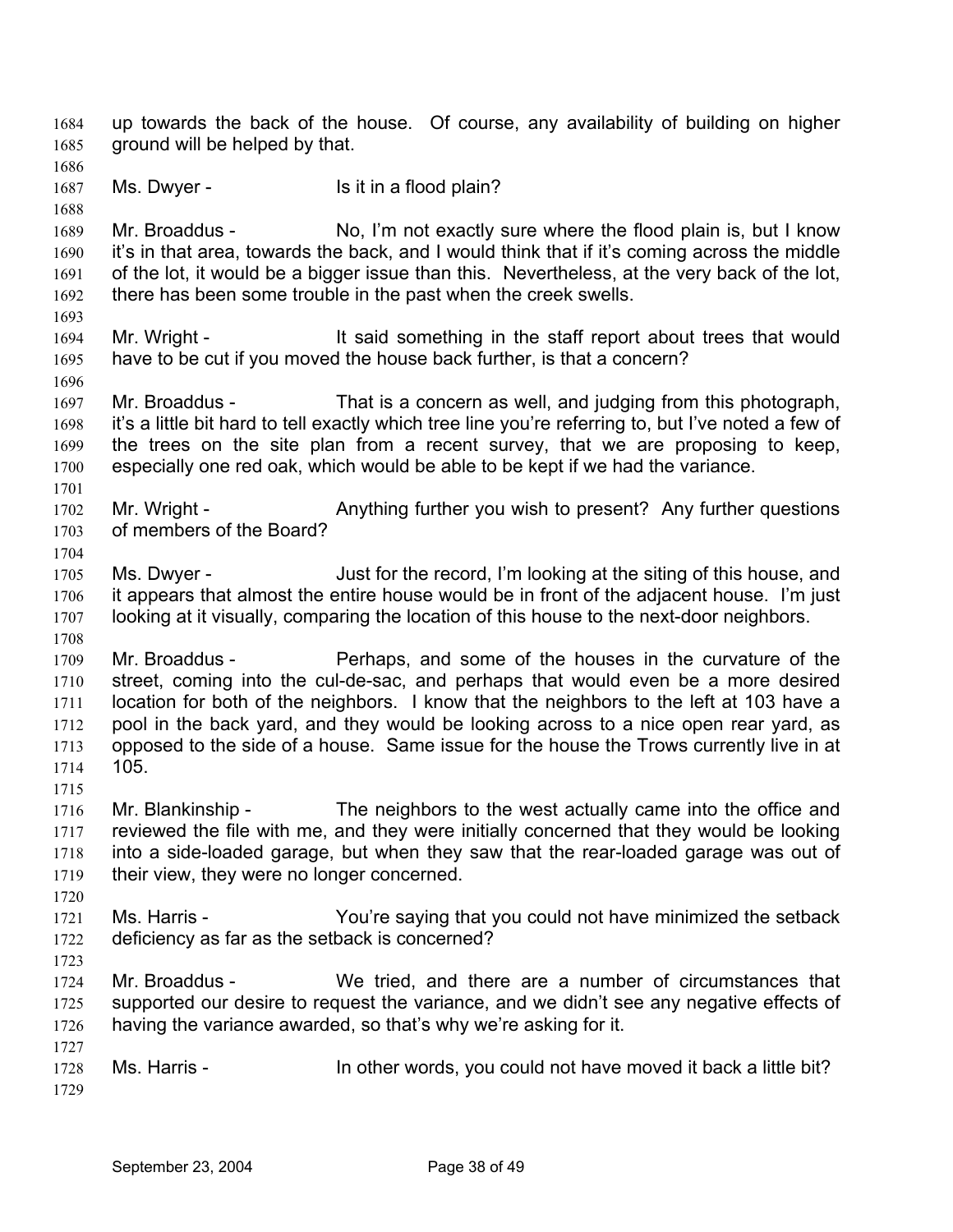up towards the back of the house. Of course, any availability of building on higher ground will be helped by that. 1684 1685 1686 1687 1688 1689 1690 1691 1692 1693 1694 1695 1696 1697 1698 1699 1700 1701 1702 1703 1704 1705 1706 1707 1708 1709 1710 1711 1712 1713 1714 1715 1716 1717 1718 1719 1720 1721 1722 1723 1724 1725 1726 1727 1728 1729 Ms. Dwyer - Is it in a flood plain? Mr. Broaddus - No, I'm not exactly sure where the flood plain is, but I know it's in that area, towards the back, and I would think that if it's coming across the middle of the lot, it would be a bigger issue than this. Nevertheless, at the very back of the lot, there has been some trouble in the past when the creek swells. Mr. Wright - The said something in the staff report about trees that would have to be cut if you moved the house back further, is that a concern? Mr. Broaddus - That is a concern as well, and judging from this photograph, it's a little bit hard to tell exactly which tree line you're referring to, but I've noted a few of the trees on the site plan from a recent survey, that we are proposing to keep, especially one red oak, which would be able to be kept if we had the variance. Mr. Wright - Anything further you wish to present? Any further questions of members of the Board? Ms. Dwyer - Just for the record, I'm looking at the siting of this house, and it appears that almost the entire house would be in front of the adjacent house. I'm just looking at it visually, comparing the location of this house to the next-door neighbors. Mr. Broaddus - Perhaps, and some of the houses in the curvature of the street, coming into the cul-de-sac, and perhaps that would even be a more desired location for both of the neighbors. I know that the neighbors to the left at 103 have a pool in the back yard, and they would be looking across to a nice open rear yard, as opposed to the side of a house. Same issue for the house the Trows currently live in at 105. Mr. Blankinship - The neighbors to the west actually came into the office and reviewed the file with me, and they were initially concerned that they would be looking into a side-loaded garage, but when they saw that the rear-loaded garage was out of their view, they were no longer concerned. Ms. Harris - You're saying that you could not have minimized the setback deficiency as far as the setback is concerned? Mr. Broaddus - We tried, and there are a number of circumstances that supported our desire to request the variance, and we didn't see any negative effects of having the variance awarded, so that's why we're asking for it. Ms. Harris - In other words, you could not have moved it back a little bit?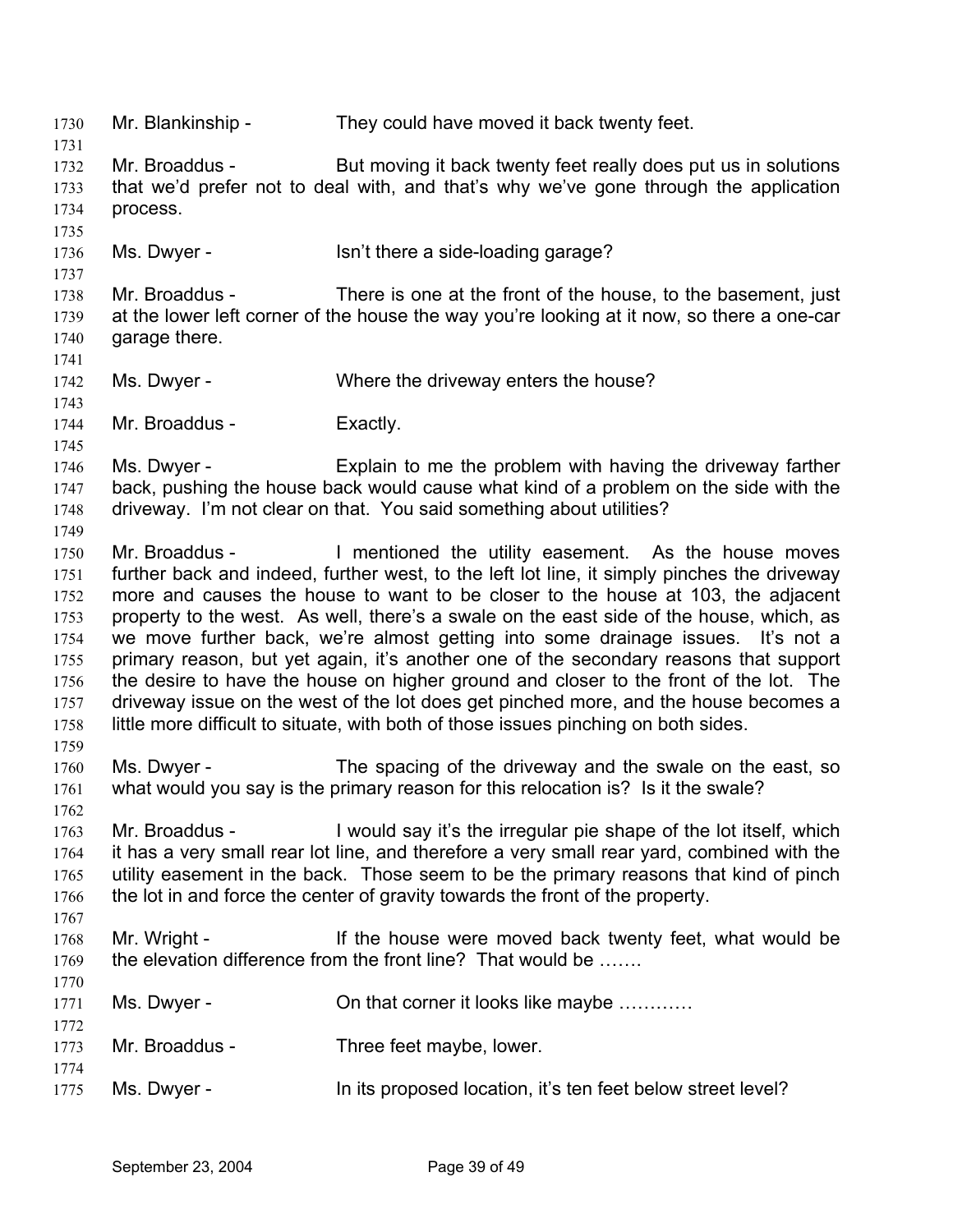1730 Mr. Blankinship - They could have moved it back twenty feet. 1731 1732 1733 1734 1735 1736 1737 1738 1739 1740 1741 1742 1743 1744 1745 1746 1747 1748 1749 1750 1751 1752 1753 1754 1755 1756 1757 1758 1759 1760 1761 1762 1763 1764 1765 1766 1767 1768 1769 1770 1771 1772 1773 1774 1775 Mr. Broaddus - But moving it back twenty feet really does put us in solutions that we'd prefer not to deal with, and that's why we've gone through the application process. Ms. Dwyer - Isn't there a side-loading garage? Mr. Broaddus - There is one at the front of the house, to the basement, just at the lower left corner of the house the way you're looking at it now, so there a one-car garage there. Ms. Dwyer - Where the driveway enters the house? Mr. Broaddus - Exactly. Ms. Dwyer - Explain to me the problem with having the driveway farther back, pushing the house back would cause what kind of a problem on the side with the driveway. I'm not clear on that. You said something about utilities? Mr. Broaddus - I mentioned the utility easement. As the house moves further back and indeed, further west, to the left lot line, it simply pinches the driveway more and causes the house to want to be closer to the house at 103, the adjacent property to the west. As well, there's a swale on the east side of the house, which, as we move further back, we're almost getting into some drainage issues. It's not a primary reason, but yet again, it's another one of the secondary reasons that support the desire to have the house on higher ground and closer to the front of the lot. The driveway issue on the west of the lot does get pinched more, and the house becomes a little more difficult to situate, with both of those issues pinching on both sides. Ms. Dwyer - The spacing of the driveway and the swale on the east, so what would you say is the primary reason for this relocation is? Is it the swale? Mr. Broaddus - I would say it's the irregular pie shape of the lot itself, which it has a very small rear lot line, and therefore a very small rear yard, combined with the utility easement in the back. Those seem to be the primary reasons that kind of pinch the lot in and force the center of gravity towards the front of the property. Mr. Wright - The house were moved back twenty feet, what would be the elevation difference from the front line? That would be ……. Ms. Dwyer - Christian Corner it looks like maybe ............ Mr. Broaddus - Three feet maybe, lower. Ms. Dwyer - The its proposed location, it's ten feet below street level?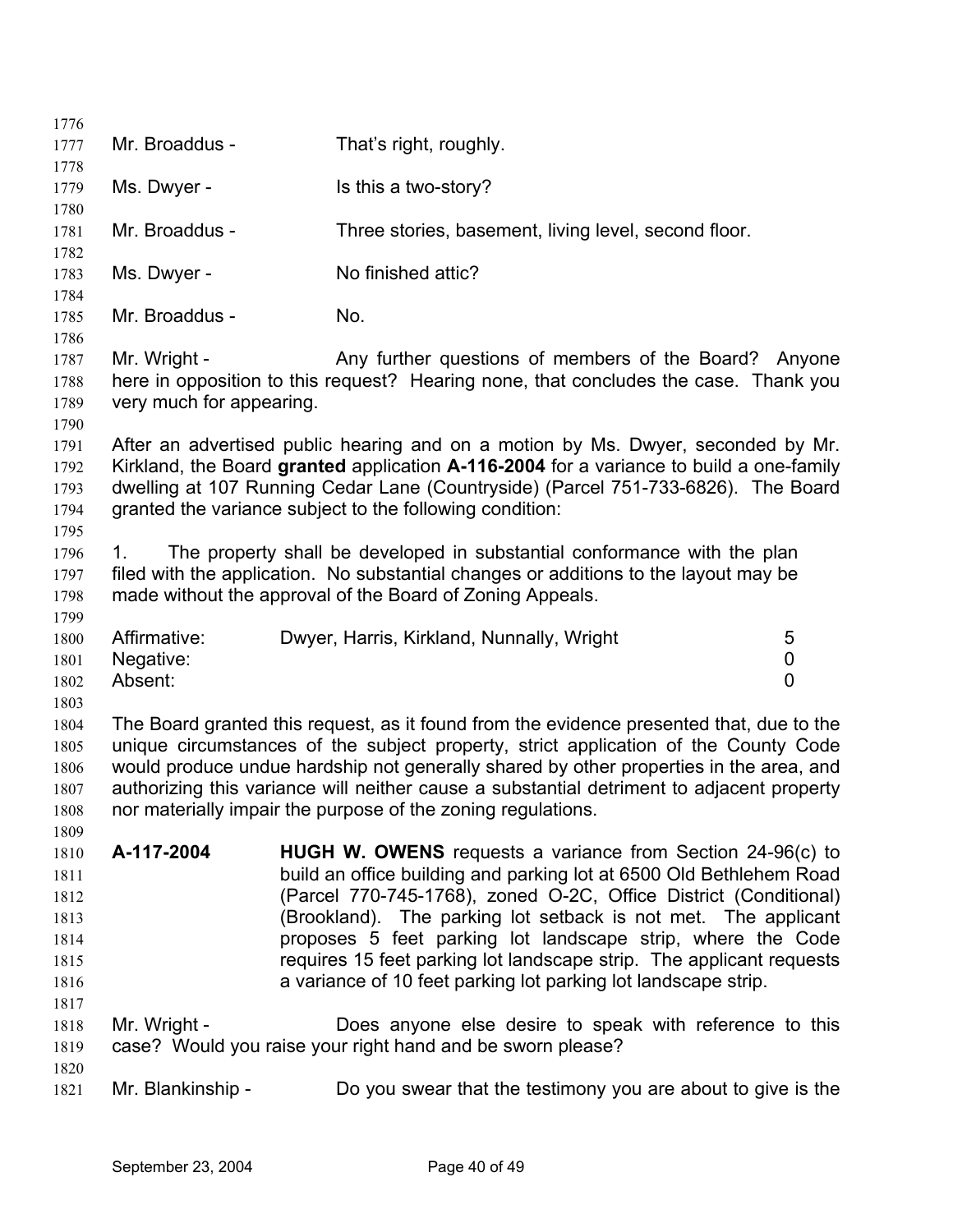| 1776                                                         |                                          |                                                                                                                                                                                                                                                                                                                                                                                                                                                                                         |                                    |
|--------------------------------------------------------------|------------------------------------------|-----------------------------------------------------------------------------------------------------------------------------------------------------------------------------------------------------------------------------------------------------------------------------------------------------------------------------------------------------------------------------------------------------------------------------------------------------------------------------------------|------------------------------------|
| 1777                                                         | Mr. Broaddus -                           | That's right, roughly.                                                                                                                                                                                                                                                                                                                                                                                                                                                                  |                                    |
| 1778<br>1779<br>1780                                         | Ms. Dwyer -                              | Is this a two-story?                                                                                                                                                                                                                                                                                                                                                                                                                                                                    |                                    |
| 1781<br>1782                                                 | Mr. Broaddus -                           | Three stories, basement, living level, second floor.                                                                                                                                                                                                                                                                                                                                                                                                                                    |                                    |
| 1783<br>1784                                                 | Ms. Dwyer -                              | No finished attic?                                                                                                                                                                                                                                                                                                                                                                                                                                                                      |                                    |
| 1785<br>1786                                                 | Mr. Broaddus -                           | No.                                                                                                                                                                                                                                                                                                                                                                                                                                                                                     |                                    |
| 1787<br>1788<br>1789<br>1790                                 | Mr. Wright -<br>very much for appearing. | Any further questions of members of the Board? Anyone<br>here in opposition to this request? Hearing none, that concludes the case. Thank you                                                                                                                                                                                                                                                                                                                                           |                                    |
| 1791<br>1792<br>1793<br>1794<br>1795                         |                                          | After an advertised public hearing and on a motion by Ms. Dwyer, seconded by Mr.<br>Kirkland, the Board granted application A-116-2004 for a variance to build a one-family<br>dwelling at 107 Running Cedar Lane (Countryside) (Parcel 751-733-6826). The Board<br>granted the variance subject to the following condition:                                                                                                                                                            |                                    |
| 1796<br>1797<br>1798<br>1799                                 | 1.                                       | The property shall be developed in substantial conformance with the plan<br>filed with the application. No substantial changes or additions to the layout may be<br>made without the approval of the Board of Zoning Appeals.                                                                                                                                                                                                                                                           |                                    |
| 1800<br>1801<br>1802<br>1803                                 | Affirmative:<br>Negative:<br>Absent:     | Dwyer, Harris, Kirkland, Nunnally, Wright                                                                                                                                                                                                                                                                                                                                                                                                                                               | 5<br>$\mathbf 0$<br>$\overline{0}$ |
| 1804<br>1805<br>1806<br>1807<br>1808<br>1809                 |                                          | The Board granted this request, as it found from the evidence presented that, due to the<br>unique circumstances of the subject property, strict application of the County Code<br>would produce undue hardship not generally shared by other properties in the area, and<br>authorizing this variance will neither cause a substantial detriment to adjacent property<br>nor materially impair the purpose of the zoning regulations.                                                  |                                    |
| 1810<br>1811<br>1812<br>1813<br>1814<br>1815<br>1816<br>1817 | A-117-2004                               | <b>HUGH W. OWENS</b> requests a variance from Section 24-96(c) to<br>build an office building and parking lot at 6500 Old Bethlehem Road<br>(Parcel 770-745-1768), zoned O-2C, Office District (Conditional)<br>(Brookland). The parking lot setback is not met. The applicant<br>proposes 5 feet parking lot landscape strip, where the Code<br>requires 15 feet parking lot landscape strip. The applicant requests<br>a variance of 10 feet parking lot parking lot landscape strip. |                                    |
| 1818<br>1819                                                 | Mr. Wright -                             | Does anyone else desire to speak with reference to this<br>case? Would you raise your right hand and be sworn please?                                                                                                                                                                                                                                                                                                                                                                   |                                    |
| 1820<br>1821                                                 | Mr. Blankinship -                        | Do you swear that the testimony you are about to give is the                                                                                                                                                                                                                                                                                                                                                                                                                            |                                    |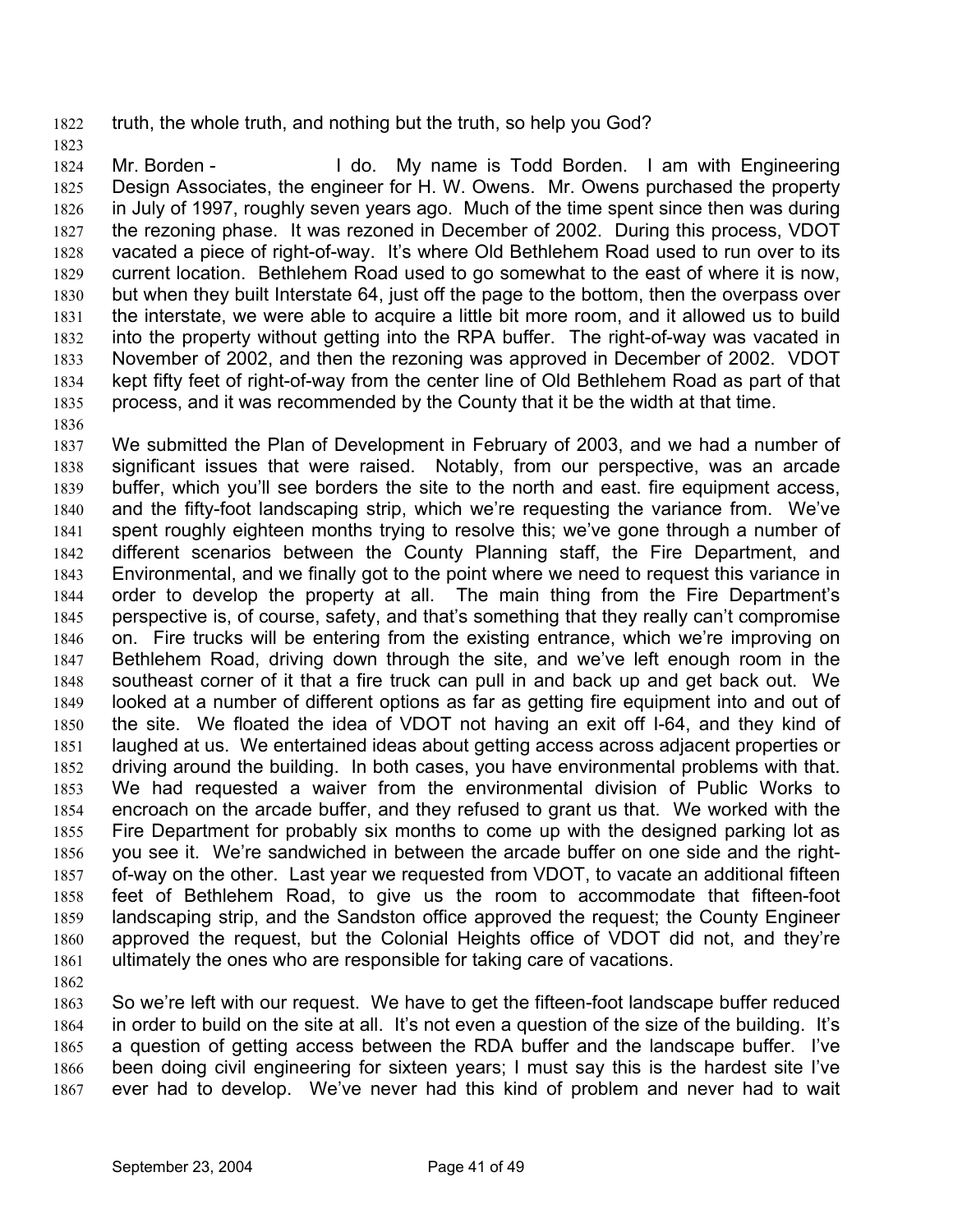1822 truth, the whole truth, and nothing but the truth, so help you God?

1824 1825 1826 1827 1828 1829 1830 1831 1832 1833 1834 1835 1836 Mr. Borden - The My name is Todd Borden. I am with Engineering Design Associates, the engineer for H. W. Owens. Mr. Owens purchased the property in July of 1997, roughly seven years ago. Much of the time spent since then was during the rezoning phase. It was rezoned in December of 2002. During this process, VDOT vacated a piece of right-of-way. It's where Old Bethlehem Road used to run over to its current location. Bethlehem Road used to go somewhat to the east of where it is now, but when they built Interstate 64, just off the page to the bottom, then the overpass over the interstate, we were able to acquire a little bit more room, and it allowed us to build into the property without getting into the RPA buffer. The right-of-way was vacated in November of 2002, and then the rezoning was approved in December of 2002. VDOT kept fifty feet of right-of-way from the center line of Old Bethlehem Road as part of that process, and it was recommended by the County that it be the width at that time.

- 1837 1838 1839 1840 1841 1842 1843 1844 1845 1846 1847 1848 1849 1850 1851 1852 1853 1854 1855 1856 1857 1858 1859 1860 1861 We submitted the Plan of Development in February of 2003, and we had a number of significant issues that were raised. Notably, from our perspective, was an arcade buffer, which you'll see borders the site to the north and east. fire equipment access, and the fifty-foot landscaping strip, which we're requesting the variance from. We've spent roughly eighteen months trying to resolve this; we've gone through a number of different scenarios between the County Planning staff, the Fire Department, and Environmental, and we finally got to the point where we need to request this variance in order to develop the property at all. The main thing from the Fire Department's perspective is, of course, safety, and that's something that they really can't compromise on. Fire trucks will be entering from the existing entrance, which we're improving on Bethlehem Road, driving down through the site, and we've left enough room in the southeast corner of it that a fire truck can pull in and back up and get back out. We looked at a number of different options as far as getting fire equipment into and out of the site. We floated the idea of VDOT not having an exit off I-64, and they kind of laughed at us. We entertained ideas about getting access across adjacent properties or driving around the building. In both cases, you have environmental problems with that. We had requested a waiver from the environmental division of Public Works to encroach on the arcade buffer, and they refused to grant us that. We worked with the Fire Department for probably six months to come up with the designed parking lot as you see it. We're sandwiched in between the arcade buffer on one side and the rightof-way on the other. Last year we requested from VDOT, to vacate an additional fifteen feet of Bethlehem Road, to give us the room to accommodate that fifteen-foot landscaping strip, and the Sandston office approved the request; the County Engineer approved the request, but the Colonial Heights office of VDOT did not, and they're ultimately the ones who are responsible for taking care of vacations.
- 1862

1823

1863 1864 1865 1866 1867 So we're left with our request. We have to get the fifteen-foot landscape buffer reduced in order to build on the site at all. It's not even a question of the size of the building. It's a question of getting access between the RDA buffer and the landscape buffer. I've been doing civil engineering for sixteen years; I must say this is the hardest site I've ever had to develop. We've never had this kind of problem and never had to wait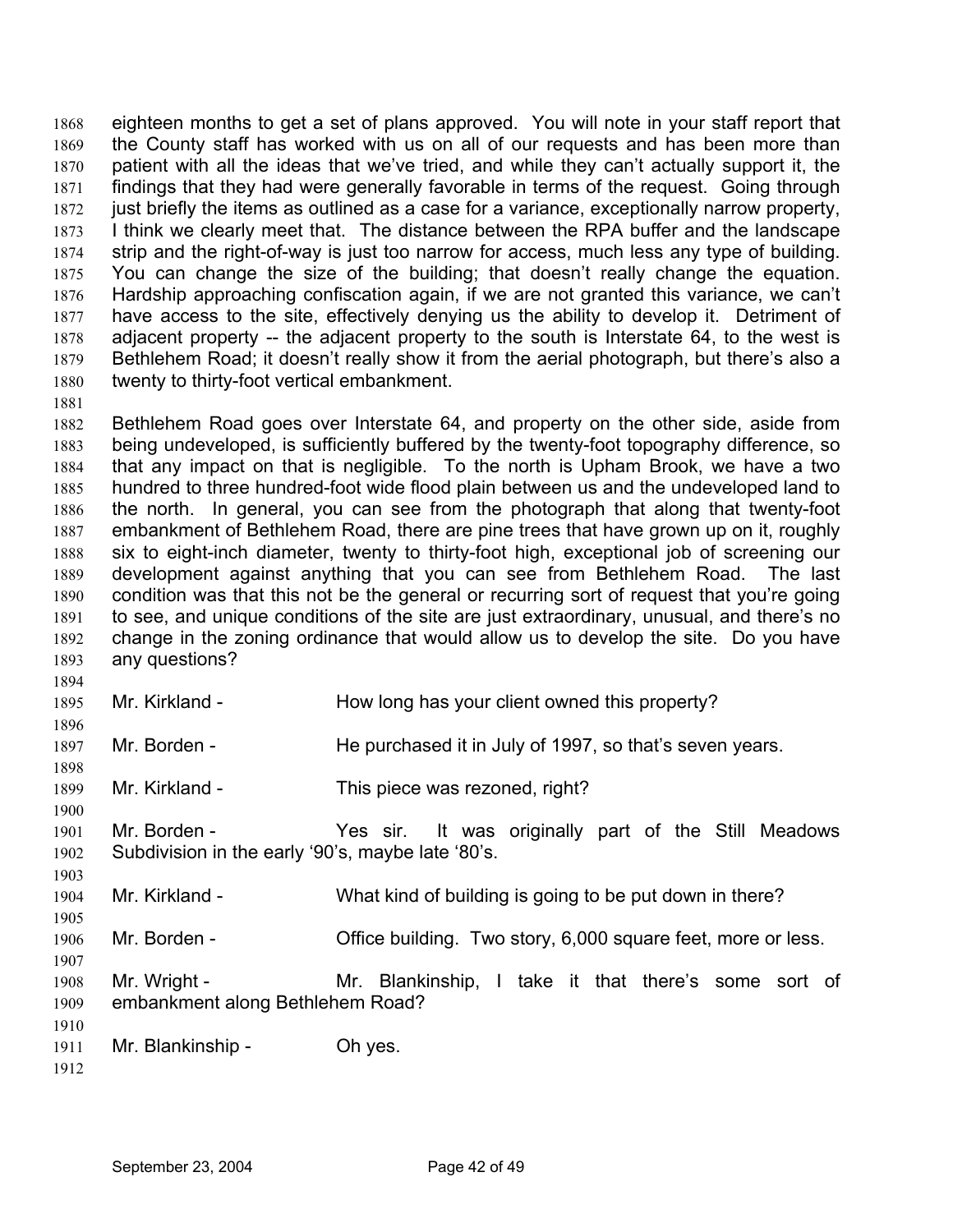eighteen months to get a set of plans approved. You will note in your staff report that the County staff has worked with us on all of our requests and has been more than patient with all the ideas that we've tried, and while they can't actually support it, the findings that they had were generally favorable in terms of the request. Going through just briefly the items as outlined as a case for a variance, exceptionally narrow property, I think we clearly meet that. The distance between the RPA buffer and the landscape strip and the right-of-way is just too narrow for access, much less any type of building. You can change the size of the building; that doesn't really change the equation. Hardship approaching confiscation again, if we are not granted this variance, we can't have access to the site, effectively denying us the ability to develop it. Detriment of adjacent property -- the adjacent property to the south is Interstate 64, to the west is Bethlehem Road; it doesn't really show it from the aerial photograph, but there's also a twenty to thirty-foot vertical embankment. 1868 1869 1870 1871 1872 1873 1874 1875 1876 1877 1878 1879 1880

- 1882 1883 1884 1885 1886 1887 1888 1889 1890 1891 1892 1893 Bethlehem Road goes over Interstate 64, and property on the other side, aside from being undeveloped, is sufficiently buffered by the twenty-foot topography difference, so that any impact on that is negligible. To the north is Upham Brook, we have a two hundred to three hundred-foot wide flood plain between us and the undeveloped land to the north. In general, you can see from the photograph that along that twenty-foot embankment of Bethlehem Road, there are pine trees that have grown up on it, roughly six to eight-inch diameter, twenty to thirty-foot high, exceptional job of screening our development against anything that you can see from Bethlehem Road. The last condition was that this not be the general or recurring sort of request that you're going to see, and unique conditions of the site are just extraordinary, unusual, and there's no change in the zoning ordinance that would allow us to develop the site. Do you have any questions?
- 1894 1895 1896 1897 1898 1899 1900 1901 1902 1903 1904 1905 1906 1907 1908 1909 1910 1911 1912 Mr. Kirkland - How long has your client owned this property? Mr. Borden - He purchased it in July of 1997, so that's seven years. Mr. Kirkland - This piece was rezoned, right? Mr. Borden - Yes sir. It was originally part of the Still Meadows Subdivision in the early '90's, maybe late '80's. Mr. Kirkland - What kind of building is going to be put down in there? Mr. Borden - Chice building. Two story, 6,000 square feet, more or less. Mr. Wright - The Mr. Blankinship, I take it that there's some sort of embankment along Bethlehem Road? Mr. Blankinship - Oh yes.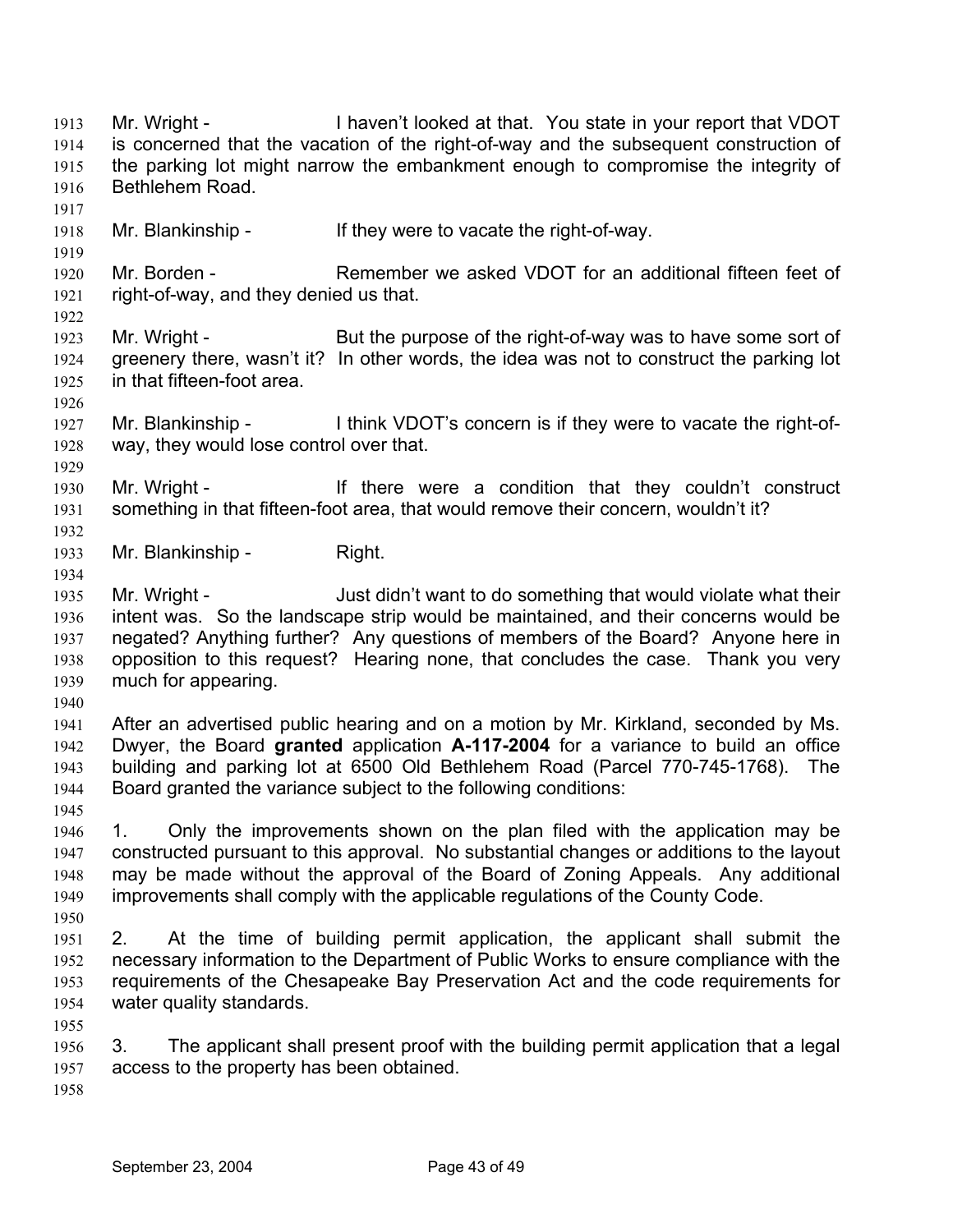Mr. Wright - I haven't looked at that. You state in your report that VDOT is concerned that the vacation of the right-of-way and the subsequent construction of the parking lot might narrow the embankment enough to compromise the integrity of Bethlehem Road. 1913 1914 1915 1916 1917 1918

1919

1926

1929

1934

Mr. Blankinship - If they were to vacate the right-of-way.

1920 1921 1922 Mr. Borden - Remember we asked VDOT for an additional fifteen feet of right-of-way, and they denied us that.

- 1923 1924 1925 Mr. Wright - But the purpose of the right-of-way was to have some sort of greenery there, wasn't it? In other words, the idea was not to construct the parking lot in that fifteen-foot area.
- 1927 1928 Mr. Blankinship - I think VDOT's concern is if they were to vacate the right-ofway, they would lose control over that.
- 1930 1931 1932 Mr. Wright - There were a condition that they couldn't construct something in that fifteen-foot area, that would remove their concern, wouldn't it?
- 1933 Mr. Blankinship - Right.
- 1935 1936 1937 1938 1939 Mr. Wright - Just didn't want to do something that would violate what their intent was. So the landscape strip would be maintained, and their concerns would be negated? Anything further? Any questions of members of the Board? Anyone here in opposition to this request? Hearing none, that concludes the case. Thank you very much for appearing.
- 1940

1941 1942 1943 1944 After an advertised public hearing and on a motion by Mr. Kirkland, seconded by Ms. Dwyer, the Board **granted** application **A-117-2004** for a variance to build an office building and parking lot at 6500 Old Bethlehem Road (Parcel 770-745-1768). The Board granted the variance subject to the following conditions:

1945

1946 1947 1948 1949 1950 1. Only the improvements shown on the plan filed with the application may be constructed pursuant to this approval. No substantial changes or additions to the layout may be made without the approval of the Board of Zoning Appeals. Any additional improvements shall comply with the applicable regulations of the County Code.

- 1951 1952 1953 1954 2. At the time of building permit application, the applicant shall submit the necessary information to the Department of Public Works to ensure compliance with the requirements of the Chesapeake Bay Preservation Act and the code requirements for water quality standards.
- 1956 1957 3. The applicant shall present proof with the building permit application that a legal access to the property has been obtained.
- 1958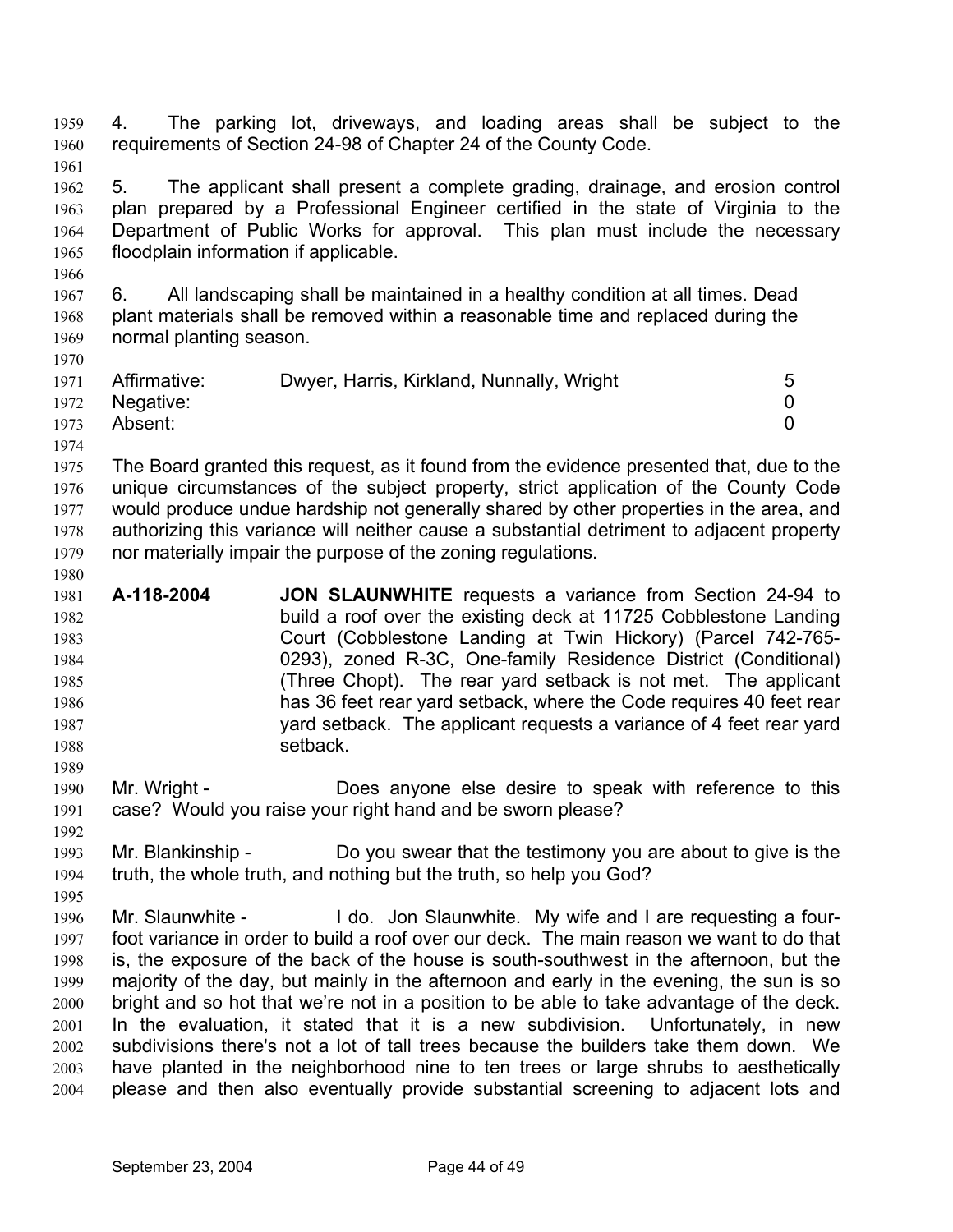4. The parking lot, driveways, and loading areas shall be subject to the requirements of Section 24-98 of Chapter 24 of the County Code. 1959 1960 1961

1962 1963 1964 1965 5. The applicant shall present a complete grading, drainage, and erosion control plan prepared by a Professional Engineer certified in the state of Virginia to the Department of Public Works for approval. This plan must include the necessary floodplain information if applicable.

1967 1968 1969 6. All landscaping shall be maintained in a healthy condition at all times. Dead plant materials shall be removed within a reasonable time and replaced during the normal planting season.

| 1971 | Affirmative:   | Dwyer, Harris, Kirkland, Nunnally, Wright | 5 |
|------|----------------|-------------------------------------------|---|
|      | 1972 Negative: |                                           |   |
| 1973 | Absent:        |                                           |   |
| 1974 |                |                                           |   |

1975 1976 1977 1978 1979 The Board granted this request, as it found from the evidence presented that, due to the unique circumstances of the subject property, strict application of the County Code would produce undue hardship not generally shared by other properties in the area, and authorizing this variance will neither cause a substantial detriment to adjacent property nor materially impair the purpose of the zoning regulations.

- 1981 1982 1983 1984 1985 1986 1987 1988 **A-118-2004 JON SLAUNWHITE** requests a variance from Section 24-94 to build a roof over the existing deck at 11725 Cobblestone Landing Court (Cobblestone Landing at Twin Hickory) (Parcel 742-765- 0293), zoned R-3C, One-family Residence District (Conditional) (Three Chopt). The rear yard setback is not met. The applicant has 36 feet rear yard setback, where the Code requires 40 feet rear yard setback. The applicant requests a variance of 4 feet rear yard setback.
- 1990 1991 Mr. Wright - Does anyone else desire to speak with reference to this case? Would you raise your right hand and be sworn please?
- 1993 1994 Mr. Blankinship - Do you swear that the testimony you are about to give is the truth, the whole truth, and nothing but the truth, so help you God?

1996 1997 1998 1999 2000 2001 2002 2003 2004 Mr. Slaunwhite - I do. Jon Slaunwhite. My wife and I are requesting a fourfoot variance in order to build a roof over our deck. The main reason we want to do that is, the exposure of the back of the house is south-southwest in the afternoon, but the majority of the day, but mainly in the afternoon and early in the evening, the sun is so bright and so hot that we're not in a position to be able to take advantage of the deck. In the evaluation, it stated that it is a new subdivision. Unfortunately, in new subdivisions there's not a lot of tall trees because the builders take them down. We have planted in the neighborhood nine to ten trees or large shrubs to aesthetically please and then also eventually provide substantial screening to adjacent lots and

1966

1970

1980

1989

1992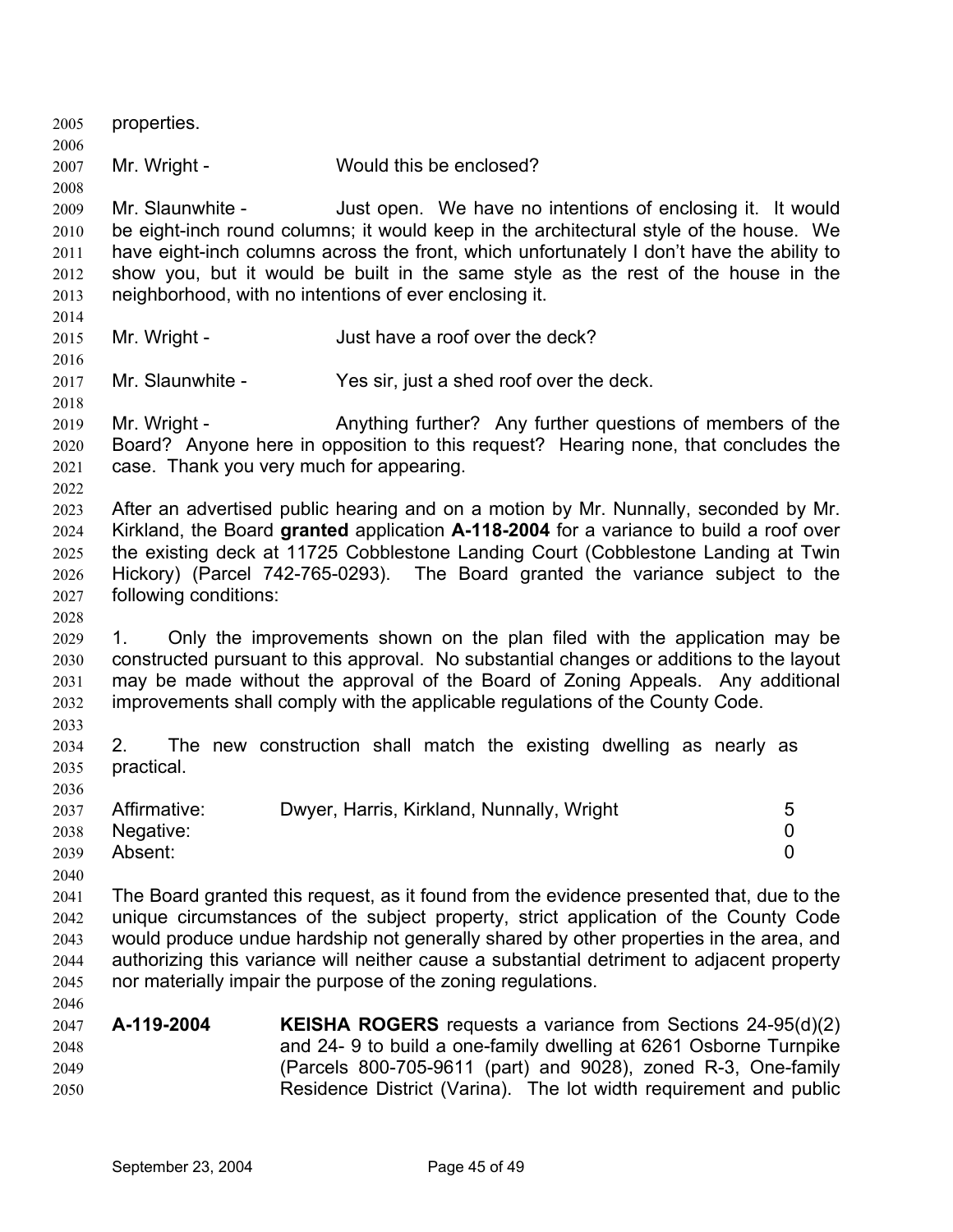2005 properties. 2006 2007 2008 2009 2010 2011 2012 2013 2014 2015 2016 2017 2018 2019 2020 2021 2022 2023 2024 2025 2026 2027 2028 2029 2030 2031 2032 2033 2034 2035 2036 2037 2038 2039 2040 2041 2042 2043 2044 2045 2046 2047 2048 2049 2050 Mr. Wright - Would this be enclosed? Mr. Slaunwhite - Just open. We have no intentions of enclosing it. It would be eight-inch round columns; it would keep in the architectural style of the house. We have eight-inch columns across the front, which unfortunately I don't have the ability to show you, but it would be built in the same style as the rest of the house in the neighborhood, with no intentions of ever enclosing it. Mr. Wright - Just have a roof over the deck? Mr. Slaunwhite - Yes sir, just a shed roof over the deck. Mr. Wright - Anything further? Any further questions of members of the Board? Anyone here in opposition to this request? Hearing none, that concludes the case. Thank you very much for appearing. After an advertised public hearing and on a motion by Mr. Nunnally, seconded by Mr. Kirkland, the Board **granted** application **A-118-2004** for a variance to build a roof over the existing deck at 11725 Cobblestone Landing Court (Cobblestone Landing at Twin Hickory) (Parcel 742-765-0293). The Board granted the variance subject to the following conditions: 1. Only the improvements shown on the plan filed with the application may be constructed pursuant to this approval. No substantial changes or additions to the layout may be made without the approval of the Board of Zoning Appeals. Any additional improvements shall comply with the applicable regulations of the County Code. 2. The new construction shall match the existing dwelling as nearly as practical. Affirmative: Dwyer, Harris, Kirkland, Nunnally, Wright 5 Negative: 0 Absent: 0 The Board granted this request, as it found from the evidence presented that, due to the unique circumstances of the subject property, strict application of the County Code would produce undue hardship not generally shared by other properties in the area, and authorizing this variance will neither cause a substantial detriment to adjacent property nor materially impair the purpose of the zoning regulations. **A-119-2004 KEISHA ROGERS** requests a variance from Sections 24-95(d)(2) and 24- 9 to build a one-family dwelling at 6261 Osborne Turnpike (Parcels 800-705-9611 (part) and 9028), zoned R-3, One-family Residence District (Varina). The lot width requirement and public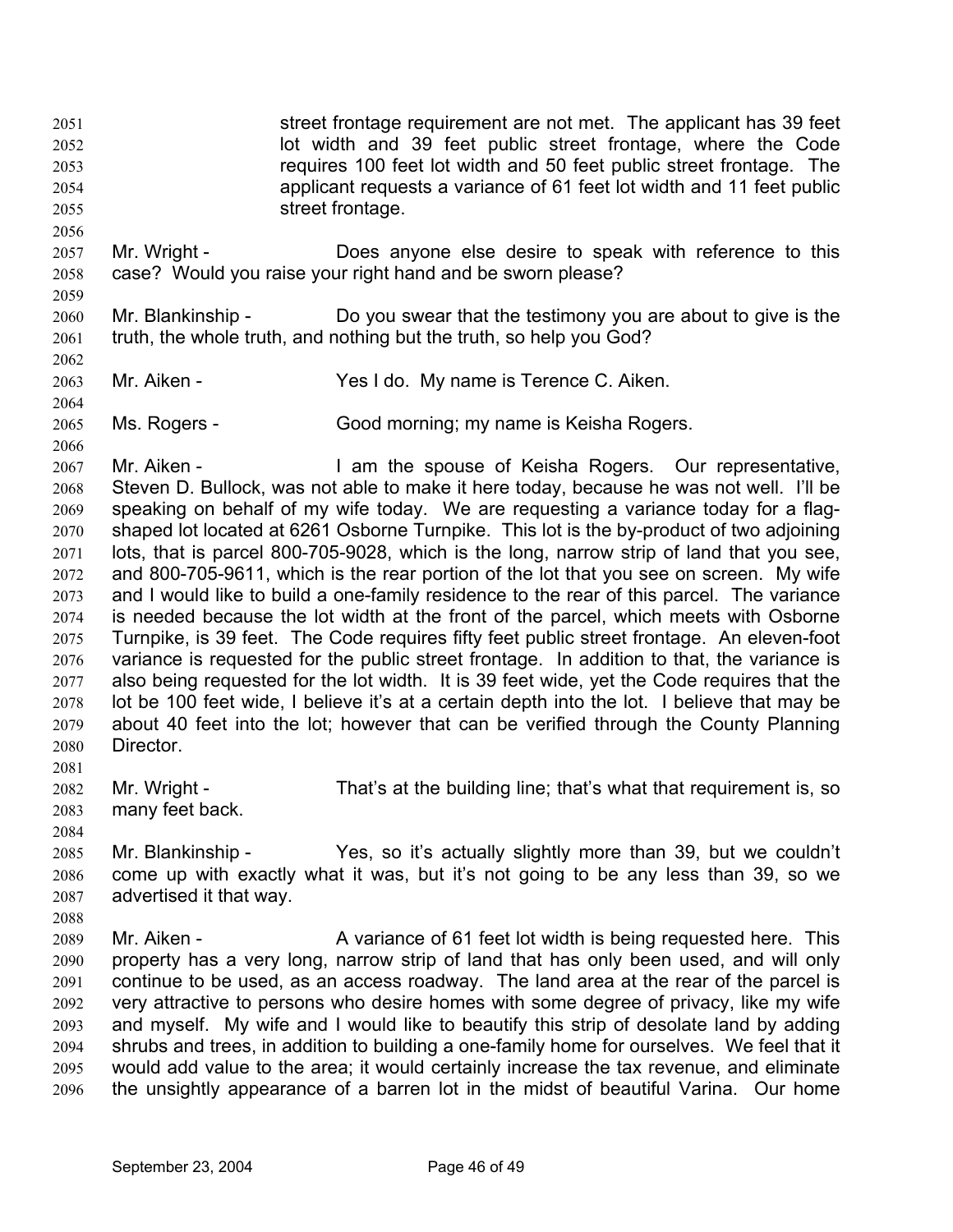street frontage requirement are not met. The applicant has 39 feet lot width and 39 feet public street frontage, where the Code requires 100 feet lot width and 50 feet public street frontage. The applicant requests a variance of 61 feet lot width and 11 feet public street frontage. 2051 2052 2053 2054 2055

- 2057 2058 Mr. Wright - Does anyone else desire to speak with reference to this case? Would you raise your right hand and be sworn please?
- 2060 2061 Mr. Blankinship - Do you swear that the testimony you are about to give is the truth, the whole truth, and nothing but the truth, so help you God?
- 2063 Mr. Aiken - Yes I do. My name is Terence C. Aiken.
- 2065 Ms. Rogers - Good morning; my name is Keisha Rogers.

2067 2068 2069 2070 2071 2072 2073 2074 2075 2076 2077 2078 2079 2080 Mr. Aiken - The Spouse of Keisha Rogers. Our representative, Steven D. Bullock, was not able to make it here today, because he was not well. I'll be speaking on behalf of my wife today. We are requesting a variance today for a flagshaped lot located at 6261 Osborne Turnpike. This lot is the by-product of two adjoining lots, that is parcel 800-705-9028, which is the long, narrow strip of land that you see, and 800-705-9611, which is the rear portion of the lot that you see on screen. My wife and I would like to build a one-family residence to the rear of this parcel. The variance is needed because the lot width at the front of the parcel, which meets with Osborne Turnpike, is 39 feet. The Code requires fifty feet public street frontage. An eleven-foot variance is requested for the public street frontage. In addition to that, the variance is also being requested for the lot width. It is 39 feet wide, yet the Code requires that the lot be 100 feet wide, I believe it's at a certain depth into the lot. I believe that may be about 40 feet into the lot; however that can be verified through the County Planning Director.

- 2082 2083 Mr. Wright - That's at the building line; that's what that requirement is, so many feet back.
- 2085 2086 2087 Mr. Blankinship - Yes, so it's actually slightly more than 39, but we couldn't come up with exactly what it was, but it's not going to be any less than 39, so we advertised it that way.
- 2089 2090 2091 2092 2093 2094 2095 2096 Mr. Aiken - **A** variance of 61 feet lot width is being requested here. This property has a very long, narrow strip of land that has only been used, and will only continue to be used, as an access roadway. The land area at the rear of the parcel is very attractive to persons who desire homes with some degree of privacy, like my wife and myself. My wife and I would like to beautify this strip of desolate land by adding shrubs and trees, in addition to building a one-family home for ourselves. We feel that it would add value to the area; it would certainly increase the tax revenue, and eliminate the unsightly appearance of a barren lot in the midst of beautiful Varina. Our home

2056

2059

2062

2064

2066

2081

2084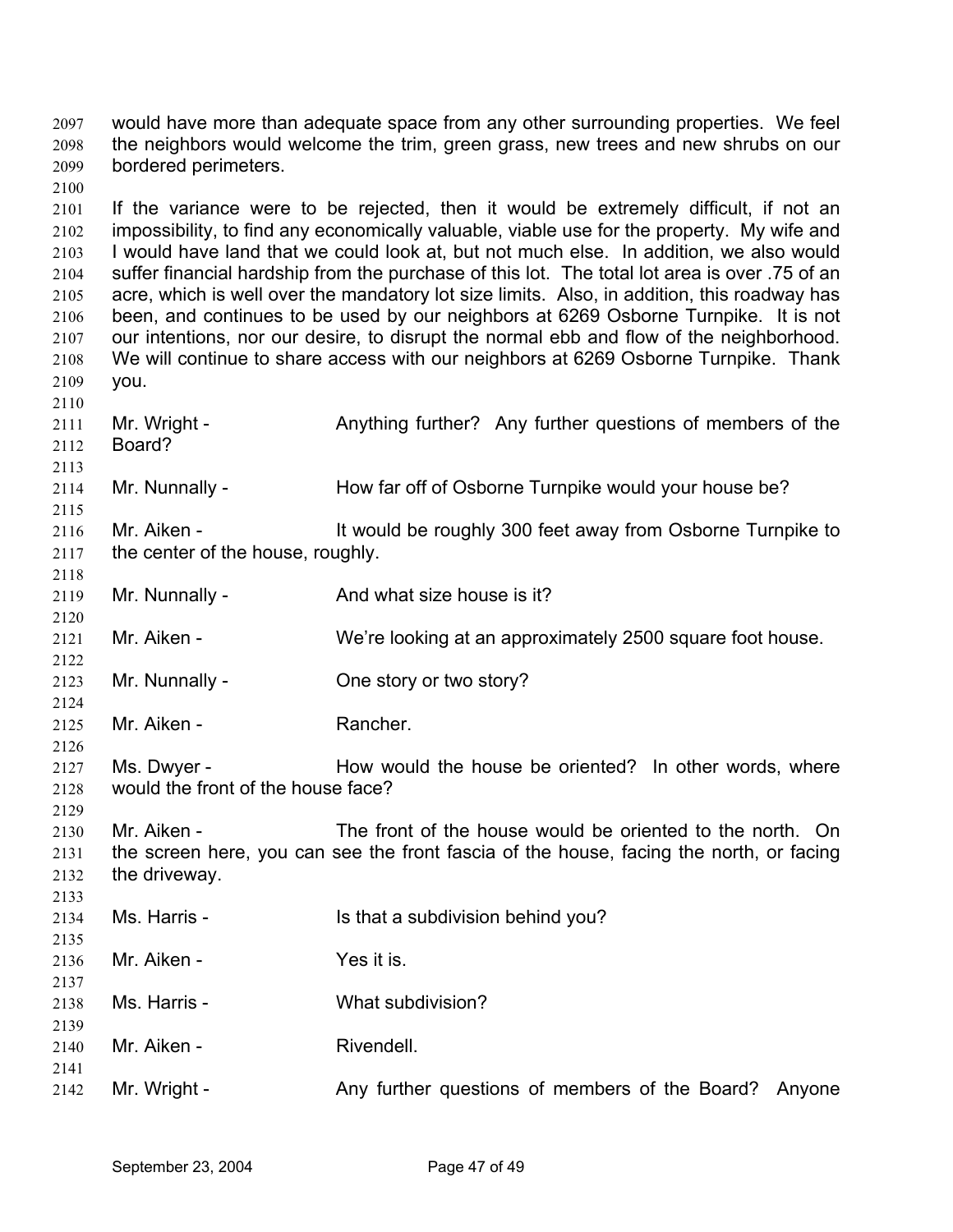would have more than adequate space from any other surrounding properties. We feel the neighbors would welcome the trim, green grass, new trees and new shrubs on our bordered perimeters. 2097 2098 2099

2100

2113

2115

2118

2120

2122

2124

2126

2129

2133

2139

2141

2101 2102 2103 2104 2105 2106 2107 2108 2109 2110 If the variance were to be rejected, then it would be extremely difficult, if not an impossibility, to find any economically valuable, viable use for the property. My wife and I would have land that we could look at, but not much else. In addition, we also would suffer financial hardship from the purchase of this lot. The total lot area is over .75 of an acre, which is well over the mandatory lot size limits. Also, in addition, this roadway has been, and continues to be used by our neighbors at 6269 Osborne Turnpike. It is not our intentions, nor our desire, to disrupt the normal ebb and flow of the neighborhood. We will continue to share access with our neighbors at 6269 Osborne Turnpike. Thank you.

2111 2112 Mr. Wright - Anything further? Any further questions of members of the Board?

2114 Mr. Nunnally - How far off of Osborne Turnpike would your house be?

2116 2117 Mr. Aiken - It would be roughly 300 feet away from Osborne Turnpike to the center of the house, roughly.

2119 Mr. Nunnally - And what size house is it?

2121 Mr. Aiken - We're looking at an approximately 2500 square foot house.

2123 Mr. Nunnally - Che story or two story?

2125 Mr. Aiken - **Rancher.** 

2127 2128 Ms. Dwyer - How would the house be oriented? In other words, where would the front of the house face?

2130 2131 2132 Mr. Aiken - The front of the house would be oriented to the north. On the screen here, you can see the front fascia of the house, facing the north, or facing the driveway.

2134 2135 2136 Ms. Harris - Is that a subdivision behind you? Mr. Aiken - Yes it is.

2137 2138 Ms. Harris - What subdivision?

2140 Mr. Aiken - **Rivendell.** 

2142 Mr. Wright - Any further questions of members of the Board? Anyone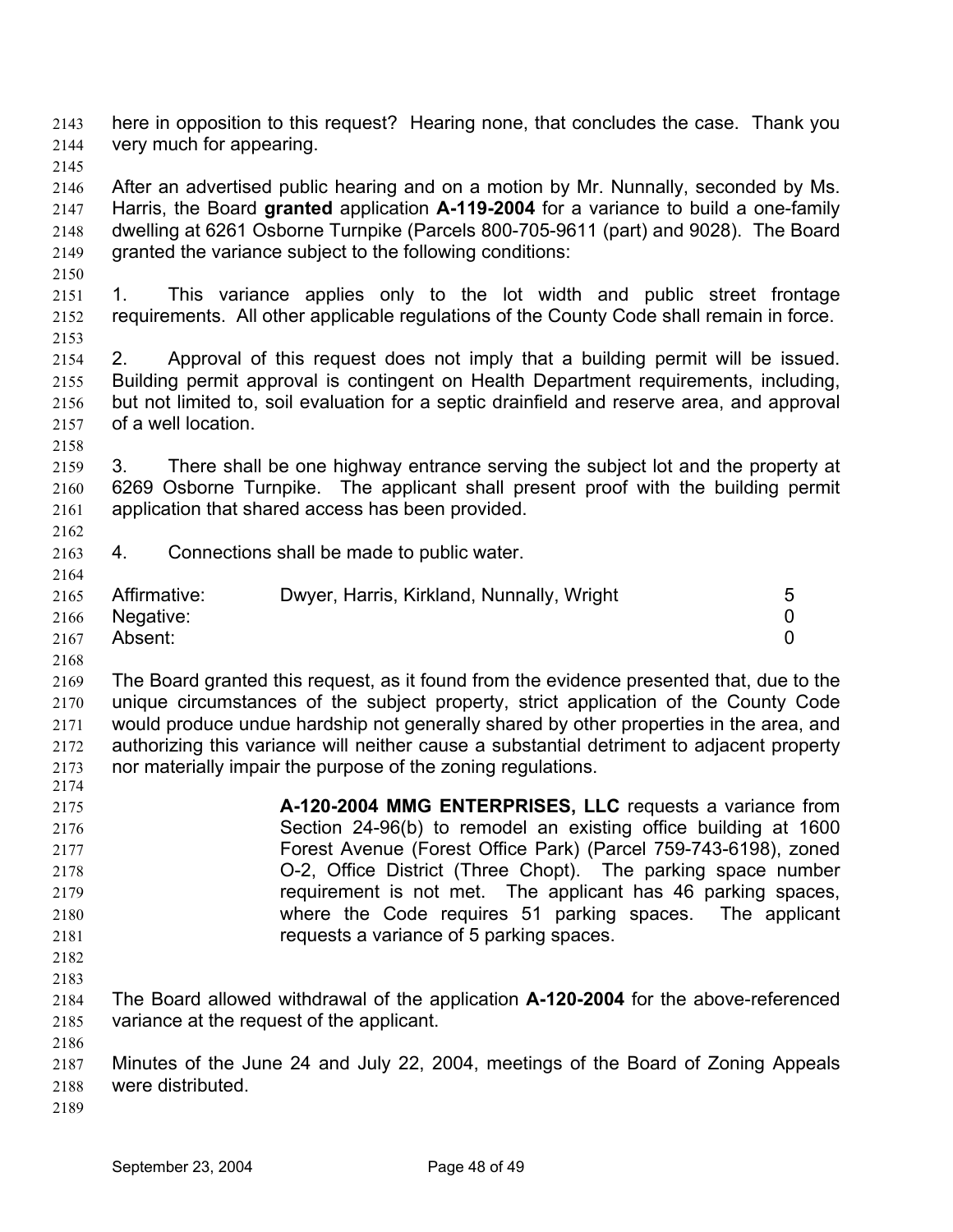here in opposition to this request? Hearing none, that concludes the case. Thank you very much for appearing. 2143 2144 2145 2146 2147 2148 2149 2150 2151 2152 After an advertised public hearing and on a motion by Mr. Nunnally, seconded by Ms. Harris, the Board **granted** application **A-119-2004** for a variance to build a one-family dwelling at 6261 Osborne Turnpike (Parcels 800-705-9611 (part) and 9028). The Board granted the variance subject to the following conditions: 1. This variance applies only to the lot width and public street frontage requirements. All other applicable regulations of the County Code shall remain in force.

2154 2155 2156 2157 2158 2. Approval of this request does not imply that a building permit will be issued. Building permit approval is contingent on Health Department requirements, including, but not limited to, soil evaluation for a septic drainfield and reserve area, and approval of a well location.

- 2159 2160 2161 3. There shall be one highway entrance serving the subject lot and the property at 6269 Osborne Turnpike. The applicant shall present proof with the building permit application that shared access has been provided.
- 2163 4. Connections shall be made to public water.

| 2165 | Affirmative:   | Dwyer, Harris, Kirkland, Nunnally, Wright |  |
|------|----------------|-------------------------------------------|--|
|      | 2166 Negative: |                                           |  |
| 2167 | Absent:        |                                           |  |

2168

2153

2162

2164

2169 2170 2171 2172 2173 2174 The Board granted this request, as it found from the evidence presented that, due to the unique circumstances of the subject property, strict application of the County Code would produce undue hardship not generally shared by other properties in the area, and authorizing this variance will neither cause a substantial detriment to adjacent property nor materially impair the purpose of the zoning regulations.

- 2175 2176 2177 2178 2179 2180 2181 2182 **A-120-2004 MMG ENTERPRISES, LLC** requests a variance from Section 24-96(b) to remodel an existing office building at 1600 Forest Avenue (Forest Office Park) (Parcel 759-743-6198), zoned O-2, Office District (Three Chopt). The parking space number requirement is not met. The applicant has 46 parking spaces, where the Code requires 51 parking spaces. The applicant requests a variance of 5 parking spaces.
- 2183

2184 2185 The Board allowed withdrawal of the application **A-120-2004** for the above-referenced variance at the request of the applicant.

2186

2187 2188 Minutes of the June 24 and July 22, 2004, meetings of the Board of Zoning Appeals were distributed.